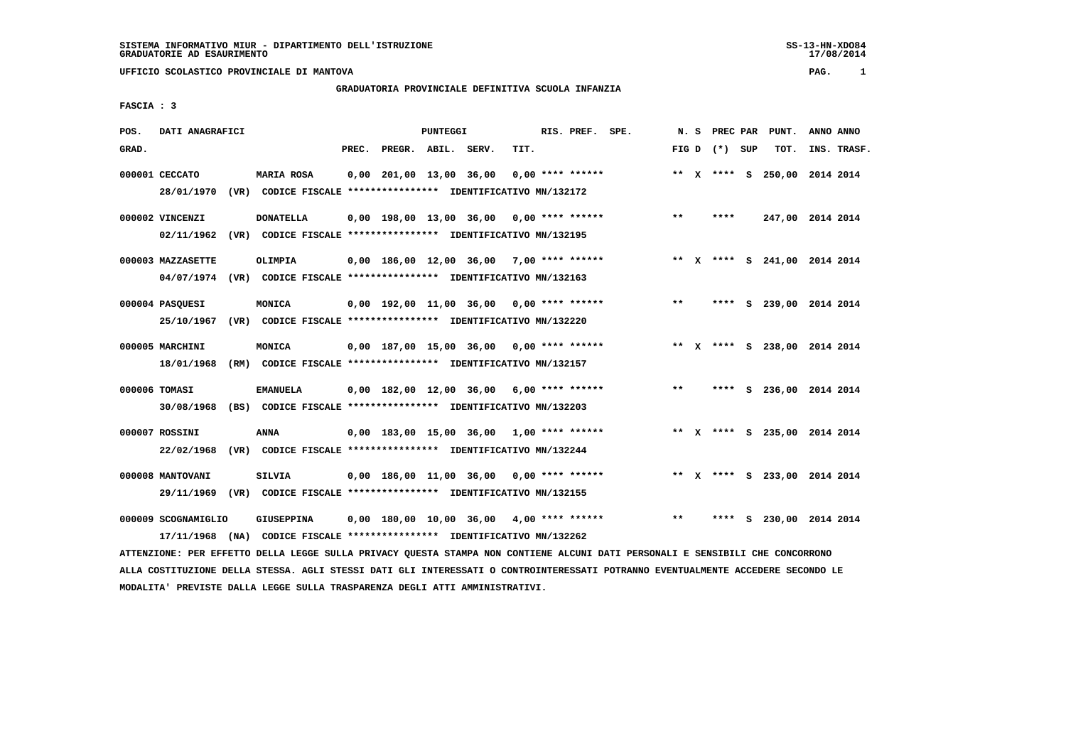# **GRADUATORIA PROVINCIALE DEFINITIVA SCUOLA INFANZIA**

 **FASCIA : 3**

| POS.  | DATI ANAGRAFICI                   |      |                                                                                    |       |                         | <b>PUNTEGGI</b> |                                            |      | RIS. PREF. SPE.    |       | N. S PREC PAR   | PUNT.                        | ANNO ANNO |             |
|-------|-----------------------------------|------|------------------------------------------------------------------------------------|-------|-------------------------|-----------------|--------------------------------------------|------|--------------------|-------|-----------------|------------------------------|-----------|-------------|
| GRAD. |                                   |      |                                                                                    | PREC. | PREGR. ABIL. SERV.      |                 |                                            | TIT. |                    |       | FIG D $(*)$ SUP | TOT.                         |           | INS. TRASF. |
|       | 000001 CECCATO<br>28/01/1970      |      | MARIA ROSA<br>(VR) CODICE FISCALE **************** IDENTIFICATIVO MN/132172        |       | 0,00 201,00 13,00 36,00 |                 |                                            |      | $0.00$ **** ****** |       |                 | ** X **** S 250,00 2014 2014 |           |             |
|       | 000002 VINCENZI<br>02/11/1962     |      | <b>DONATELLA</b><br>(VR) CODICE FISCALE **************** IDENTIFICATIVO MN/132195  |       |                         |                 | $0,00$ 198,00 13,00 36,00 0,00 **** ****** |      |                    | $***$ | ****            | 247,00 2014 2014             |           |             |
|       | 000003 MAZZASETTE                 |      | OLIMPIA<br>04/07/1974 (VR) CODICE FISCALE *************** IDENTIFICATIVO MN/132163 |       |                         |                 | $0,00$ 186,00 12,00 36,00 7,00 **** ****** |      |                    |       |                 | ** X **** S 241,00 2014 2014 |           |             |
|       | 000004 PASQUESI                   |      | MONICA<br>25/10/1967 (VR) CODICE FISCALE *************** IDENTIFICATIVO MN/132220  |       |                         |                 | $0.00$ 192.00 11.00 36.00 0.00 **** ****** |      |                    | $**$  |                 | **** S 239,00                | 2014 2014 |             |
|       | 000005 MARCHINI<br>18/01/1968     |      | MONICA<br>(RM) CODICE FISCALE **************** IDENTIFICATIVO MN/132157            |       |                         |                 | $0.00$ 187.00 15.00 36.00 0.00 **** ****** |      |                    |       |                 | ** X **** S 238,00 2014 2014 |           |             |
|       | 000006 TOMASI<br>30/08/1968       |      | <b>EMANUELA</b><br>(BS) CODICE FISCALE **************** IDENTIFICATIVO MN/132203   |       |                         |                 | $0,00$ 182,00 12,00 36,00 6,00 **** ****** |      |                    | $***$ |                 | **** S 236,00 2014 2014      |           |             |
|       | 000007 ROSSINI<br>22/02/1968      |      | <b>ANNA</b><br>(VR) CODICE FISCALE **************** IDENTIFICATIVO MN/132244       |       |                         |                 | $0,00$ 183,00 15,00 36,00 1,00 **** ****** |      |                    |       |                 | ** X **** S 235,00 2014 2014 |           |             |
|       | 000008 MANTOVANI<br>29/11/1969    |      | <b>SILVIA</b><br>(VR) CODICE FISCALE **************** IDENTIFICATIVO MN/132155     |       |                         |                 | $0,00$ 186,00 11,00 36,00 0,00 **** ****** |      |                    |       |                 | ** X **** S 233,00 2014 2014 |           |             |
|       | 000009 SCOGNAMIGLIO<br>17/11/1968 | (NA) | GIUSEPPINA<br>CODICE FISCALE **************** IDENTIFICATIVO MN/132262             |       |                         |                 | $0,00$ 180,00 10,00 36,00 4,00 **** ****** |      |                    | **    |                 | **** S 230,00 2014 2014      |           |             |

 **ATTENZIONE: PER EFFETTO DELLA LEGGE SULLA PRIVACY QUESTA STAMPA NON CONTIENE ALCUNI DATI PERSONALI E SENSIBILI CHE CONCORRONO ALLA COSTITUZIONE DELLA STESSA. AGLI STESSI DATI GLI INTERESSATI O CONTROINTERESSATI POTRANNO EVENTUALMENTE ACCEDERE SECONDO LE MODALITA' PREVISTE DALLA LEGGE SULLA TRASPARENZA DEGLI ATTI AMMINISTRATIVI.**

SS-13-HN-XDO84<br>17/08/2014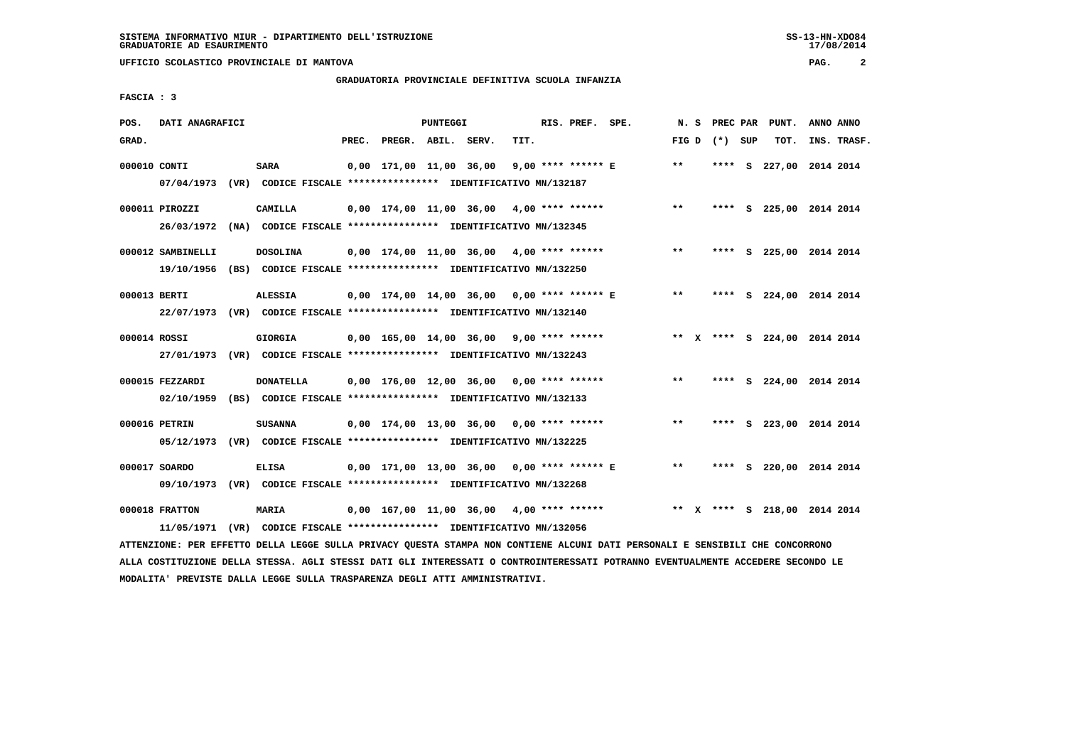### **GRADUATORIA PROVINCIALE DEFINITIVA SCUOLA INFANZIA**

 **FASCIA : 3**

| POS.         | DATI ANAGRAFICI                 |                                                                                           |       |                    | <b>PUNTEGGI</b> |                                            |      | RIS. PREF. SPE.    |                                              | N. S  | PREC PAR        | PUNT.                        | ANNO ANNO |             |
|--------------|---------------------------------|-------------------------------------------------------------------------------------------|-------|--------------------|-----------------|--------------------------------------------|------|--------------------|----------------------------------------------|-------|-----------------|------------------------------|-----------|-------------|
| GRAD.        |                                 |                                                                                           | PREC. | PREGR. ABIL. SERV. |                 |                                            | TIT. |                    |                                              |       | FIG D $(*)$ SUP | TOT.                         |           | INS. TRASF. |
| 000010 CONTI |                                 | <b>SARA</b><br>07/04/1973 (VR) CODICE FISCALE *************** IDENTIFICATIVO MN/132187    |       |                    |                 | 0,00 171,00 11,00 36,00                    |      | 9,00 **** ****** E |                                              | $* *$ |                 | **** S 227,00 2014 2014      |           |             |
|              | 000011 PIROZZI                  | CAMILLA<br>26/03/1972 (NA) CODICE FISCALE *************** IDENTIFICATIVO MN/132345        |       |                    |                 |                                            |      |                    | $0,00$ 174,00 11,00 36,00 4,00 **** ******   | $***$ |                 | **** S 225,00 2014 2014      |           |             |
|              | 000012 SAMBINELLI<br>19/10/1956 | <b>DOSOLINA</b><br>(BS) CODICE FISCALE **************** IDENTIFICATIVO MN/132250          |       |                    |                 | $0.00$ 174.00 11.00 36.00 4.00 **** ****** |      |                    |                                              | $***$ |                 | **** S 225,00 2014 2014      |           |             |
| 000013 BERTI |                                 | <b>ALESSIA</b><br>22/07/1973 (VR) CODICE FISCALE *************** IDENTIFICATIVO MN/132140 |       |                    |                 |                                            |      |                    | 0,00 174,00 14,00 36,00 0,00 **** ****** E   | $***$ |                 | **** S 224,00 2014 2014      |           |             |
| 000014 ROSSI |                                 | GIORGIA<br>27/01/1973 (VR) CODICE FISCALE *************** IDENTIFICATIVO MN/132243        |       |                    |                 | 0,00 165,00 14,00 36,00 9,00 **** ******   |      |                    |                                              |       |                 | ** X **** S 224,00 2014 2014 |           |             |
|              | 000015 FEZZARDI<br>02/10/1959   | <b>DONATELLA</b><br>(BS) CODICE FISCALE **************** IDENTIFICATIVO MN/132133         |       |                    |                 |                                            |      |                    | $0,00$ 176,00 12,00 36,00 0,00 **** ******   | $***$ | ****            | S 224,00 2014 2014           |           |             |
|              | 000016 PETRIN<br>05/12/1973     | <b>SUSANNA</b><br>(VR) CODICE FISCALE *************** IDENTIFICATIVO MN/132225            |       |                    |                 | $0,00$ 174,00 13,00 36,00 0,00 **** ****** |      |                    |                                              | $***$ |                 | **** S 223,00 2014 2014      |           |             |
|              | 000017 SOARDO                   | <b>ELISA</b><br>09/10/1973 (VR) CODICE FISCALE *************** IDENTIFICATIVO MN/132268   |       |                    |                 |                                            |      |                    | $0.00$ 171.00 13,00 36,00 0,00 **** ****** E | $***$ |                 | **** S 220,00 2014 2014      |           |             |
|              | 000018 FRATTON<br>11/05/1971    | MARIA<br>(VR) CODICE FISCALE **************** IDENTIFICATIVO MN/132056                    |       |                    |                 | $0.00$ 167,00 11,00 36,00 4,00 **** ****** |      |                    |                                              |       |                 | ** X **** S 218,00 2014 2014 |           |             |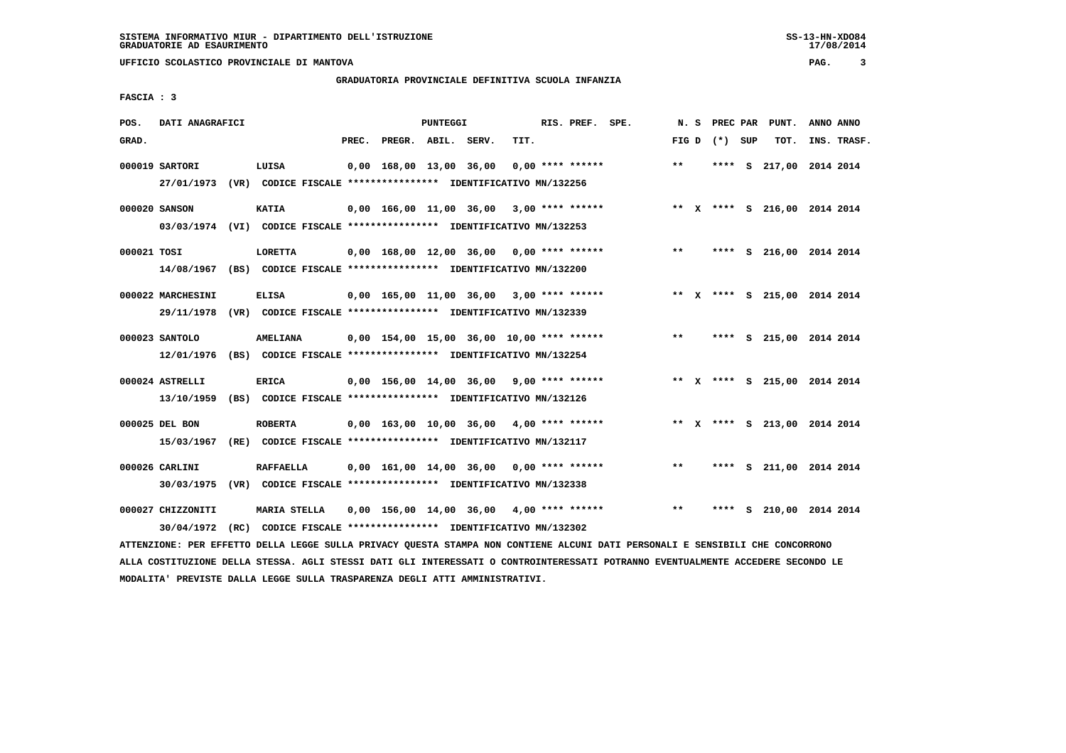# **GRADUATORIA PROVINCIALE DEFINITIVA SCUOLA INFANZIA**

 **FASCIA : 3**

| POS.        | DATI ANAGRAFICI                                                                              |                                                                                 |       |                                             | PUNTEGGI |      | RIS. PREF. SPE.    | N.S   | PREC PAR        | PUNT.                        | ANNO ANNO |             |
|-------------|----------------------------------------------------------------------------------------------|---------------------------------------------------------------------------------|-------|---------------------------------------------|----------|------|--------------------|-------|-----------------|------------------------------|-----------|-------------|
| GRAD.       |                                                                                              |                                                                                 | PREC. | PREGR. ABIL. SERV.                          |          | TIT. |                    |       | FIG D $(*)$ SUP | TOT.                         |           | INS. TRASF. |
|             | 000019 SARTORI<br>27/01/1973 (VR) CODICE FISCALE *************** IDENTIFICATIVO MN/132256    | LUISA                                                                           |       | 0,00 168,00 13,00 36,00                     |          |      | $0.00$ **** ****** | $***$ |                 | **** S 217,00 2014 2014      |           |             |
|             | 000020 SANSON<br>03/03/1974 (VI) CODICE FISCALE *************** IDENTIFICATIVO MN/132253     | <b>KATIA</b>                                                                    |       | $0,00$ 166,00 11,00 36,00 3,00 **** ******  |          |      |                    |       |                 | ** X **** S 216,00 2014 2014 |           |             |
| 000021 TOSI | 14/08/1967 (BS) CODICE FISCALE *************** IDENTIFICATIVO MN/132200                      | <b>LORETTA</b>                                                                  |       | $0,00$ 168,00 12,00 36,00 0,00 **** ******  |          |      |                    | $* *$ |                 | **** S 216,00 2014 2014      |           |             |
|             | 000022 MARCHESINI<br>29/11/1978 (VR) CODICE FISCALE *************** IDENTIFICATIVO MN/132339 | <b>ELISA</b>                                                                    |       | $0,00$ 165,00 11,00 36,00 3,00 **** ******  |          |      |                    |       |                 | ** X **** S 215,00 2014 2014 |           |             |
|             | 000023 SANTOLO<br>12/01/1976 (BS) CODICE FISCALE *************** IDENTIFICATIVO MN/132254    | AMELIANA                                                                        |       | 0,00 154,00 15,00 36,00 10,00 **** ******   |          |      |                    | $***$ |                 | **** S 215,00 2014 2014      |           |             |
|             | 000024 ASTRELLI<br>13/10/1959 (BS) CODICE FISCALE **************** IDENTIFICATIVO MN/132126  | <b>ERICA</b>                                                                    |       | $0.00$ 156.00 14.00 36.00 9.00 **** ******  |          |      |                    |       |                 | ** X **** S 215,00 2014 2014 |           |             |
|             | 000025 DEL BON<br>15/03/1967                                                                 | <b>ROBERTA</b><br>(RE) CODICE FISCALE **************** IDENTIFICATIVO MN/132117 |       | $0.00$ 163.00 10.00 36.00 4.00 **** ******  |          |      |                    |       |                 | ** X **** S 213,00 2014 2014 |           |             |
|             | 000026 CARLINI<br>30/03/1975 (VR) CODICE FISCALE *************** IDENTIFICATIVO MN/132338    | <b>RAFFAELLA</b>                                                                |       | $0.00 \quad 161.00 \quad 14.00 \quad 36.00$ |          |      | 0,00 **** ******   | $***$ |                 | **** S 211,00 2014 2014      |           |             |
|             | 000027 CHIZZONITI<br>30/04/1972 (RC) CODICE FISCALE *************** IDENTIFICATIVO MN/132302 | MARIA STELLA                                                                    |       | 0,00 156,00 14,00 36,00                     |          |      | $4,00$ **** ****** | $***$ | ****            | S 210,00 2014 2014           |           |             |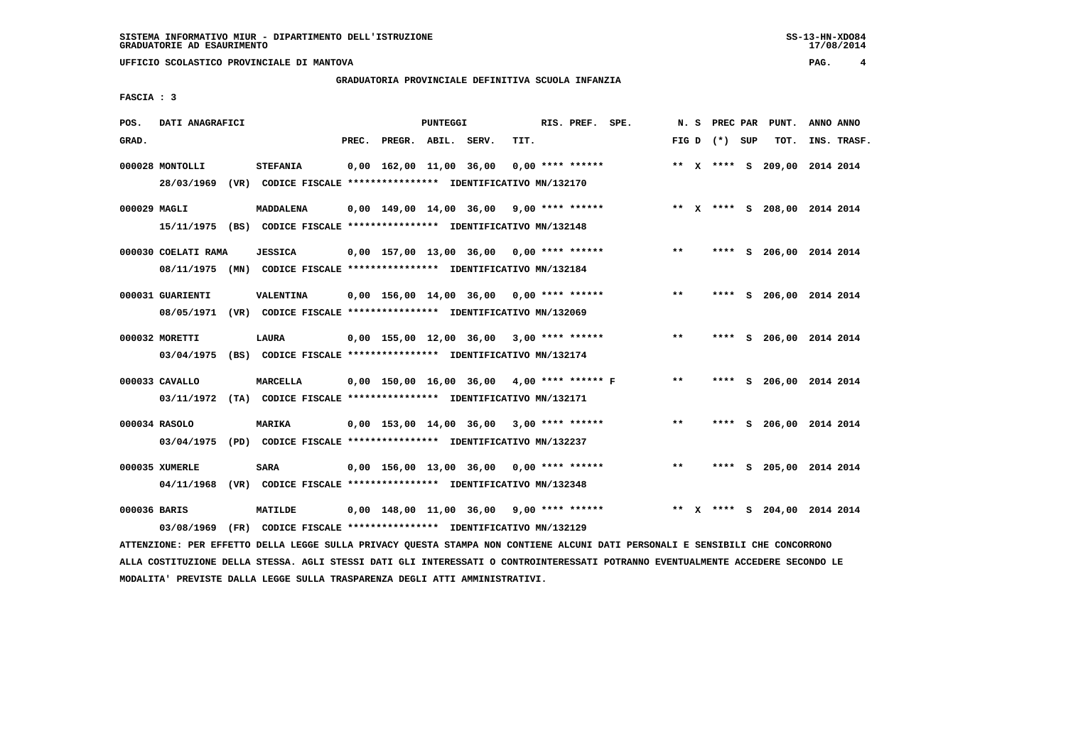# **GRADUATORIA PROVINCIALE DEFINITIVA SCUOLA INFANZIA**

 **FASCIA : 3**

| POS.         | DATI ANAGRAFICI     |                                                                          |       |                         | PUNTEGGI |                                              | RIS. PREF. SPE. |       | N. S PREC PAR   | PUNT. | ANNO ANNO                    |  |
|--------------|---------------------|--------------------------------------------------------------------------|-------|-------------------------|----------|----------------------------------------------|-----------------|-------|-----------------|-------|------------------------------|--|
| GRAD.        |                     |                                                                          | PREC. | PREGR. ABIL. SERV.      |          | TIT.                                         |                 |       | FIG D $(*)$ SUP | TOT.  | INS. TRASF.                  |  |
|              |                     |                                                                          |       | 0,00 162,00 11,00 36,00 |          | $0.00$ **** ******                           |                 |       |                 |       | ** X **** S 209,00 2014 2014 |  |
|              | 000028 MONTOLLI     | <b>STEFANIA</b>                                                          |       |                         |          |                                              |                 |       |                 |       |                              |  |
|              |                     | 28/03/1969 (VR) CODICE FISCALE *************** IDENTIFICATIVO MN/132170  |       |                         |          |                                              |                 |       |                 |       |                              |  |
| 000029 MAGLI |                     | MADDALENA                                                                |       | 0,00 149,00 14,00 36,00 |          | $9,00$ **** ******                           |                 |       |                 |       | ** X **** S 208,00 2014 2014 |  |
|              |                     | 15/11/1975 (BS) CODICE FISCALE *************** IDENTIFICATIVO MN/132148  |       |                         |          |                                              |                 |       |                 |       |                              |  |
|              |                     |                                                                          |       |                         |          |                                              |                 |       |                 |       |                              |  |
|              | 000030 COELATI RAMA | <b>JESSICA</b>                                                           |       |                         |          | $0.00$ 157.00 13.00 36.00 0.00 **** ******   |                 | $***$ |                 |       | **** S 206,00 2014 2014      |  |
|              |                     | 08/11/1975 (MN) CODICE FISCALE *************** IDENTIFICATIVO MN/132184  |       |                         |          |                                              |                 |       |                 |       |                              |  |
|              |                     |                                                                          |       |                         |          |                                              |                 |       |                 |       |                              |  |
|              | 000031 GUARIENTI    | <b>VALENTINA</b>                                                         |       | 0,00 156,00 14,00 36,00 |          | 0,00 **** ******                             |                 | **    |                 |       | **** S 206,00 2014 2014      |  |
|              |                     | 08/05/1971 (VR) CODICE FISCALE *************** IDENTIFICATIVO MN/132069  |       |                         |          |                                              |                 |       |                 |       |                              |  |
|              |                     |                                                                          |       |                         |          |                                              |                 |       |                 |       |                              |  |
|              | 000032 MORETTI      | <b>LAURA</b>                                                             |       | 0,00 155,00 12,00 36,00 |          | $3,00$ **** ******                           |                 | **    | ****            |       | S 206,00 2014 2014           |  |
|              |                     | 03/04/1975 (BS) CODICE FISCALE *************** IDENTIFICATIVO MN/132174  |       |                         |          |                                              |                 |       |                 |       |                              |  |
|              |                     |                                                                          |       |                         |          |                                              |                 |       |                 |       |                              |  |
|              | 000033 CAVALLO      | MARCELLA                                                                 |       |                         |          | $0,00$ 150,00 16,00 36,00 4,00 **** ****** F |                 | $***$ |                 |       | **** S 206,00 2014 2014      |  |
|              |                     | 03/11/1972 (TA) CODICE FISCALE *************** IDENTIFICATIVO MN/132171  |       |                         |          |                                              |                 |       |                 |       |                              |  |
|              |                     |                                                                          |       |                         |          |                                              |                 |       |                 |       |                              |  |
|              | 000034 RASOLO       | MARIKA                                                                   |       | 0,00 153,00 14,00 36,00 |          | $3,00$ **** ******                           |                 | $***$ | ****            |       | S 206,00 2014 2014           |  |
|              |                     | 03/04/1975 (PD) CODICE FISCALE **************** IDENTIFICATIVO MN/132237 |       |                         |          |                                              |                 |       |                 |       |                              |  |
|              |                     |                                                                          |       |                         |          |                                              |                 |       |                 |       |                              |  |
|              | 000035 XUMERLE      | <b>SARA</b>                                                              |       | 0,00 156,00 13,00 36,00 |          | $0.00$ **** ******                           |                 | $***$ | ****            |       | S 205,00 2014 2014           |  |
|              | 04/11/1968          | (VR) CODICE FISCALE **************** IDENTIFICATIVO MN/132348            |       |                         |          |                                              |                 |       |                 |       |                              |  |
|              |                     |                                                                          |       |                         |          |                                              |                 |       |                 |       |                              |  |
| 000036 BARIS |                     | MATILDE                                                                  |       | 0,00 148,00 11,00 36,00 |          | 9,00 **** ******                             |                 |       |                 |       | ** X **** S 204,00 2014 2014 |  |
|              | 03/08/1969          | (FR) CODICE FISCALE **************** IDENTIFICATIVO MN/132129            |       |                         |          |                                              |                 |       |                 |       |                              |  |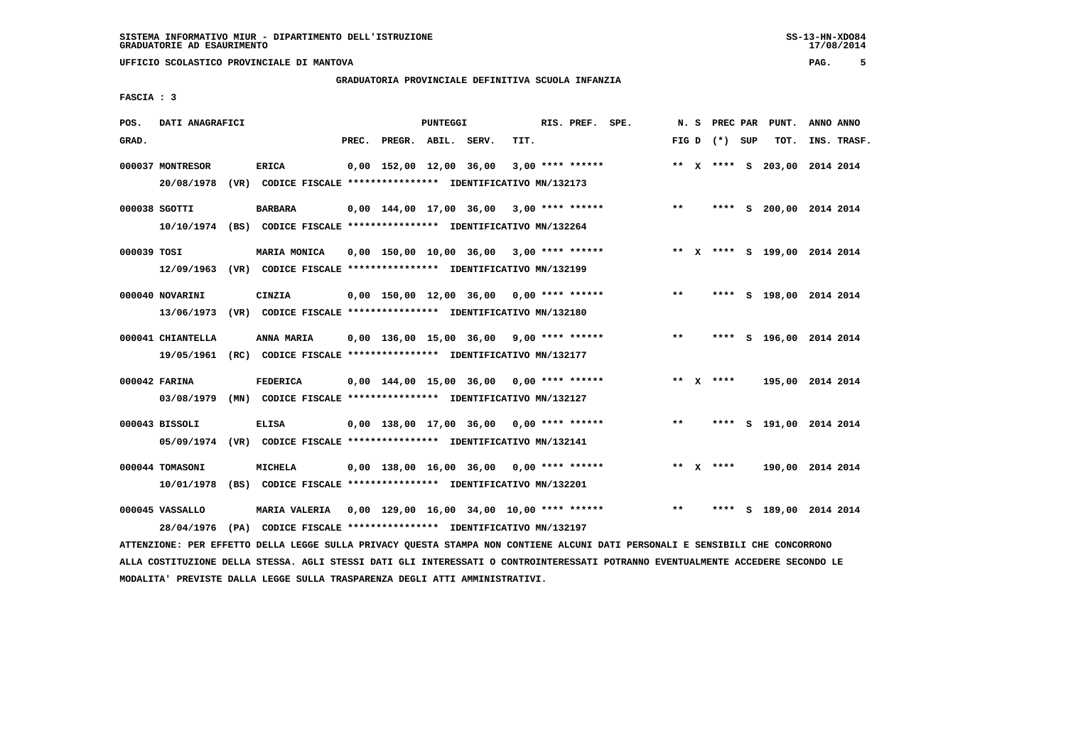# **GRADUATORIA PROVINCIALE DEFINITIVA SCUOLA INFANZIA**

 **FASCIA : 3**

| POS.        | DATI ANAGRAFICI                                                          |                                                                                       |       |                         | <b>PUNTEGGI</b> |                                             |      | RIS. PREF.         | SPE. |       | N. S | PREC PAR        | PUNT.                        | ANNO ANNO |             |
|-------------|--------------------------------------------------------------------------|---------------------------------------------------------------------------------------|-------|-------------------------|-----------------|---------------------------------------------|------|--------------------|------|-------|------|-----------------|------------------------------|-----------|-------------|
| GRAD.       |                                                                          |                                                                                       | PREC. | PREGR. ABIL. SERV.      |                 |                                             | TIT. |                    |      |       |      | FIG D $(*)$ SUP | TOT.                         |           | INS. TRASF. |
|             | 000037 MONTRESOR<br>20/08/1978                                           | <b>ERICA</b><br>(VR) CODICE FISCALE **************** IDENTIFICATIVO MN/132173         |       | 0,00 152,00 12,00 36,00 |                 |                                             |      | $3,00$ **** ****** |      |       |      |                 | ** X **** S 203,00 2014 2014 |           |             |
|             | 000038 SGOTTI<br>10/10/1974                                              | <b>BARBARA</b><br>(BS) CODICE FISCALE **************** IDENTIFICATIVO MN/132264       |       | 0,00 144,00 17,00 36,00 |                 |                                             |      | $3,00$ **** ****** |      | $**$  |      |                 | **** S 200,00 2014 2014      |           |             |
| 000039 TOSI | 12/09/1963 (VR) CODICE FISCALE **************** IDENTIFICATIVO MN/132199 | MARIA MONICA                                                                          |       |                         |                 | $0,00$ 150,00 10,00 36,00 3,00 **** ******  |      |                    |      |       |      |                 | ** X **** S 199,00 2014 2014 |           |             |
|             | 000040 NOVARINI<br>13/06/1973                                            | CINZIA<br>(VR) CODICE FISCALE **************** IDENTIFICATIVO MN/132180               |       |                         |                 | 0,00 150,00 12,00 36,00                     |      | $0.00$ **** ****** |      | $* *$ |      |                 | **** S 198,00 2014 2014      |           |             |
|             | 000041 CHIANTELLA<br>19/05/1961                                          | ANNA MARIA<br>(RC) CODICE FISCALE **************** IDENTIFICATIVO MN/132177           |       |                         |                 | 0,00 136,00 15,00 36,00                     |      | $9.00$ **** ****** |      | $**$  |      | ****            | S 196,00 2014 2014           |           |             |
|             | 000042 FARINA<br>03/08/1979                                              | <b>FEDERICA</b><br>(MN) CODICE FISCALE **************** IDENTIFICATIVO MN/132127      |       |                         |                 | 0,00 144,00 15,00 36,00                     |      | $0.00$ **** ****** |      |       |      | ** $X$ ****     | 195,00 2014 2014             |           |             |
|             | 000043 BISSOLI<br>05/09/1974                                             | <b>ELISA</b><br>(VR) CODICE FISCALE **************** IDENTIFICATIVO MN/132141         |       |                         |                 | $0.00$ 138.00 17.00 36.00 0.00 **** ******  |      |                    |      | $**$  |      | ****            | S 191,00 2014 2014           |           |             |
|             | 000044 TOMASONI<br>10/01/1978                                            | MICHELA<br>(BS) CODICE FISCALE **************** IDENTIFICATIVO MN/132201              |       | 0,00 138,00 16,00 36,00 |                 |                                             |      | 0,00 **** ******   |      |       |      | ** $X$ ****     | 190,00 2014 2014             |           |             |
|             | 000045 VASSALLO<br>28/04/1976                                            | <b>MARIA VALERIA</b><br>(PA) CODICE FISCALE **************** IDENTIFICATIVO MN/132197 |       |                         |                 | $0,00$ 129,00 16,00 34,00 10,00 **** ****** |      |                    |      | $* *$ |      | ****            | S 189,00 2014 2014           |           |             |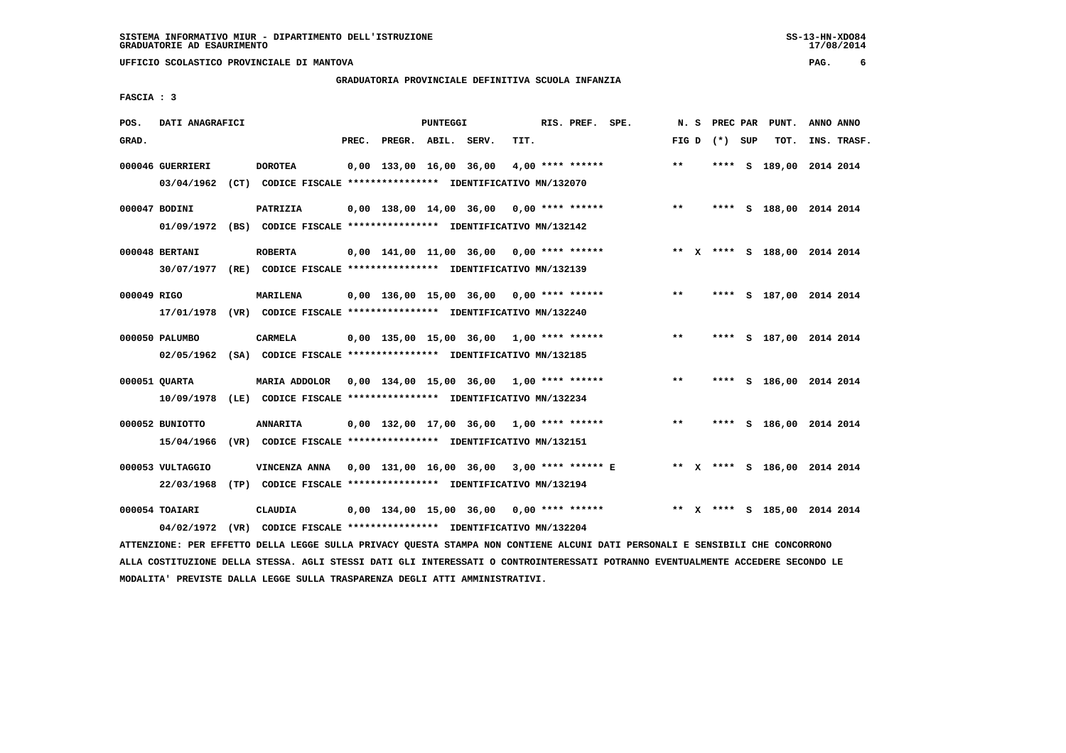# **GRADUATORIA PROVINCIALE DEFINITIVA SCUOLA INFANZIA**

 **FASCIA : 3**

| POS.        | DATI ANAGRAFICI  |                                                                                                                               |       |                    | PUNTEGGI |                                            |      | RIS. PREF. SPE.    |                                                                           | N.S   |                 | PREC PAR PUNT.               | ANNO ANNO |             |
|-------------|------------------|-------------------------------------------------------------------------------------------------------------------------------|-------|--------------------|----------|--------------------------------------------|------|--------------------|---------------------------------------------------------------------------|-------|-----------------|------------------------------|-----------|-------------|
| GRAD.       |                  |                                                                                                                               | PREC. | PREGR. ABIL. SERV. |          |                                            | TIT. |                    |                                                                           |       | FIG D $(*)$ SUP | TOT.                         |           | INS. TRASF. |
|             | 000046 GUERRIERI | <b>DOROTEA</b>                                                                                                                |       |                    |          | 0,00 133,00 16,00 36,00                    |      | $4,00$ **** ****** |                                                                           | $**$  |                 | **** S 189,00 2014 2014      |           |             |
|             | 03/04/1962       | (CT) CODICE FISCALE **************** IDENTIFICATIVO MN/132070                                                                 |       |                    |          |                                            |      |                    |                                                                           |       |                 |                              |           |             |
|             | 000047 BODINI    | PATRIZIA                                                                                                                      |       |                    |          | $0,00$ 138,00 14,00 36,00 0,00 **** ****** |      |                    |                                                                           | $***$ |                 | **** S 188,00 2014 2014      |           |             |
|             |                  | 01/09/1972 (BS) CODICE FISCALE *************** IDENTIFICATIVO MN/132142                                                       |       |                    |          |                                            |      |                    |                                                                           |       |                 |                              |           |             |
|             | 000048 BERTANI   | <b>ROBERTA</b>                                                                                                                |       |                    |          | 0,00 141,00 11,00 36,00 0,00 **** ******   |      |                    |                                                                           |       |                 | ** X **** S 188,00 2014 2014 |           |             |
|             |                  | 30/07/1977 (RE) CODICE FISCALE *************** IDENTIFICATIVO MN/132139                                                       |       |                    |          |                                            |      |                    |                                                                           |       |                 |                              |           |             |
| 000049 RIGO |                  | <b>MARILENA</b>                                                                                                               |       |                    |          |                                            |      |                    | $0,00$ 136,00 15,00 36,00 0,00 **** ******                                | $***$ |                 | **** S 187,00 2014 2014      |           |             |
|             | 17/01/1978       | (VR) CODICE FISCALE **************** IDENTIFICATIVO MN/132240                                                                 |       |                    |          |                                            |      |                    |                                                                           |       |                 |                              |           |             |
|             |                  |                                                                                                                               |       |                    |          |                                            |      |                    |                                                                           |       |                 |                              |           |             |
|             | 000050 PALUMBO   | <b>CARMELA</b>                                                                                                                |       |                    |          | $0,00$ 135,00 15,00 36,00 1,00 **** ****** |      |                    |                                                                           | $***$ |                 | **** S 187,00 2014 2014      |           |             |
|             |                  | 02/05/1962 (SA) CODICE FISCALE *************** IDENTIFICATIVO MN/132185                                                       |       |                    |          |                                            |      |                    |                                                                           |       |                 |                              |           |             |
|             | 000051 QUARTA    | MARIA ADDOLOR  0,00  134,00  15,00  36,00  1,00  ****  ******                                                                 |       |                    |          |                                            |      |                    |                                                                           | $***$ |                 | **** S 186,00 2014 2014      |           |             |
|             | 10/09/1978       | (LE) CODICE FISCALE **************** IDENTIFICATIVO MN/132234                                                                 |       |                    |          |                                            |      |                    |                                                                           |       |                 |                              |           |             |
|             | 000052 BUNIOTTO  | <b>ANNARITA</b>                                                                                                               |       |                    |          | $0,00$ 132,00 17,00 36,00 1,00 **** ****** |      |                    |                                                                           | $***$ |                 | **** S 186,00 2014 2014      |           |             |
|             | 15/04/1966       | (VR) CODICE FISCALE **************** IDENTIFICATIVO MN/132151                                                                 |       |                    |          |                                            |      |                    |                                                                           |       |                 |                              |           |             |
|             |                  |                                                                                                                               |       |                    |          |                                            |      |                    |                                                                           |       |                 |                              |           |             |
|             | 000053 VULTAGGIO | VINCENZA ANNA 0,00 131,00 16,00 36,00 3,00 **** ****** E ** X **** S 186,00 2014 2014                                         |       |                    |          |                                            |      |                    |                                                                           |       |                 |                              |           |             |
|             | 22/03/1968       | (TP) CODICE FISCALE **************** IDENTIFICATIVO MN/132194                                                                 |       |                    |          |                                            |      |                    |                                                                           |       |                 |                              |           |             |
|             | 000054 TOAIARI   | CLAUDIA                                                                                                                       |       |                    |          |                                            |      |                    | 0,00 134,00 15,00 36,00 0,00 **** ****** * *** * **** \$ 185,00 2014 2014 |       |                 |                              |           |             |
|             |                  | 04/02/1972 (VR) CODICE FISCALE *************** IDENTIFICATIVO MN/132204                                                       |       |                    |          |                                            |      |                    |                                                                           |       |                 |                              |           |             |
|             |                  | ATTENZIONE: PER EFFETTO DELLA LEGGE SULLA PRIVACY QUESTA STAMPA NON CONTIENE ALCUNI DATI PERSONALI E SENSIBILI CHE CONCORRONO |       |                    |          |                                            |      |                    |                                                                           |       |                 |                              |           |             |

 **ALLA COSTITUZIONE DELLA STESSA. AGLI STESSI DATI GLI INTERESSATI O CONTROINTERESSATI POTRANNO EVENTUALMENTE ACCEDERE SECONDO LE MODALITA' PREVISTE DALLA LEGGE SULLA TRASPARENZA DEGLI ATTI AMMINISTRATIVI.**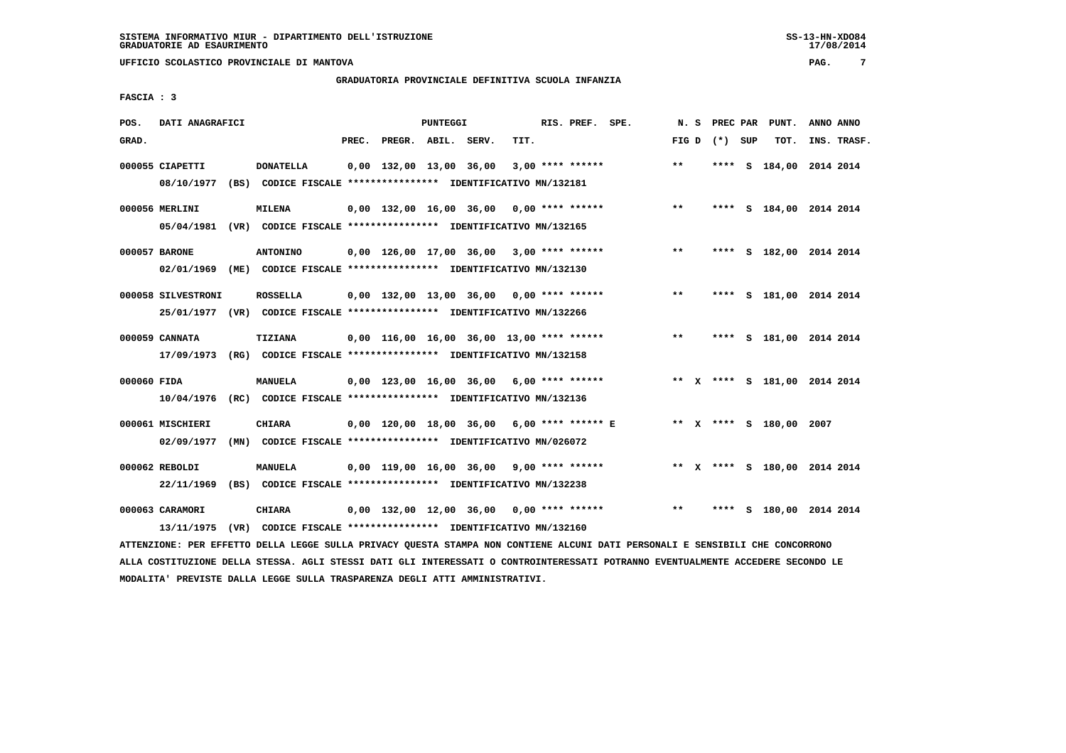# **GRADUATORIA PROVINCIALE DEFINITIVA SCUOLA INFANZIA**

 **FASCIA : 3**

| POS.        | DATI ANAGRAFICI                                                                               |                                                                                   |       |                                             | PUNTEGGI |      | RIS. PREF. SPE.    |                                            | N.S   | PREC PAR        | PUNT.                        | ANNO ANNO |             |
|-------------|-----------------------------------------------------------------------------------------------|-----------------------------------------------------------------------------------|-------|---------------------------------------------|----------|------|--------------------|--------------------------------------------|-------|-----------------|------------------------------|-----------|-------------|
| GRAD.       |                                                                                               |                                                                                   | PREC. | PREGR. ABIL. SERV.                          |          | TIT. |                    |                                            |       | FIG D $(*)$ SUP | TOT.                         |           | INS. TRASF. |
|             | 000055 CIAPETTI<br>08/10/1977                                                                 | <b>DONATELLA</b><br>(BS) CODICE FISCALE **************** IDENTIFICATIVO MN/132181 |       | 0,00 132,00 13,00 36,00                     |          |      | $3,00$ **** ****** |                                            | $***$ |                 | **** S 184,00 2014 2014      |           |             |
|             | 000056 MERLINI<br>05/04/1981                                                                  | <b>MILENA</b><br>(VR) CODICE FISCALE **************** IDENTIFICATIVO MN/132165    |       | $0,00$ 132,00 16,00 36,00 0,00 **** ******  |          |      |                    |                                            | $***$ |                 | **** S 184,00 2014 2014      |           |             |
|             | 000057 BARONE<br>02/01/1969                                                                   | <b>ANTONINO</b><br>(ME) CODICE FISCALE **************** IDENTIFICATIVO MN/132130  |       | $0,00$ 126,00 17,00 36,00 3,00 **** ******  |          |      |                    |                                            | $***$ |                 | **** S 182,00 2014 2014      |           |             |
|             | 000058 SILVESTRONI<br>25/01/1977 (VR) CODICE FISCALE *************** IDENTIFICATIVO MN/132266 | <b>ROSSELLA</b>                                                                   |       | $0.00$ 132.00 13.00 36.00 0.00 **** ******  |          |      |                    |                                            | $***$ |                 | **** S 181,00 2014 2014      |           |             |
|             | 000059 CANNATA<br>17/09/1973                                                                  | TIZIANA<br>(RG) CODICE FISCALE **************** IDENTIFICATIVO MN/132158          |       | $0.00$ 116.00 16.00 36.00 13.00 **** ****** |          |      |                    |                                            | $***$ |                 | **** S 181,00 2014 2014      |           |             |
| 000060 FIDA | 10/04/1976                                                                                    | MANUELA<br>(RC) CODICE FISCALE **************** IDENTIFICATIVO MN/132136          |       | $0,00$ 123,00 16,00 36,00 6,00 **** ******  |          |      |                    |                                            |       |                 | ** X **** S 181,00 2014 2014 |           |             |
|             | 000061 MISCHIERI<br>02/09/1977                                                                | <b>CHIARA</b><br>(MN) CODICE FISCALE **************** IDENTIFICATIVO MN/026072    |       |                                             |          |      |                    | 0,00 120,00 18,00 36,00 6,00 **** ****** E |       |                 | ** X **** S 180,00 2007      |           |             |
|             | 000062 REBOLDI<br>22/11/1969                                                                  | <b>MANUELA</b><br>(BS) CODICE FISCALE **************** IDENTIFICATIVO MN/132238   |       | $0.00$ 119.00 16.00 36.00 9.00 **** ******  |          |      |                    |                                            |       |                 | ** X **** S 180,00 2014 2014 |           |             |
|             | 000063 CARAMORI<br>13/11/1975                                                                 | CHIARA<br>(VR) CODICE FISCALE **************** IDENTIFICATIVO MN/132160           |       | $0,00$ 132,00 12,00 36,00 0,00 **** ******  |          |      |                    |                                            | $* *$ | ****            | s 180,00 2014 2014           |           |             |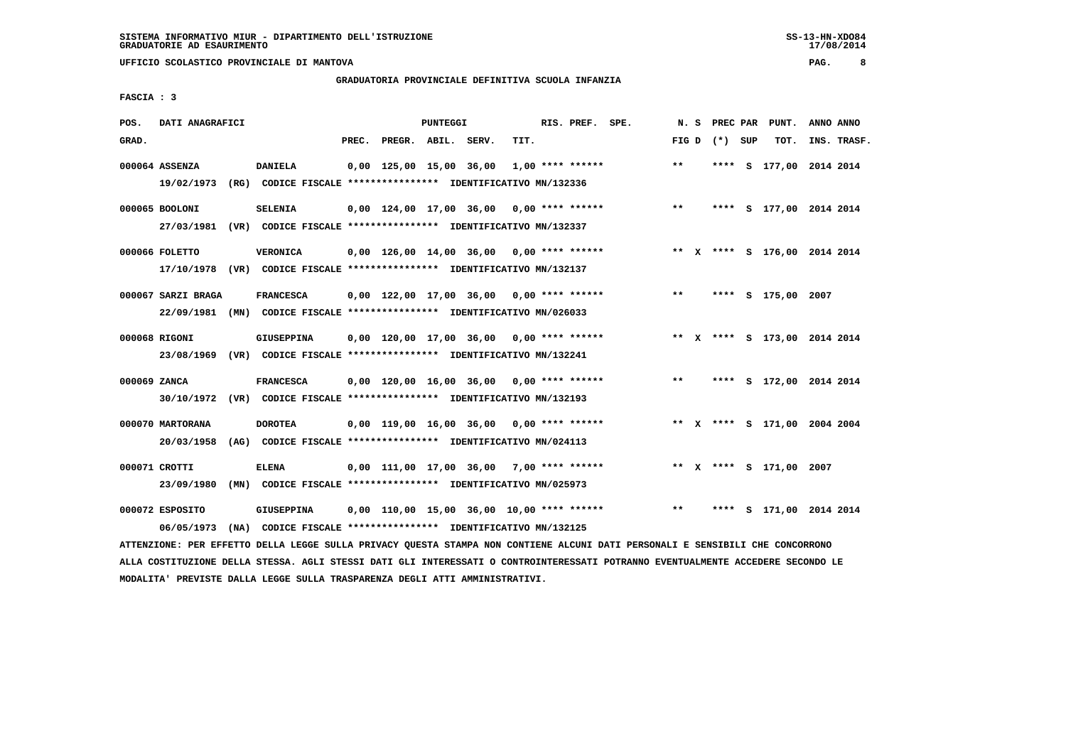# **GRADUATORIA PROVINCIALE DEFINITIVA SCUOLA INFANZIA**

 **FASCIA : 3**

| POS.         | DATI ANAGRAFICI    |                                                                                                                               |       |                    | <b>PUNTEGGI</b> |                                            |      | RIS. PREF. SPE.    |                                           |              |                 | N. S PREC PAR PUNT.          | ANNO ANNO |             |
|--------------|--------------------|-------------------------------------------------------------------------------------------------------------------------------|-------|--------------------|-----------------|--------------------------------------------|------|--------------------|-------------------------------------------|--------------|-----------------|------------------------------|-----------|-------------|
| GRAD.        |                    |                                                                                                                               | PREC. | PREGR. ABIL. SERV. |                 |                                            | TIT. |                    |                                           |              | FIG D $(*)$ SUP | тот.                         |           | INS. TRASF. |
|              | 000064 ASSENZA     | <b>DANIELA</b>                                                                                                                |       |                    |                 | 0,00 125,00 15,00 36,00                    |      | $1,00$ **** ****** |                                           | $\star\star$ |                 | **** S 177,00 2014 2014      |           |             |
|              | 19/02/1973         | (RG) CODICE FISCALE *************** IDENTIFICATIVO MN/132336                                                                  |       |                    |                 |                                            |      |                    |                                           |              |                 |                              |           |             |
|              | 000065 BOOLONI     | <b>SELENIA</b>                                                                                                                |       |                    |                 | $0,00$ 124,00 17,00 36,00 0,00 **** ****** |      |                    |                                           | $***$        |                 | **** S 177,00 2014 2014      |           |             |
|              |                    | 27/03/1981 (VR) CODICE FISCALE *************** IDENTIFICATIVO MN/132337                                                       |       |                    |                 |                                            |      |                    |                                           |              |                 |                              |           |             |
|              | 000066 FOLETTO     | <b>VERONICA</b>                                                                                                               |       |                    |                 |                                            |      |                    | 0,00 126,00 14,00 36,00 0,00 **** ******  |              |                 | ** X **** S 176,00 2014 2014 |           |             |
|              |                    | 17/10/1978 (VR) CODICE FISCALE *************** IDENTIFICATIVO MN/132137                                                       |       |                    |                 |                                            |      |                    |                                           |              |                 |                              |           |             |
|              | 000067 SARZI BRAGA | <b>FRANCESCA</b>                                                                                                              |       |                    |                 | $0,00$ 122,00 17,00 36,00 0,00 **** ****** |      |                    |                                           | $***$        |                 | **** S 175,00 2007           |           |             |
|              |                    | 22/09/1981 (MN) CODICE FISCALE *************** IDENTIFICATIVO MN/026033                                                       |       |                    |                 |                                            |      |                    |                                           |              |                 |                              |           |             |
|              | 000068 RIGONI      | GIUSEPPINA                                                                                                                    |       |                    |                 | $0,00$ 120,00 17,00 36,00 0,00 **** ****** |      |                    |                                           |              |                 | ** X **** S 173,00 2014 2014 |           |             |
|              |                    | 23/08/1969 (VR) CODICE FISCALE *************** IDENTIFICATIVO MN/132241                                                       |       |                    |                 |                                            |      |                    |                                           |              |                 |                              |           |             |
| 000069 ZANCA |                    | <b>FRANCESCA</b>                                                                                                              |       |                    |                 | $0,00$ 120,00 16,00 36,00 0,00 **** ****** |      |                    |                                           | $* *$        |                 | **** S 172,00 2014 2014      |           |             |
|              |                    | 30/10/1972 (VR) CODICE FISCALE *************** IDENTIFICATIVO MN/132193                                                       |       |                    |                 |                                            |      |                    |                                           |              |                 |                              |           |             |
|              | 000070 MARTORANA   | <b>DOROTEA</b>                                                                                                                |       |                    |                 | $0,00$ 119,00 16,00 36,00 0,00 **** ****** |      |                    |                                           |              |                 | ** X **** S 171,00 2004 2004 |           |             |
|              | 20/03/1958         | (AG) CODICE FISCALE **************** IDENTIFICATIVO MN/024113                                                                 |       |                    |                 |                                            |      |                    |                                           |              |                 |                              |           |             |
|              | 000071 CROTTI      | <b>ELENA</b>                                                                                                                  |       |                    |                 | $0,00$ 111,00 17,00 36,00 7,00 **** ****** |      |                    |                                           |              |                 | ** X **** S 171,00 2007      |           |             |
|              | 23/09/1980         | (MN) CODICE FISCALE **************** IDENTIFICATIVO MN/025973                                                                 |       |                    |                 |                                            |      |                    |                                           |              |                 |                              |           |             |
|              | 000072 ESPOSITO    | <b>GIUSEPPINA</b>                                                                                                             |       |                    |                 |                                            |      |                    | 0,00 110,00 15,00 36,00 10,00 **** ****** | $***$        |                 | **** S 171,00 2014 2014      |           |             |
|              | 06/05/1973         | (NA) CODICE FISCALE **************** IDENTIFICATIVO MN/132125                                                                 |       |                    |                 |                                            |      |                    |                                           |              |                 |                              |           |             |
|              |                    | ATTENZIONE: PER EFFETTO DELLA LEGGE SULLA PRIVACY QUESTA STAMPA NON CONTIENE ALCUNI DATI PERSONALI E SENSIBILI CHE CONCORRONO |       |                    |                 |                                            |      |                    |                                           |              |                 |                              |           |             |

 **ALLA COSTITUZIONE DELLA STESSA. AGLI STESSI DATI GLI INTERESSATI O CONTROINTERESSATI POTRANNO EVENTUALMENTE ACCEDERE SECONDO LE MODALITA' PREVISTE DALLA LEGGE SULLA TRASPARENZA DEGLI ATTI AMMINISTRATIVI.**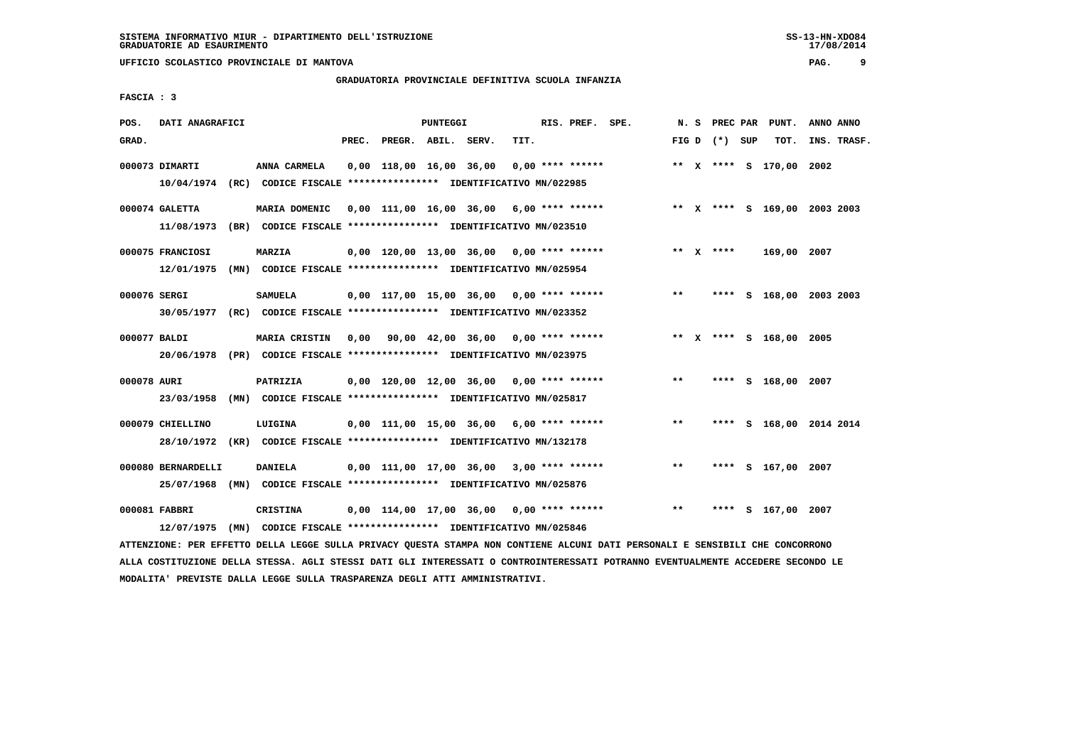**UFFICIO SCOLASTICO PROVINCIALE DI MANTOVA PAG. 9**

#### **GRADUATORIA PROVINCIALE DEFINITIVA SCUOLA INFANZIA**

 **FASCIA : 3**

| POS.         | DATI ANAGRAFICI                |                                                                                          |       |                    | <b>PUNTEGGI</b> |                                            |      | RIS. PREF. SPE.    |                                                                          |       |                 | N. S PREC PAR PUNT.     | ANNO ANNO |             |
|--------------|--------------------------------|------------------------------------------------------------------------------------------|-------|--------------------|-----------------|--------------------------------------------|------|--------------------|--------------------------------------------------------------------------|-------|-----------------|-------------------------|-----------|-------------|
| GRAD.        |                                |                                                                                          | PREC. | PREGR. ABIL. SERV. |                 |                                            | TIT. |                    |                                                                          |       | FIG D $(*)$ SUP | тот.                    |           | INS. TRASF. |
|              | 000073 DIMARTI                 | ANNA CARMELA<br>10/04/1974 (RC) CODICE FISCALE *************** IDENTIFICATIVO MN/022985  |       |                    |                 | 0,00 118,00 16,00 36,00                    |      | $0,00$ **** ****** |                                                                          |       |                 | ** X **** S 170,00 2002 |           |             |
|              | 000074 GALETTA                 | MARIA DOMENIC                                                                            |       |                    |                 |                                            |      |                    | 0,00 111,00 16,00 36,00 6,00 **** ****** * *** X **** S 169,00 2003 2003 |       |                 |                         |           |             |
|              | 000075 FRANCIOSI               | 11/08/1973 (BR) CODICE FISCALE *************** IDENTIFICATIVO MN/023510<br><b>MARZIA</b> |       |                    |                 | $0,00$ 120,00 13,00 36,00 0,00 **** ****** |      |                    |                                                                          |       | ** $X$ ****     | 169,00 2007             |           |             |
|              | 12/01/1975                     | (MN) CODICE FISCALE **************** IDENTIFICATIVO MN/025954                            |       |                    |                 |                                            |      |                    |                                                                          |       |                 |                         |           |             |
| 000076 SERGI | 30/05/1977                     | <b>SAMUELA</b><br>(RC) CODICE FISCALE **************** IDENTIFICATIVO MN/023352          |       |                    |                 | 0,00 117,00 15,00 36,00 0,00 **** ******   |      |                    |                                                                          | $***$ |                 | **** S 168,00 2003 2003 |           |             |
| 000077 BALDI |                                | <b>MARIA CRISTIN</b>                                                                     |       |                    |                 | 0,00 90,00 42,00 36,00 0,00 **** ******    |      |                    |                                                                          |       |                 | ** X **** S 168,00 2005 |           |             |
|              | 20/06/1978                     | (PR) CODICE FISCALE *************** IDENTIFICATIVO MN/023975                             |       |                    |                 |                                            |      |                    |                                                                          |       |                 |                         |           |             |
| 000078 AURI  | 23/03/1958                     | PATRIZIA<br>(MN) CODICE FISCALE **************** IDENTIFICATIVO MN/025817                |       |                    |                 | 0,00 120,00 12,00 36,00 0,00 **** ******   |      |                    |                                                                          | $***$ |                 | **** S 168,00 2007      |           |             |
|              | 000079 CHIELLINO<br>28/10/1972 | LUIGINA<br>(KR) CODICE FISCALE **************** IDENTIFICATIVO MN/132178                 |       |                    |                 | $0,00$ 111,00 15,00 36,00 6,00 **** ****** |      |                    |                                                                          | $***$ |                 | **** S 168,00 2014 2014 |           |             |
|              | 000080 BERNARDELLI             | <b>DANIELA</b>                                                                           |       |                    |                 | $0,00$ 111,00 17,00 36,00 3,00 **** ****** |      |                    |                                                                          | $***$ |                 | **** S 167,00 2007      |           |             |
|              | 25/07/1968<br>000081 FABBRI    | (MN) CODICE FISCALE **************** IDENTIFICATIVO MN/025876<br>CRISTINA                |       |                    |                 | 0,00 114,00 17,00 36,00 0,00 **** ******   |      |                    |                                                                          | $* *$ |                 | **** S 167,00 2007      |           |             |
|              | 12/07/1975                     | (MN) CODICE FISCALE **************** IDENTIFICATIVO MN/025846                            |       |                    |                 |                                            |      |                    |                                                                          |       |                 |                         |           |             |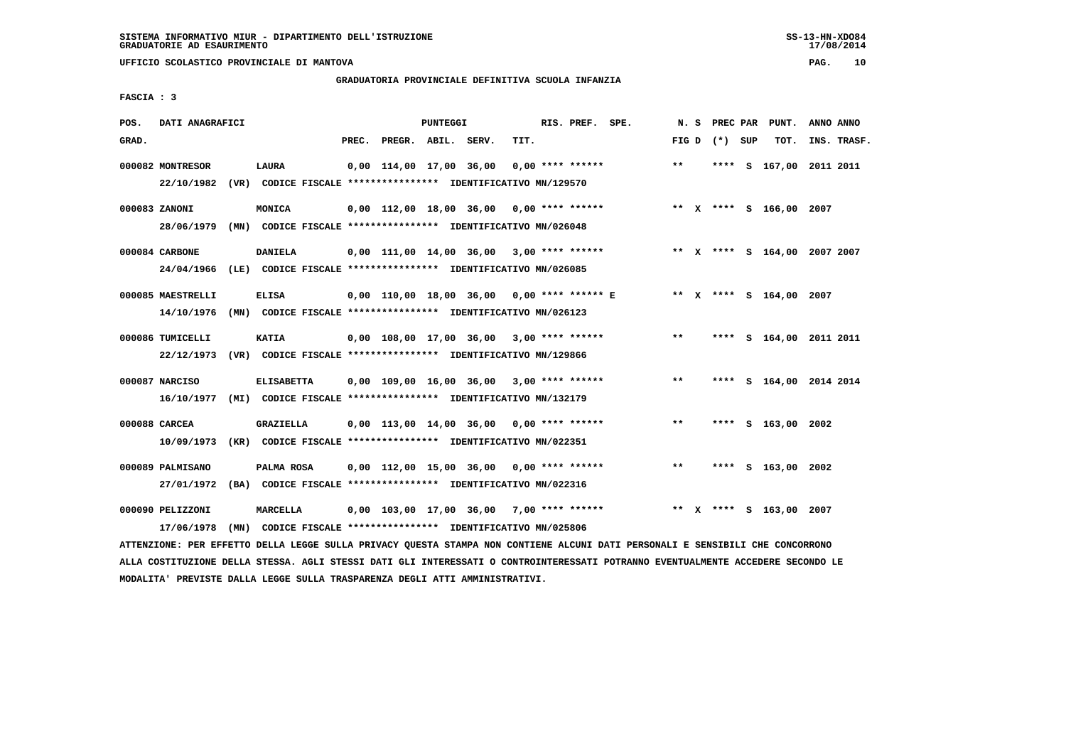# **GRADUATORIA PROVINCIALE DEFINITIVA SCUOLA INFANZIA**

 **FASCIA : 3**

| POS.  | DATI ANAGRAFICI                                                          |                   |       |                         | PUNTEGGI |                                                               |      | RIS. PREF. SPE.    |       |                 | N. S PREC PAR PUNT.          | ANNO ANNO |             |
|-------|--------------------------------------------------------------------------|-------------------|-------|-------------------------|----------|---------------------------------------------------------------|------|--------------------|-------|-----------------|------------------------------|-----------|-------------|
| GRAD. |                                                                          |                   | PREC. | PREGR. ABIL. SERV.      |          |                                                               | TIT. |                    |       | FIG D $(*)$ SUP | тот.                         |           | INS. TRASF. |
|       | 000082 MONTRESOR                                                         | LAURA             |       | 0,00 114,00 17,00 36,00 |          |                                                               |      | $0,00$ **** ****** | $***$ |                 | **** S 167,00 2011 2011      |           |             |
|       | 22/10/1982 (VR) CODICE FISCALE *************** IDENTIFICATIVO MN/129570  |                   |       |                         |          |                                                               |      |                    |       |                 |                              |           |             |
|       | 000083 ZANONI                                                            | MONICA            |       |                         |          | $0,00$ 112,00 18,00 36,00 0,00 **** ******                    |      |                    |       |                 | ** X **** S 166,00 2007      |           |             |
|       | 28/06/1979                                                               |                   |       |                         |          | (MN) CODICE FISCALE **************** IDENTIFICATIVO MN/026048 |      |                    |       |                 |                              |           |             |
|       | 000084 CARBONE                                                           | <b>DANIELA</b>    |       |                         |          | $0,00$ 111,00 14,00 36,00 3,00 **** ******                    |      |                    |       |                 | ** X **** S 164,00 2007 2007 |           |             |
|       | 24/04/1966                                                               |                   |       |                         |          | (LE) CODICE FISCALE *************** IDENTIFICATIVO MN/026085  |      |                    |       |                 |                              |           |             |
|       | 000085 MAESTRELLI                                                        | <b>ELISA</b>      |       |                         |          | $0,00$ 110,00 18,00 36,00 0,00 **** ****** E                  |      |                    |       |                 | ** X **** S 164,00 2007      |           |             |
|       | 14/10/1976                                                               |                   |       |                         |          | (MN) CODICE FISCALE **************** IDENTIFICATIVO MN/026123 |      |                    |       |                 |                              |           |             |
|       | 000086 TUMICELLI                                                         | <b>KATIA</b>      |       |                         |          | $0.00$ 108.00 17.00 36.00 3.00 **** ******                    |      |                    | $***$ |                 | **** S 164,00 2011 2011      |           |             |
|       | 22/12/1973 (VR) CODICE FISCALE *************** IDENTIFICATIVO MN/129866  |                   |       |                         |          |                                                               |      |                    |       |                 |                              |           |             |
|       | 000087 NARCISO                                                           | <b>ELISABETTA</b> |       |                         |          | $0,00$ 109,00 16,00 36,00 3,00 **** ******                    |      |                    | $***$ |                 | **** S 164,00 2014 2014      |           |             |
|       | 16/10/1977 (MI) CODICE FISCALE **************** IDENTIFICATIVO MN/132179 |                   |       |                         |          |                                                               |      |                    |       |                 |                              |           |             |
|       | 000088 CARCEA                                                            | GRAZIELLA         |       |                         |          | $0.00$ 113,00 14,00 36,00 0,00 **** ******                    |      |                    | $* *$ |                 | **** S 163,00 2002           |           |             |
|       | 10/09/1973 (KR) CODICE FISCALE **************** IDENTIFICATIVO MN/022351 |                   |       |                         |          |                                                               |      |                    |       |                 |                              |           |             |
|       | 000089 PALMISANO                                                         | PALMA ROSA        |       |                         |          | $0.00$ 112.00 15.00 36.00 0.00 **** ******                    |      |                    | $* *$ |                 | **** S 163,00 2002           |           |             |
|       | 27/01/1972 (BA) CODICE FISCALE *************** IDENTIFICATIVO MN/022316  |                   |       |                         |          |                                                               |      |                    |       |                 |                              |           |             |
|       | 000090 PELIZZONI                                                         | MARCELLA          |       |                         |          | $0,00$ 103,00 17,00 36,00 7,00 **** ******                    |      |                    |       |                 | ** X **** S 163,00 2007      |           |             |
|       | 17/06/1978                                                               |                   |       |                         |          | (MN) CODICE FISCALE **************** IDENTIFICATIVO MN/025806 |      |                    |       |                 |                              |           |             |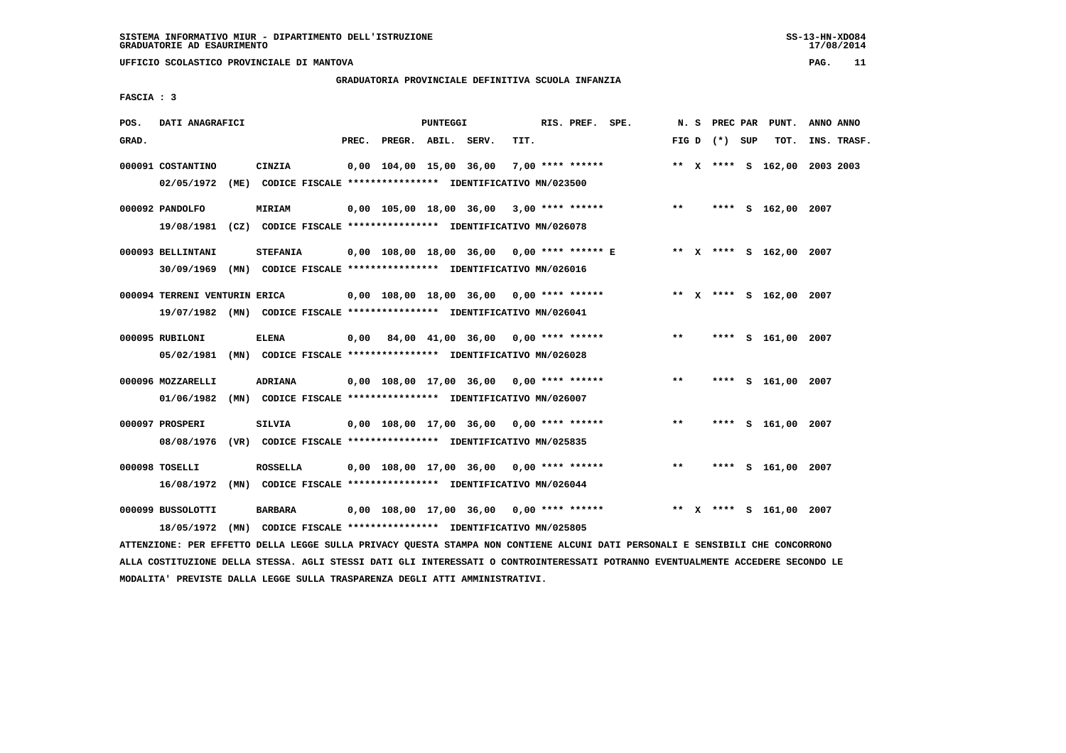### **GRADUATORIA PROVINCIALE DEFINITIVA SCUOLA INFANZIA**

 **FASCIA : 3**

| POS.<br>DATI ANAGRAFICI<br>PUNTEGGI<br>RIS. PREF. SPE.<br>N. S PREC PAR<br>PUNT.<br>ANNO ANNO<br>GRAD.<br>PREC. PREGR. ABIL. SERV.<br>TIT.<br>FIG D $(*)$ SUP<br>TOT.<br>INS. TRASF.<br>000091 COSTANTINO<br>CINZIA<br>$0.00 \quad 104.00 \quad 15.00 \quad 36.00$<br>7,00 **** ******<br>** X **** S 162,00 2003 2003<br>02/05/1972 (ME) CODICE FISCALE *************** IDENTIFICATIVO MN/023500<br>$0,00$ 105,00 18,00 36,00 3,00 **** ******<br>$***$<br>**** S 162,00 2007<br>000092 PANDOLFO<br><b>MIRIAM</b><br>19/08/1981 (CZ) CODICE FISCALE *************** IDENTIFICATIVO MN/026078<br>000093 BELLINTANI<br>0,00 108,00 18,00 36,00 0,00 **** ****** E ** X **** S 162,00 2007<br><b>STEFANIA</b><br>30/09/1969 (MN) CODICE FISCALE *************** IDENTIFICATIVO MN/026016<br>0,00 108,00 18,00 36,00 0,00 **** ******<br>** X **** S 162,00 2007<br>000094 TERRENI VENTURIN ERICA<br>19/07/1982 (MN) CODICE FISCALE *************** IDENTIFICATIVO MN/026041<br>000095 RUBILONI<br><b>ELENA</b><br>$0,00$ 84,00 41,00 36,00 0,00 **** ******<br>$***$<br>**** S 161,00 2007<br>05/02/1981 (MN) CODICE FISCALE *************** IDENTIFICATIVO MN/026028<br>$0,00$ 108,00 17,00 36,00 0,00 **** ******<br>$***$<br>**** S 161,00 2007<br>000096 MOZZARELLI<br>ADRIANA<br>01/06/1982 (MN) CODICE FISCALE *************** IDENTIFICATIVO MN/026007<br>000097 PROSPERI<br>SILVIA<br>$0.00$ 108.00 17.00 36.00 0.00 **** ******<br>**<br>**** S 161,00 2007<br>08/08/1976 (VR) CODICE FISCALE *************** IDENTIFICATIVO MN/025835<br>$***$<br>000098 TOSELLI<br><b>ROSSELLA</b><br>$0,00$ 108,00 17,00 36,00 0,00 **** ******<br>**** S 161,00 2007<br>16/08/1972<br>(MN) CODICE FISCALE **************** IDENTIFICATIVO MN/026044<br>000099 BUSSOLOTTI<br><b>BARBARA</b><br>$0.00$ 108.00 17.00 36.00 0.00 **** ******<br>** x **** s 161,00 2007<br>18/05/1972<br>(MN) CODICE FISCALE **************** IDENTIFICATIVO MN/025805 |  |  |  |  |  |  |  |  |  |  |  |
|-----------------------------------------------------------------------------------------------------------------------------------------------------------------------------------------------------------------------------------------------------------------------------------------------------------------------------------------------------------------------------------------------------------------------------------------------------------------------------------------------------------------------------------------------------------------------------------------------------------------------------------------------------------------------------------------------------------------------------------------------------------------------------------------------------------------------------------------------------------------------------------------------------------------------------------------------------------------------------------------------------------------------------------------------------------------------------------------------------------------------------------------------------------------------------------------------------------------------------------------------------------------------------------------------------------------------------------------------------------------------------------------------------------------------------------------------------------------------------------------------------------------------------------------------------------------------------------------------------------------------------------------------------------------------------------------------------------------------------------------------------------------------------------------------------------------------------------------------------------------------------------------------------------------------------------------------|--|--|--|--|--|--|--|--|--|--|--|
|                                                                                                                                                                                                                                                                                                                                                                                                                                                                                                                                                                                                                                                                                                                                                                                                                                                                                                                                                                                                                                                                                                                                                                                                                                                                                                                                                                                                                                                                                                                                                                                                                                                                                                                                                                                                                                                                                                                                               |  |  |  |  |  |  |  |  |  |  |  |
|                                                                                                                                                                                                                                                                                                                                                                                                                                                                                                                                                                                                                                                                                                                                                                                                                                                                                                                                                                                                                                                                                                                                                                                                                                                                                                                                                                                                                                                                                                                                                                                                                                                                                                                                                                                                                                                                                                                                               |  |  |  |  |  |  |  |  |  |  |  |
|                                                                                                                                                                                                                                                                                                                                                                                                                                                                                                                                                                                                                                                                                                                                                                                                                                                                                                                                                                                                                                                                                                                                                                                                                                                                                                                                                                                                                                                                                                                                                                                                                                                                                                                                                                                                                                                                                                                                               |  |  |  |  |  |  |  |  |  |  |  |
|                                                                                                                                                                                                                                                                                                                                                                                                                                                                                                                                                                                                                                                                                                                                                                                                                                                                                                                                                                                                                                                                                                                                                                                                                                                                                                                                                                                                                                                                                                                                                                                                                                                                                                                                                                                                                                                                                                                                               |  |  |  |  |  |  |  |  |  |  |  |
|                                                                                                                                                                                                                                                                                                                                                                                                                                                                                                                                                                                                                                                                                                                                                                                                                                                                                                                                                                                                                                                                                                                                                                                                                                                                                                                                                                                                                                                                                                                                                                                                                                                                                                                                                                                                                                                                                                                                               |  |  |  |  |  |  |  |  |  |  |  |
|                                                                                                                                                                                                                                                                                                                                                                                                                                                                                                                                                                                                                                                                                                                                                                                                                                                                                                                                                                                                                                                                                                                                                                                                                                                                                                                                                                                                                                                                                                                                                                                                                                                                                                                                                                                                                                                                                                                                               |  |  |  |  |  |  |  |  |  |  |  |
|                                                                                                                                                                                                                                                                                                                                                                                                                                                                                                                                                                                                                                                                                                                                                                                                                                                                                                                                                                                                                                                                                                                                                                                                                                                                                                                                                                                                                                                                                                                                                                                                                                                                                                                                                                                                                                                                                                                                               |  |  |  |  |  |  |  |  |  |  |  |
|                                                                                                                                                                                                                                                                                                                                                                                                                                                                                                                                                                                                                                                                                                                                                                                                                                                                                                                                                                                                                                                                                                                                                                                                                                                                                                                                                                                                                                                                                                                                                                                                                                                                                                                                                                                                                                                                                                                                               |  |  |  |  |  |  |  |  |  |  |  |
|                                                                                                                                                                                                                                                                                                                                                                                                                                                                                                                                                                                                                                                                                                                                                                                                                                                                                                                                                                                                                                                                                                                                                                                                                                                                                                                                                                                                                                                                                                                                                                                                                                                                                                                                                                                                                                                                                                                                               |  |  |  |  |  |  |  |  |  |  |  |
|                                                                                                                                                                                                                                                                                                                                                                                                                                                                                                                                                                                                                                                                                                                                                                                                                                                                                                                                                                                                                                                                                                                                                                                                                                                                                                                                                                                                                                                                                                                                                                                                                                                                                                                                                                                                                                                                                                                                               |  |  |  |  |  |  |  |  |  |  |  |
|                                                                                                                                                                                                                                                                                                                                                                                                                                                                                                                                                                                                                                                                                                                                                                                                                                                                                                                                                                                                                                                                                                                                                                                                                                                                                                                                                                                                                                                                                                                                                                                                                                                                                                                                                                                                                                                                                                                                               |  |  |  |  |  |  |  |  |  |  |  |
|                                                                                                                                                                                                                                                                                                                                                                                                                                                                                                                                                                                                                                                                                                                                                                                                                                                                                                                                                                                                                                                                                                                                                                                                                                                                                                                                                                                                                                                                                                                                                                                                                                                                                                                                                                                                                                                                                                                                               |  |  |  |  |  |  |  |  |  |  |  |
|                                                                                                                                                                                                                                                                                                                                                                                                                                                                                                                                                                                                                                                                                                                                                                                                                                                                                                                                                                                                                                                                                                                                                                                                                                                                                                                                                                                                                                                                                                                                                                                                                                                                                                                                                                                                                                                                                                                                               |  |  |  |  |  |  |  |  |  |  |  |
|                                                                                                                                                                                                                                                                                                                                                                                                                                                                                                                                                                                                                                                                                                                                                                                                                                                                                                                                                                                                                                                                                                                                                                                                                                                                                                                                                                                                                                                                                                                                                                                                                                                                                                                                                                                                                                                                                                                                               |  |  |  |  |  |  |  |  |  |  |  |
|                                                                                                                                                                                                                                                                                                                                                                                                                                                                                                                                                                                                                                                                                                                                                                                                                                                                                                                                                                                                                                                                                                                                                                                                                                                                                                                                                                                                                                                                                                                                                                                                                                                                                                                                                                                                                                                                                                                                               |  |  |  |  |  |  |  |  |  |  |  |
|                                                                                                                                                                                                                                                                                                                                                                                                                                                                                                                                                                                                                                                                                                                                                                                                                                                                                                                                                                                                                                                                                                                                                                                                                                                                                                                                                                                                                                                                                                                                                                                                                                                                                                                                                                                                                                                                                                                                               |  |  |  |  |  |  |  |  |  |  |  |
|                                                                                                                                                                                                                                                                                                                                                                                                                                                                                                                                                                                                                                                                                                                                                                                                                                                                                                                                                                                                                                                                                                                                                                                                                                                                                                                                                                                                                                                                                                                                                                                                                                                                                                                                                                                                                                                                                                                                               |  |  |  |  |  |  |  |  |  |  |  |
|                                                                                                                                                                                                                                                                                                                                                                                                                                                                                                                                                                                                                                                                                                                                                                                                                                                                                                                                                                                                                                                                                                                                                                                                                                                                                                                                                                                                                                                                                                                                                                                                                                                                                                                                                                                                                                                                                                                                               |  |  |  |  |  |  |  |  |  |  |  |
|                                                                                                                                                                                                                                                                                                                                                                                                                                                                                                                                                                                                                                                                                                                                                                                                                                                                                                                                                                                                                                                                                                                                                                                                                                                                                                                                                                                                                                                                                                                                                                                                                                                                                                                                                                                                                                                                                                                                               |  |  |  |  |  |  |  |  |  |  |  |
|                                                                                                                                                                                                                                                                                                                                                                                                                                                                                                                                                                                                                                                                                                                                                                                                                                                                                                                                                                                                                                                                                                                                                                                                                                                                                                                                                                                                                                                                                                                                                                                                                                                                                                                                                                                                                                                                                                                                               |  |  |  |  |  |  |  |  |  |  |  |
|                                                                                                                                                                                                                                                                                                                                                                                                                                                                                                                                                                                                                                                                                                                                                                                                                                                                                                                                                                                                                                                                                                                                                                                                                                                                                                                                                                                                                                                                                                                                                                                                                                                                                                                                                                                                                                                                                                                                               |  |  |  |  |  |  |  |  |  |  |  |
|                                                                                                                                                                                                                                                                                                                                                                                                                                                                                                                                                                                                                                                                                                                                                                                                                                                                                                                                                                                                                                                                                                                                                                                                                                                                                                                                                                                                                                                                                                                                                                                                                                                                                                                                                                                                                                                                                                                                               |  |  |  |  |  |  |  |  |  |  |  |
|                                                                                                                                                                                                                                                                                                                                                                                                                                                                                                                                                                                                                                                                                                                                                                                                                                                                                                                                                                                                                                                                                                                                                                                                                                                                                                                                                                                                                                                                                                                                                                                                                                                                                                                                                                                                                                                                                                                                               |  |  |  |  |  |  |  |  |  |  |  |
|                                                                                                                                                                                                                                                                                                                                                                                                                                                                                                                                                                                                                                                                                                                                                                                                                                                                                                                                                                                                                                                                                                                                                                                                                                                                                                                                                                                                                                                                                                                                                                                                                                                                                                                                                                                                                                                                                                                                               |  |  |  |  |  |  |  |  |  |  |  |
|                                                                                                                                                                                                                                                                                                                                                                                                                                                                                                                                                                                                                                                                                                                                                                                                                                                                                                                                                                                                                                                                                                                                                                                                                                                                                                                                                                                                                                                                                                                                                                                                                                                                                                                                                                                                                                                                                                                                               |  |  |  |  |  |  |  |  |  |  |  |
|                                                                                                                                                                                                                                                                                                                                                                                                                                                                                                                                                                                                                                                                                                                                                                                                                                                                                                                                                                                                                                                                                                                                                                                                                                                                                                                                                                                                                                                                                                                                                                                                                                                                                                                                                                                                                                                                                                                                               |  |  |  |  |  |  |  |  |  |  |  |
|                                                                                                                                                                                                                                                                                                                                                                                                                                                                                                                                                                                                                                                                                                                                                                                                                                                                                                                                                                                                                                                                                                                                                                                                                                                                                                                                                                                                                                                                                                                                                                                                                                                                                                                                                                                                                                                                                                                                               |  |  |  |  |  |  |  |  |  |  |  |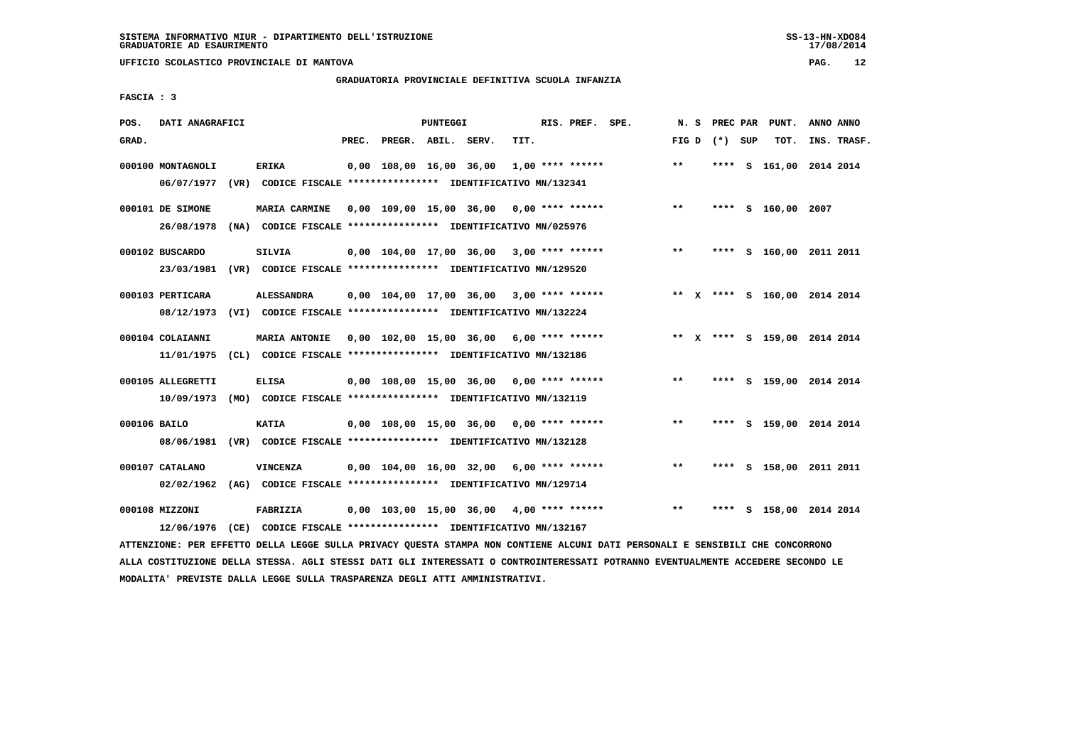**UFFICIO SCOLASTICO PROVINCIALE DI MANTOVA PAG. 12**

# **GRADUATORIA PROVINCIALE DEFINITIVA SCUOLA INFANZIA**

 **FASCIA : 3**

| POS.         | DATI ANAGRAFICI                 |                                                                               |       |                         | PUNTEGGI |                                                    |      | RIS. PREF. SPE.    | N.S   | PREC PAR        | PUNT.                        | ANNO ANNO   |
|--------------|---------------------------------|-------------------------------------------------------------------------------|-------|-------------------------|----------|----------------------------------------------------|------|--------------------|-------|-----------------|------------------------------|-------------|
| GRAD.        |                                 |                                                                               | PREC. | PREGR. ABIL. SERV.      |          |                                                    | TIT. |                    |       | FIG D $(*)$ SUP | тот.                         | INS. TRASF. |
|              | 000100 MONTAGNOLI<br>06/07/1977 | <b>ERIKA</b><br>(VR) CODICE FISCALE **************** IDENTIFICATIVO MN/132341 |       | 0,00 108,00 16,00 36,00 |          |                                                    |      | $1,00$ **** ****** | $**$  |                 | **** S 161,00 2014 2014      |             |
|              |                                 |                                                                               |       |                         |          |                                                    |      |                    |       |                 |                              |             |
|              | 000101 DE SIMONE                | <b>MARIA CARMINE</b>                                                          |       | 0,00 109,00 15,00 36,00 |          |                                                    |      | 0,00 **** ******   | **    |                 | **** S 160,00 2007           |             |
|              | 26/08/1978                      | (NA) CODICE FISCALE **************** IDENTIFICATIVO MN/025976                 |       |                         |          |                                                    |      |                    |       |                 |                              |             |
|              | 000102 BUSCARDO                 | <b>SILVIA</b>                                                                 |       |                         |          | $0.00$ 104.00 17,00 36,00 3,00 **** ******         |      |                    | $***$ |                 | **** S 160,00 2011 2011      |             |
|              | 23/03/1981                      | (VR) CODICE FISCALE **************** IDENTIFICATIVO MN/129520                 |       |                         |          |                                                    |      |                    |       |                 |                              |             |
|              | 000103 PERTICARA                | <b>ALESSANDRA</b>                                                             |       |                         |          | $0,00$ $104,00$ $17,00$ $36,00$ $3,00$ **** ****** |      |                    |       |                 | ** X **** S 160,00 2014 2014 |             |
|              | 08/12/1973                      | (VI) CODICE FISCALE **************** IDENTIFICATIVO MN/132224                 |       |                         |          |                                                    |      |                    |       |                 |                              |             |
|              | 000104 COLAIANNI                | MARIA ANTONIE                                                                 |       |                         |          | 0,00 102,00 15,00 36,00                            |      | $6.00$ **** ****** |       |                 | ** X **** S 159,00 2014 2014 |             |
|              | 11/01/1975                      | (CL) CODICE FISCALE *************** IDENTIFICATIVO MN/132186                  |       |                         |          |                                                    |      |                    |       |                 |                              |             |
|              | 000105 ALLEGRETTI               | <b>ELISA</b>                                                                  |       |                         |          | $0,00$ 108,00 15,00 36,00 0,00 **** ******         |      |                    | $* *$ |                 | **** S 159,00 2014 2014      |             |
|              | 10/09/1973                      | (MO) CODICE FISCALE **************** IDENTIFICATIVO MN/132119                 |       |                         |          |                                                    |      |                    |       |                 |                              |             |
| 000106 BAILO |                                 | <b>KATIA</b>                                                                  |       | 0,00 108,00 15,00 36,00 |          |                                                    |      | $0.00$ **** ****** | $***$ |                 | **** S 159,00 2014 2014      |             |
|              | 08/06/1981                      | (VR) CODICE FISCALE **************** IDENTIFICATIVO MN/132128                 |       |                         |          |                                                    |      |                    |       |                 |                              |             |
|              |                                 |                                                                               |       |                         |          |                                                    |      |                    | $***$ |                 |                              |             |
|              | 000107 CATALANO<br>02/02/1962   | VINCENZA<br>(AG) CODICE FISCALE **************** IDENTIFICATIVO MN/129714     |       |                         |          | 0,00 104,00 16,00 32,00                            |      | 6,00 **** ******   |       | ****            | S 158,00 2011 2011           |             |
|              |                                 |                                                                               |       |                         |          |                                                    |      |                    |       |                 |                              |             |
|              | 000108 MIZZONI                  | FABRIZIA                                                                      |       |                         |          | 0,00 103,00 15,00 36,00                            |      | $4.00$ **** ****** | $**$  | ****            | S 158,00 2014 2014           |             |
|              | 12/06/1976                      | (CE) CODICE FISCALE **************** IDENTIFICATIVO MN/132167                 |       |                         |          |                                                    |      |                    |       |                 |                              |             |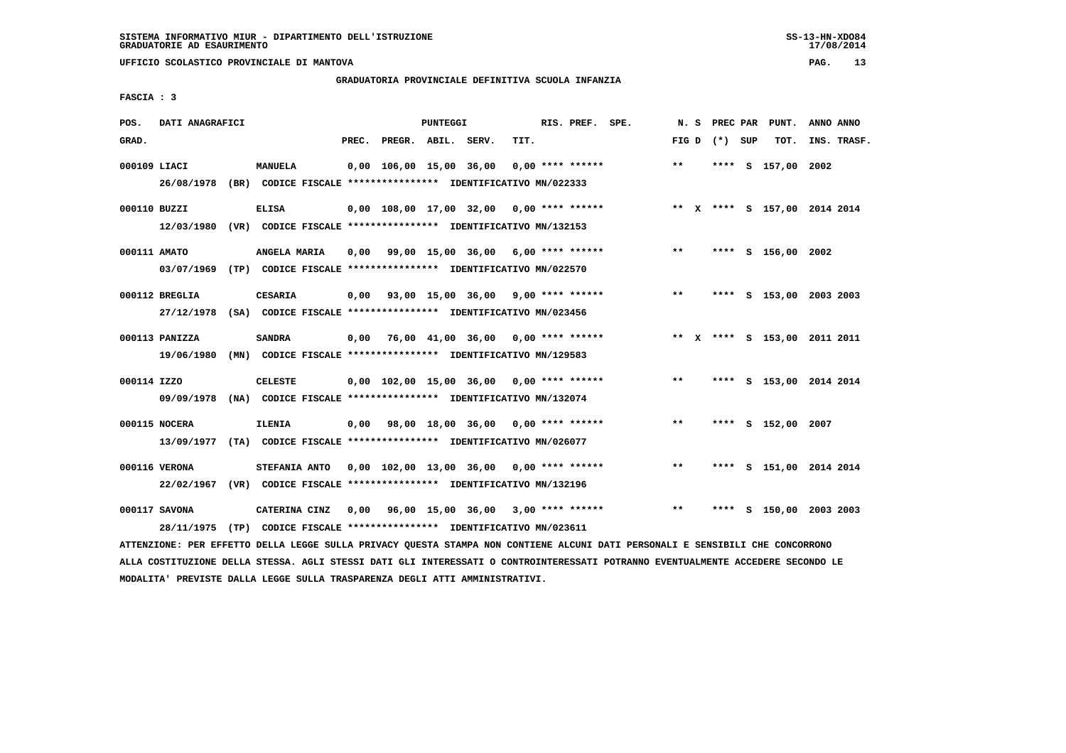**UFFICIO SCOLASTICO PROVINCIALE DI MANTOVA PAG. 13**

# **GRADUATORIA PROVINCIALE DEFINITIVA SCUOLA INFANZIA**

 **FASCIA : 3**

| POS.         | DATI ANAGRAFICI              |                                                                                           |       |                         | PUNTEGGI |                                           |      | RIS. PREF. SPE.  |                                                                           |       |                 | N. S PREC PAR PUNT.          | ANNO ANNO |             |
|--------------|------------------------------|-------------------------------------------------------------------------------------------|-------|-------------------------|----------|-------------------------------------------|------|------------------|---------------------------------------------------------------------------|-------|-----------------|------------------------------|-----------|-------------|
| GRAD.        |                              |                                                                                           | PREC. | PREGR. ABIL. SERV.      |          |                                           | TIT. |                  |                                                                           |       | FIG D $(*)$ SUP | тот.                         |           | INS. TRASF. |
| 000109 LIACI |                              | <b>MANUELA</b><br>26/08/1978 (BR) CODICE FISCALE *************** IDENTIFICATIVO MN/022333 |       | 0,00 106,00 15,00 36,00 |          |                                           |      | 0,00 **** ****** |                                                                           | $* *$ |                 | **** S 157,00 2002           |           |             |
| 000110 BUZZI |                              | <b>ELISA</b><br>12/03/1980 (VR) CODICE FISCALE **************** IDENTIFICATIVO MN/132153  |       |                         |          |                                           |      |                  | 0,00 108,00 17,00 32,00 0,00 **** ****** * *** * **** \$ 157,00 2014 2014 |       |                 |                              |           |             |
| 000111 AMATO |                              | ANGELA MARIA<br>03/07/1969 (TP) CODICE FISCALE *************** IDENTIFICATIVO MN/022570   | 0.00  |                         |          | 99,00 15,00 36,00 6,00 **** ******        |      |                  |                                                                           | $***$ |                 | **** S 156,00 2002           |           |             |
|              | 000112 BREGLIA               | <b>CESARIA</b><br>27/12/1978 (SA) CODICE FISCALE *************** IDENTIFICATIVO MN/023456 |       |                         |          |                                           |      |                  | $0.00$ $93.00$ $15.00$ $36.00$ $9.00$ $***$ $***$ $*$                     | $***$ |                 | **** S 153,00 2003 2003      |           |             |
|              | 000113 PANIZZA<br>19/06/1980 | <b>SANDRA</b><br>(MN) CODICE FISCALE *************** IDENTIFICATIVO MN/129583             |       |                         |          | 0,00 76,00 41,00 36,00 0,00 **** ******   |      |                  |                                                                           |       |                 | ** X **** S 153,00 2011 2011 |           |             |
| 000114 IZZO  |                              | <b>CELESTE</b><br>09/09/1978 (NA) CODICE FISCALE *************** IDENTIFICATIVO MN/132074 |       |                         |          |                                           |      |                  | $0,00$ 102,00 15,00 36,00 0,00 **** ******                                | $***$ |                 | **** S 153,00 2014 2014      |           |             |
|              | 000115 NOCERA                | <b>ILENIA</b><br>13/09/1977 (TA) CODICE FISCALE *************** IDENTIFICATIVO MN/026077  |       |                         |          | $0,00$ 98,00 18,00 36,00 0,00 **** ****** |      |                  |                                                                           | $* *$ |                 | **** S 152,00 2007           |           |             |
|              | 000116 VERONA                | STEFANIA ANTO<br>22/02/1967 (VR) CODICE FISCALE *************** IDENTIFICATIVO MN/132196  |       |                         |          | 0,00 102,00 13,00 36,00 0,00 **** ******  |      |                  |                                                                           | $* *$ |                 | **** S 151,00 2014 2014      |           |             |
|              | 000117 SAVONA                | CATERINA CINZ<br>28/11/1975 (TP) CODICE FISCALE *************** IDENTIFICATIVO MN/023611  |       |                         |          | $0,00$ 96,00 15,00 36,00 3,00 **** ****** |      |                  |                                                                           | $***$ |                 | **** S 150,00 2003 2003      |           |             |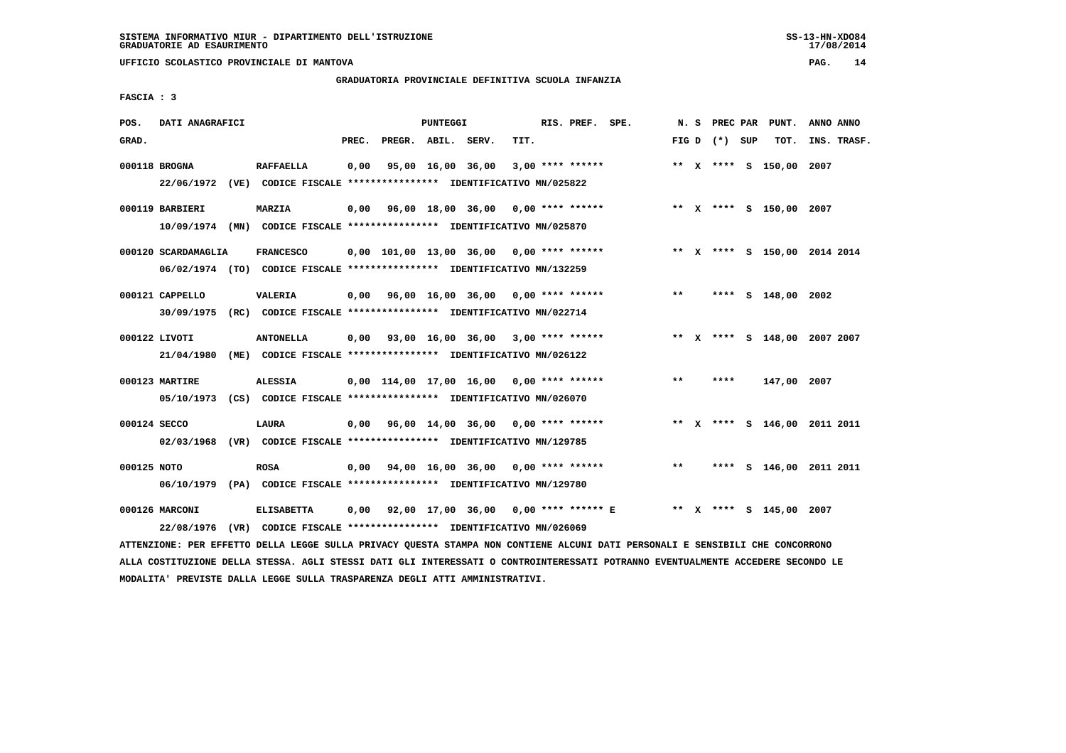**UFFICIO SCOLASTICO PROVINCIALE DI MANTOVA PAG. 14**

# **GRADUATORIA PROVINCIALE DEFINITIVA SCUOLA INFANZIA**

 **FASCIA : 3**

| POS.         | DATI ANAGRAFICI     |                                                                                              |       |                                                         | PUNTEGGI |                   |      | RIS. PREF. SPE.    |                                                                     |       | N. S PREC PAR   | PUNT.                   | ANNO ANNO                    |
|--------------|---------------------|----------------------------------------------------------------------------------------------|-------|---------------------------------------------------------|----------|-------------------|------|--------------------|---------------------------------------------------------------------|-------|-----------------|-------------------------|------------------------------|
| GRAD.        |                     |                                                                                              | PREC. | PREGR. ABIL. SERV.                                      |          |                   | TIT. |                    |                                                                     |       | FIG D $(*)$ SUP | тот.                    | INS. TRASF.                  |
|              | 000118 BROGNA       | <b>RAFFAELLA</b><br>22/06/1972 (VE) CODICE FISCALE *************** IDENTIFICATIVO MN/025822  | 0,00  |                                                         |          | 95,00 16,00 36,00 |      | $3,00$ **** ****** |                                                                     |       |                 | ** X **** S 150,00 2007 |                              |
|              | 000119 BARBIERI     | MARZIA<br>10/09/1974 (MN) CODICE FISCALE *************** IDENTIFICATIVO MN/025870            |       | $0,00$ $96,00$ $18,00$ $36,00$ $0,00$ $***$ **** ****** |          |                   |      |                    |                                                                     |       |                 | ** X **** S 150,00 2007 |                              |
|              | 000120 SCARDAMAGLIA | <b>FRANCESCO</b><br>06/02/1974 (TO) CODICE FISCALE *************** IDENTIFICATIVO MN/132259  |       | $0,00$ 101,00 13,00 36,00 0,00 **** ******              |          |                   |      |                    |                                                                     |       |                 |                         | ** X **** S 150,00 2014 2014 |
|              | 000121 CAPPELLO     | <b>VALERIA</b><br>30/09/1975 (RC) CODICE FISCALE *************** IDENTIFICATIVO MN/022714    |       | $0,00$ $96,00$ $16,00$ $36,00$ $0,00$ $***$ **** *****  |          |                   |      |                    |                                                                     | $***$ |                 | **** S 148,00 2002      |                              |
|              | 000122 LIVOTI       | <b>ANTONELLA</b><br>21/04/1980 (ME) CODICE FISCALE *************** IDENTIFICATIVO MN/026122  |       | $0,00$ $93,00$ $16,00$ $36,00$ $3,00$ $***$ **** ****** |          |                   |      |                    |                                                                     |       |                 |                         | ** X **** S 148,00 2007 2007 |
|              | 000123 MARTIRE      | <b>ALESSIA</b><br>05/10/1973 (CS) CODICE FISCALE *************** IDENTIFICATIVO MN/026070    |       | $0,00$ 114,00 17,00 16,00 0,00 **** ******              |          |                   |      |                    |                                                                     | $***$ | ****            | 147,00 2007             |                              |
| 000124 SECCO |                     | <b>LAURA</b><br>02/03/1968 (VR) CODICE FISCALE *************** IDENTIFICATIVO MN/129785      |       | $0,00$ 96,00 14,00 36,00 0,00 **** ******               |          |                   |      |                    |                                                                     |       |                 |                         | ** X **** S 146,00 2011 2011 |
| 000125 NOTO  |                     | <b>ROSA</b><br>06/10/1979 (PA) CODICE FISCALE **************** IDENTIFICATIVO MN/129780      |       | $0,00$ $94,00$ $16,00$ $36,00$ $0,00$ $***$ **** ****** |          |                   |      |                    |                                                                     | $***$ |                 |                         | **** S 146,00 2011 2011      |
|              | 000126 MARCONI      | <b>ELISABETTA</b><br>22/08/1976 (VR) CODICE FISCALE *************** IDENTIFICATIVO MN/026069 | 0,00  |                                                         |          |                   |      |                    | 92,00 17,00 36,00  0,00 **** ****** E      **  X **** S 145,00 2007 |       |                 |                         |                              |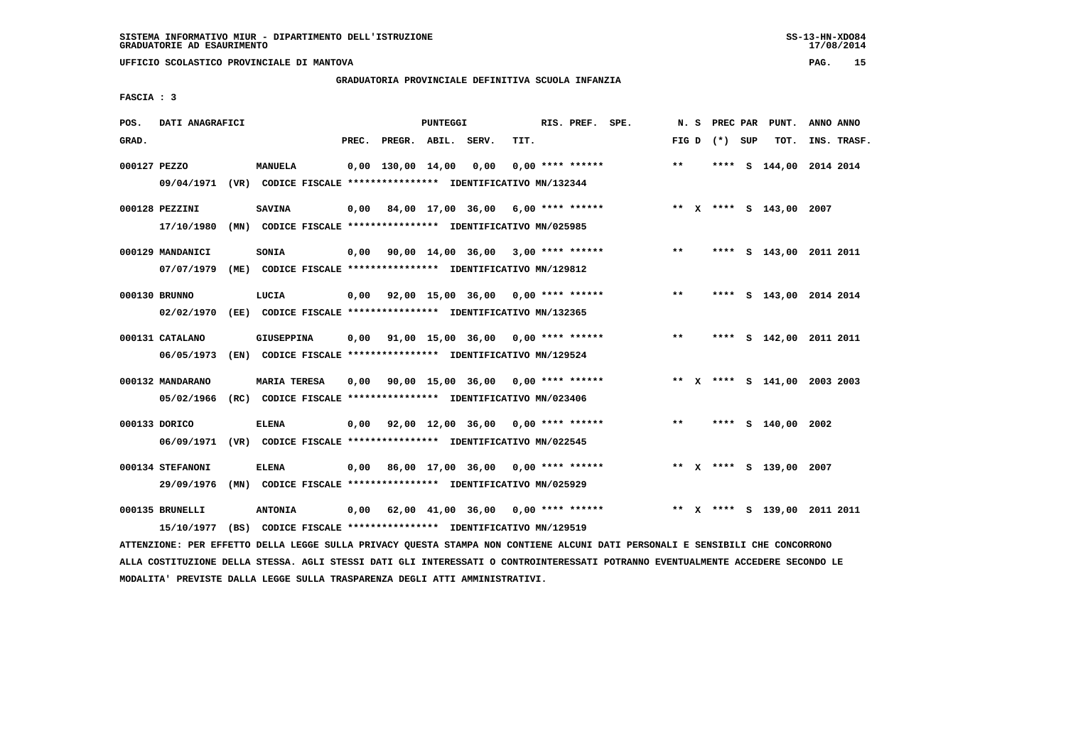**UFFICIO SCOLASTICO PROVINCIALE DI MANTOVA PAG. 15**

# **GRADUATORIA PROVINCIALE DEFINITIVA SCUOLA INFANZIA**

 **FASCIA : 3**

| POS.         | DATI ANAGRAFICI                |                                                                                           |       |                   | PUNTEGGI |                                                         |      | RIS. PREF. SPE.    |              | N. S | PREC PAR        | PUNT.                        | ANNO ANNO |             |
|--------------|--------------------------------|-------------------------------------------------------------------------------------------|-------|-------------------|----------|---------------------------------------------------------|------|--------------------|--------------|------|-----------------|------------------------------|-----------|-------------|
| GRAD.        |                                |                                                                                           | PREC. | PREGR. ABIL.      |          | SERV.                                                   | TIT. |                    |              |      | FIG D $(*)$ SUP | TOT.                         |           | INS. TRASF. |
| 000127 PEZZO |                                | <b>MANUELA</b><br>09/04/1971 (VR) CODICE FISCALE *************** IDENTIFICATIVO MN/132344 |       | 0,00 130,00 14,00 |          | 0,00                                                    |      | $0.00$ **** ****** | $\star\star$ |      |                 | **** S 144,00 2014 2014      |           |             |
|              | 000128 PEZZINI<br>17/10/1980   | <b>SAVINA</b><br>(MN) CODICE FISCALE *************** IDENTIFICATIVO MN/025985             | 0,00  |                   |          | 84,00 17,00 36,00 6,00 **** ******                      |      |                    |              |      |                 | ** X **** S 143,00 2007      |           |             |
|              | 000129 MANDANICI<br>07/07/1979 | SONIA<br>(ME) CODICE FISCALE **************** IDENTIFICATIVO MN/129812                    | 0,00  |                   |          | 90,00 $14,00$ 36,00 3,00 **** ******                    |      |                    | $* *$        |      |                 | **** S 143,00 2011 2011      |           |             |
|              | 000130 BRUNNO<br>02/02/1970    | LUCIA<br>(EE) CODICE FISCALE **************** IDENTIFICATIVO MN/132365                    |       |                   |          | $0,00$ 92,00 15,00 36,00 0,00 **** ******               |      |                    | $* *$        |      |                 | **** S 143,00 2014 2014      |           |             |
|              | 000131 CATALANO<br>06/05/1973  | <b>GIUSEPPINA</b><br>(EN) CODICE FISCALE **************** IDENTIFICATIVO MN/129524        | 0,00  |                   |          | 91,00 15,00 36,00 0,00 **** ******                      |      |                    | $***$        |      |                 | **** S 142,00 2011 2011      |           |             |
|              | 000132 MANDARANO<br>05/02/1966 | <b>MARIA TERESA</b><br>(RC) CODICE FISCALE **************** IDENTIFICATIVO MN/023406      | 0.00  |                   |          | 90,00 15,00 36,00 0,00 **** ******                      |      |                    |              |      |                 | ** X **** S 141,00 2003 2003 |           |             |
|              | 000133 DORICO<br>06/09/1971    | <b>ELENA</b><br>(VR) CODICE FISCALE **************** IDENTIFICATIVO MN/022545             |       |                   |          | $0,00$ $92,00$ $12,00$ $36,00$ $0,00$ $***$ **** ****** |      |                    | $***$        |      |                 | **** S 140,00 2002           |           |             |
|              | 000134 STEFANONI<br>29/09/1976 | <b>ELENA</b><br>(MN) CODICE FISCALE **************** IDENTIFICATIVO MN/025929             | 0,00  |                   |          | 86,00 17,00 36,00 0,00 **** ******                      |      |                    |              |      |                 | ** X **** S 139,00 2007      |           |             |
|              | 000135 BRUNELLI<br>15/10/1977  | <b>ANTONIA</b><br>(BS) CODICE FISCALE **************** IDENTIFICATIVO MN/129519           | 0,00  |                   |          | 62,00 41,00 36,00                                       |      | $0.00$ **** ****** |              |      |                 | ** X **** S 139,00 2011 2011 |           |             |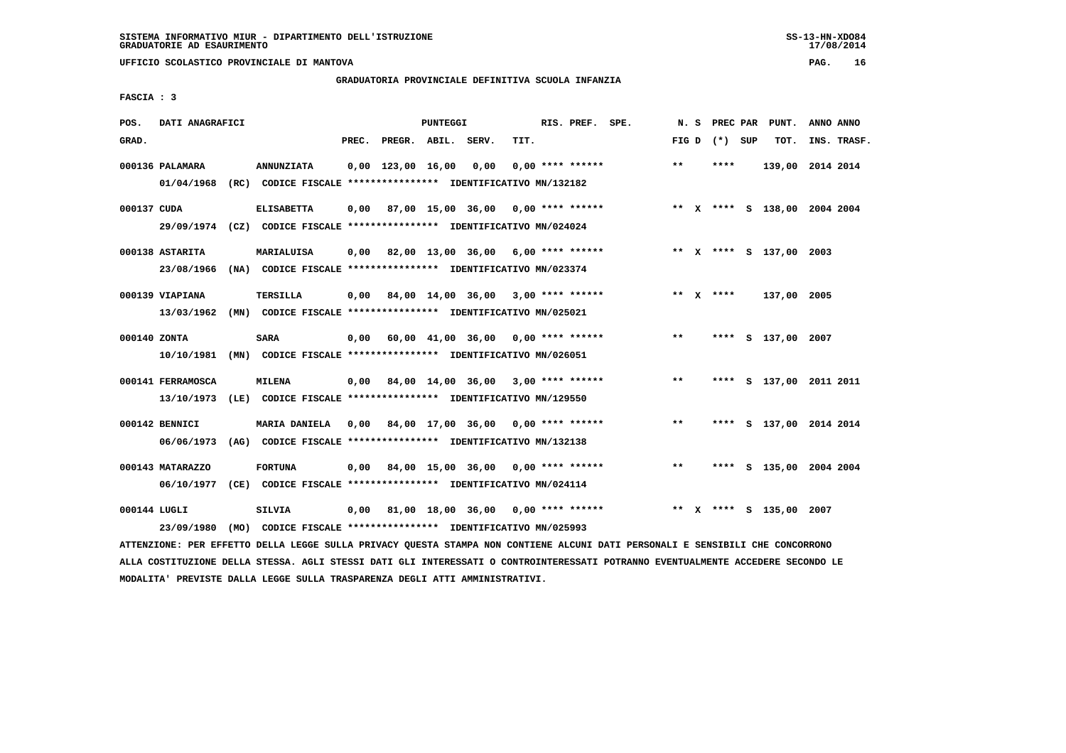**UFFICIO SCOLASTICO PROVINCIALE DI MANTOVA PAG. 16**

### **GRADUATORIA PROVINCIALE DEFINITIVA SCUOLA INFANZIA**

 **FASCIA : 3**

| POS.         | DATI ANAGRAFICI                |                                                                                              |       |                     | PUNTEGGI |                                                  |      | RIS. PREF. SPE.    |       |                 | N. S PREC PAR PUNT.          | ANNO ANNO |             |
|--------------|--------------------------------|----------------------------------------------------------------------------------------------|-------|---------------------|----------|--------------------------------------------------|------|--------------------|-------|-----------------|------------------------------|-----------|-------------|
| GRAD.        |                                |                                                                                              | PREC. | PREGR. ABIL. SERV.  |          |                                                  | TIT. |                    |       | FIG D $(*)$ SUP | тот.                         |           | INS. TRASF. |
|              | 000136 PALAMARA<br>01/04/1968  | <b>ANNUNZIATA</b><br>(RC) CODICE FISCALE **************** IDENTIFICATIVO MN/132182           |       | $0.00$ 123.00 16.00 |          | 0,00                                             |      | $0.00$ **** ****** | $**$  | ****            | 139,00 2014 2014             |           |             |
| 000137 CUDA  |                                | <b>ELISABETTA</b><br>29/09/1974 (CZ) CODICE FISCALE *************** IDENTIFICATIVO MN/024024 |       |                     |          | 0,00 87,00 15,00 36,00                           |      | $0.00$ **** ****** |       |                 | ** X **** S 138,00 2004 2004 |           |             |
|              | 000138 ASTARITA<br>23/08/1966  | MARIALUISA<br>(NA) CODICE FISCALE **************** IDENTIFICATIVO MN/023374                  | 0.00  |                     |          | 82,00 13,00 36,00 6,00 **** ******               |      |                    |       |                 | ** X **** S 137,00 2003      |           |             |
|              | 000139 VIAPIANA<br>13/03/1962  | TERSILLA<br>(MN) CODICE FISCALE **************** IDENTIFICATIVO MN/025021                    | 0.00  |                     |          | 84,00 14,00 36,00 3,00 **** ******               |      |                    |       | ** $X$ ****     | 137,00 2005                  |           |             |
| 000140 ZONTA | 10/10/1981                     | SARA<br>(MN) CODICE FISCALE **************** IDENTIFICATIVO MN/026051                        | 0,00  |                     |          | $60,00$ $41,00$ $36,00$ $0,00$ $***$ **** ****** |      |                    | $***$ |                 | **** S 137,00 2007           |           |             |
|              | 000141 FERRAMOSCA              | <b>MILENA</b><br>13/10/1973 (LE) CODICE FISCALE *************** IDENTIFICATIVO MN/129550     |       |                     |          | $0,00$ 84,00 14,00 36,00 3,00 **** ******        |      |                    | $***$ |                 | **** S 137,00 2011 2011      |           |             |
|              | 000142 BENNICI<br>06/06/1973   | <b>MARIA DANIELA</b><br>(AG) CODICE FISCALE **************** IDENTIFICATIVO MN/132138        |       |                     |          | 0,00 84,00 17,00 36,00                           |      | $0.00$ **** ****** | $***$ | ****            | S 137,00 2014 2014           |           |             |
|              | 000143 MATARAZZO<br>06/10/1977 | <b>FORTUNA</b><br>(CE) CODICE FISCALE **************** IDENTIFICATIVO MN/024114              | 0,00  |                     |          | 84,00 15,00 36,00                                |      | $0.00$ **** ****** | **    | ****            | S 135,00 2004 2004           |           |             |
| 000144 LUGLI | 23/09/1980                     | <b>SILVIA</b><br>(MO) CODICE FISCALE **************** IDENTIFICATIVO MN/025993               | 0,00  |                     |          | 81,00 18,00 36,00 0,00 **** ******               |      |                    |       |                 | ** X **** S 135,00 2007      |           |             |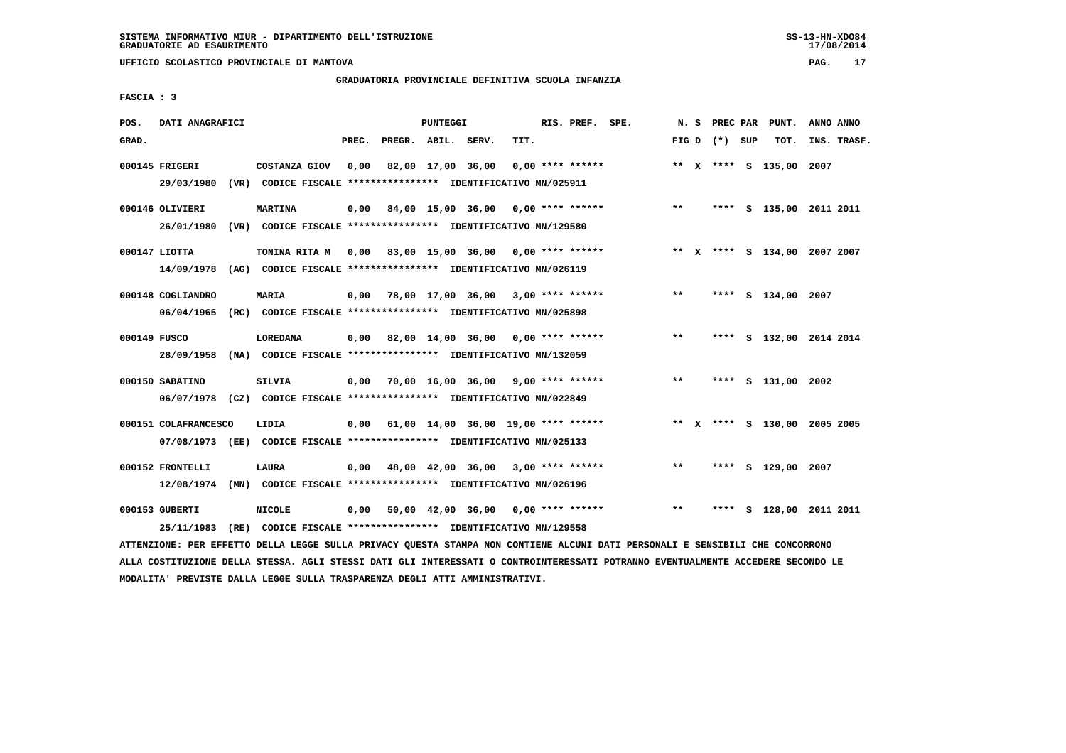**UFFICIO SCOLASTICO PROVINCIALE DI MANTOVA PAG. 17**

# **GRADUATORIA PROVINCIALE DEFINITIVA SCUOLA INFANZIA**

 **FASCIA : 3**

| POS.         | DATI ANAGRAFICI              |                                                                         |       |                                            | <b>PUNTEGGI</b> |                   |      | RIS. PREF. SPE.  |                                                  |       |                 | N. S PREC PAR PUNT.          | ANNO ANNO |             |
|--------------|------------------------------|-------------------------------------------------------------------------|-------|--------------------------------------------|-----------------|-------------------|------|------------------|--------------------------------------------------|-------|-----------------|------------------------------|-----------|-------------|
| GRAD.        |                              |                                                                         | PREC. | PREGR. ABIL. SERV.                         |                 |                   | TIT. |                  |                                                  |       | FIG D $(*)$ SUP | тот.                         |           | INS. TRASF. |
|              | 000145 FRIGERI<br>29/03/1980 | COSTANZA GIOV                                                           | 0,00  |                                            |                 | 82,00 17,00 36,00 |      | 0,00 **** ****** |                                                  |       |                 | ** X **** S 135,00 2007      |           |             |
|              |                              | (VR) CODICE FISCALE **************** IDENTIFICATIVO MN/025911           |       |                                            |                 |                   |      |                  |                                                  |       |                 |                              |           |             |
|              | 000146 OLIVIERI              | <b>MARTINA</b>                                                          |       |                                            |                 |                   |      |                  | $0,00$ 84,00 15,00 36,00 0,00 **** ****** *** ** |       |                 | **** S 135,00 2011 2011      |           |             |
|              | 26/01/1980                   | (VR) CODICE FISCALE **************** IDENTIFICATIVO MN/129580           |       |                                            |                 |                   |      |                  |                                                  |       |                 |                              |           |             |
|              | 000147 LIOTTA                | TONINA RITA M 0,00 83,00 15,00 36,00 0,00 **** ******                   |       |                                            |                 |                   |      |                  |                                                  |       |                 | ** X **** S 134,00 2007 2007 |           |             |
|              |                              | 14/09/1978 (AG) CODICE FISCALE *************** IDENTIFICATIVO MN/026119 |       |                                            |                 |                   |      |                  |                                                  |       |                 |                              |           |             |
|              | 000148 COGLIANDRO            | <b>MARIA</b>                                                            |       | 0,00 78,00 17,00 36,00 3,00 **** ******    |                 |                   |      |                  |                                                  | $* *$ |                 | **** S 134,00 2007           |           |             |
|              |                              | 06/04/1965 (RC) CODICE FISCALE *************** IDENTIFICATIVO MN/025898 |       |                                            |                 |                   |      |                  |                                                  |       |                 |                              |           |             |
| 000149 FUSCO |                              | LOREDANA                                                                |       | $0.00$ 82.00 14.00 36.00 0.00 **** ******  |                 |                   |      |                  |                                                  | $***$ |                 | **** S 132,00 2014 2014      |           |             |
|              |                              | 28/09/1958 (NA) CODICE FISCALE *************** IDENTIFICATIVO MN/132059 |       |                                            |                 |                   |      |                  |                                                  |       |                 |                              |           |             |
|              | 000150 SABATINO              | SILVIA                                                                  |       | $0,00$ 70,00 16,00 36,00 9,00 **** ******  |                 |                   |      |                  |                                                  | $***$ |                 | **** S 131,00 2002           |           |             |
|              |                              | 06/07/1978 (CZ) CODICE FISCALE *************** IDENTIFICATIVO MN/022849 |       |                                            |                 |                   |      |                  |                                                  |       |                 |                              |           |             |
|              |                              |                                                                         |       |                                            |                 |                   |      |                  |                                                  |       |                 |                              |           |             |
|              | 000151 COLAFRANCESCO         | LIDIA                                                                   |       | $0,00$ 61,00 14,00 36,00 19,00 **** ****** |                 |                   |      |                  |                                                  |       |                 | ** X **** S 130,00 2005 2005 |           |             |
|              |                              | 07/08/1973 (EE) CODICE FISCALE *************** IDENTIFICATIVO MN/025133 |       |                                            |                 |                   |      |                  |                                                  |       |                 |                              |           |             |
|              | 000152 FRONTELLI             | <b>LAURA</b>                                                            |       | $0,00$ 48,00 42,00 36,00 3,00 **** ******  |                 |                   |      |                  |                                                  | $* *$ |                 | **** S 129,00 2007           |           |             |
|              |                              | 12/08/1974 (MN) CODICE FISCALE *************** IDENTIFICATIVO MN/026196 |       |                                            |                 |                   |      |                  |                                                  |       |                 |                              |           |             |
|              | 000153 GUBERTI               | <b>NICOLE</b>                                                           |       | $0,00$ 50,00 42,00 36,00 0,00 **** ******  |                 |                   |      |                  |                                                  | $***$ |                 | **** S 128,00 2011 2011      |           |             |
|              | 25/11/1983                   | (RE) CODICE FISCALE *************** IDENTIFICATIVO MN/129558            |       |                                            |                 |                   |      |                  |                                                  |       |                 |                              |           |             |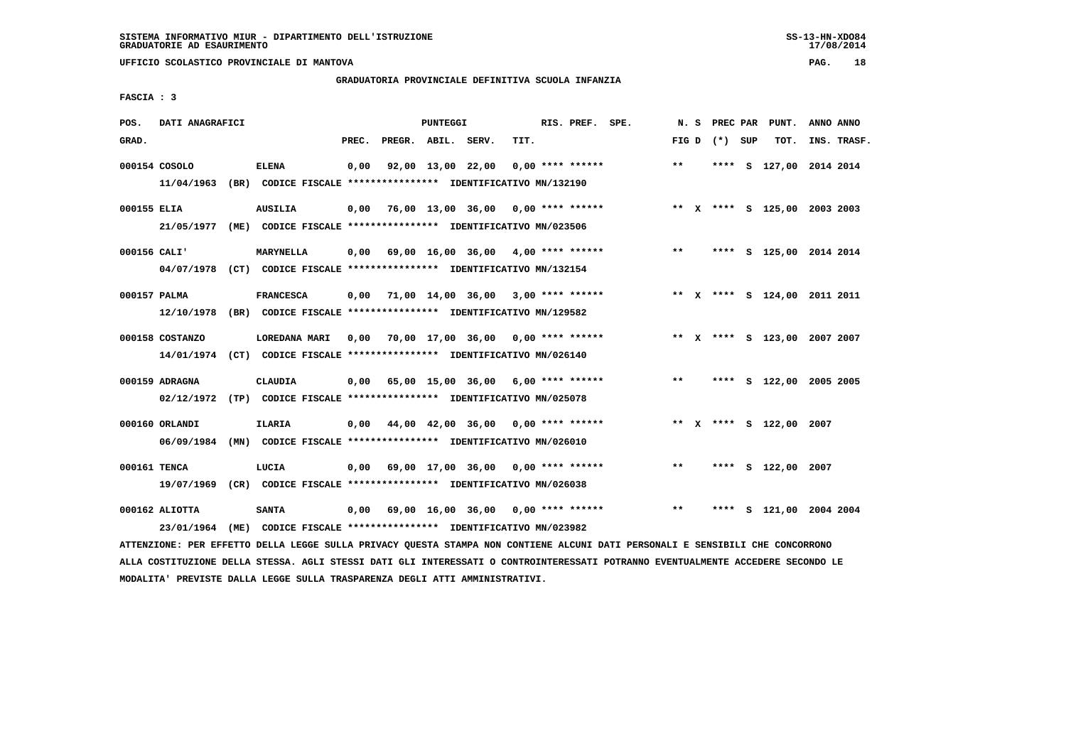**UFFICIO SCOLASTICO PROVINCIALE DI MANTOVA PAG. 18**

# **GRADUATORIA PROVINCIALE DEFINITIVA SCUOLA INFANZIA**

 **FASCIA : 3**

| POS.         | DATI ANAGRAFICI  |                                                                                          |       |                    | PUNTEGGI |                                                        |      | RIS. PREF. SPE.    |                                    | N.S          | PREC PAR        | PUNT.                        | ANNO ANNO |             |
|--------------|------------------|------------------------------------------------------------------------------------------|-------|--------------------|----------|--------------------------------------------------------|------|--------------------|------------------------------------|--------------|-----------------|------------------------------|-----------|-------------|
| GRAD.        |                  |                                                                                          | PREC. | PREGR. ABIL. SERV. |          |                                                        | TIT. |                    |                                    |              | FIG D $(*)$ SUP | TOT.                         |           | INS. TRASF. |
|              | 000154 COSOLO    | <b>ELENA</b><br>11/04/1963 (BR) CODICE FISCALE **************** IDENTIFICATIVO MN/132190 | 0,00  | 92,00 13,00 22,00  |          |                                                        |      | $0,00$ **** ****** |                                    | $\star\star$ |                 | **** S 127,00 2014 2014      |           |             |
|              |                  |                                                                                          |       |                    |          |                                                        |      |                    |                                    |              |                 |                              |           |             |
| 000155 ELIA  |                  | <b>AUSILIA</b>                                                                           | 0,00  |                    |          |                                                        |      |                    | 76,00 13,00 36,00 0,00 **** ****** |              |                 | ** X **** S 125,00 2003 2003 |           |             |
|              |                  | 21/05/1977 (ME) CODICE FISCALE *************** IDENTIFICATIVO MN/023506                  |       |                    |          |                                                        |      |                    |                                    |              |                 |                              |           |             |
| 000156 CALI' |                  | <b>MARYNELLA</b>                                                                         | 0,00  |                    |          | 69,00 16,00 36,00 4,00 **** ******                     |      |                    |                                    | $***$        |                 | **** S 125,00 2014 2014      |           |             |
|              |                  | 04/07/1978 (CT) CODICE FISCALE *************** IDENTIFICATIVO MN/132154                  |       |                    |          |                                                        |      |                    |                                    |              |                 |                              |           |             |
| 000157 PALMA |                  | <b>FRANCESCA</b>                                                                         |       |                    |          | $0,00$ $71,00$ $14,00$ $36,00$ $3,00$ $***$ **** ***** |      |                    |                                    |              |                 | ** X **** S 124,00 2011 2011 |           |             |
|              | 12/10/1978       | (BR) CODICE FISCALE **************** IDENTIFICATIVO MN/129582                            |       |                    |          |                                                        |      |                    |                                    |              |                 |                              |           |             |
|              | 000158 COSTANZO  | LOREDANA MARI                                                                            |       |                    |          | $0,00$ 70,00 17,00 36,00 0,00 **** ******              |      |                    |                                    |              |                 | ** X **** S 123,00 2007 2007 |           |             |
|              |                  | 14/01/1974 (CT) CODICE FISCALE *************** IDENTIFICATIVO MN/026140                  |       |                    |          |                                                        |      |                    |                                    |              |                 |                              |           |             |
|              | 000159 ADRAGNA   | <b>CLAUDIA</b>                                                                           | 0,00  |                    |          | 65,00 15,00 36,00 6,00 **** ******                     |      |                    |                                    | $***$        |                 | **** S 122,00 2005 2005      |           |             |
|              |                  | 02/12/1972 (TP) CODICE FISCALE *************** IDENTIFICATIVO MN/025078                  |       |                    |          |                                                        |      |                    |                                    |              |                 |                              |           |             |
|              | 000160 ORLANDI   | <b>ILARIA</b>                                                                            |       |                    |          | $0,00$ 44,00 42,00 36,00 0,00 **** ******              |      |                    |                                    |              |                 | ** X **** S 122,00 2007      |           |             |
|              | 06/09/1984       | (MN) CODICE FISCALE **************** IDENTIFICATIVO MN/026010                            |       |                    |          |                                                        |      |                    |                                    |              |                 |                              |           |             |
| 000161 TENCA |                  | LUCIA                                                                                    | 0,00  |                    |          | 69,00 17,00 36,00 0,00 **** ******                     |      |                    |                                    | $* *$        |                 | **** S 122,00 2007           |           |             |
|              |                  | 19/07/1969 (CR) CODICE FISCALE *************** IDENTIFICATIVO MN/026038                  |       |                    |          |                                                        |      |                    |                                    |              |                 |                              |           |             |
|              | $000162$ ALIOTTA | <b>SANTA</b>                                                                             | 0,00  |                    |          | 69,00 16,00 36,00 0,00 **** ******                     |      |                    |                                    | $***$        | ****            | S 121,00 2004 2004           |           |             |
|              | 23/01/1964       | (ME) CODICE FISCALE **************** IDENTIFICATIVO MN/023982                            |       |                    |          |                                                        |      |                    |                                    |              |                 |                              |           |             |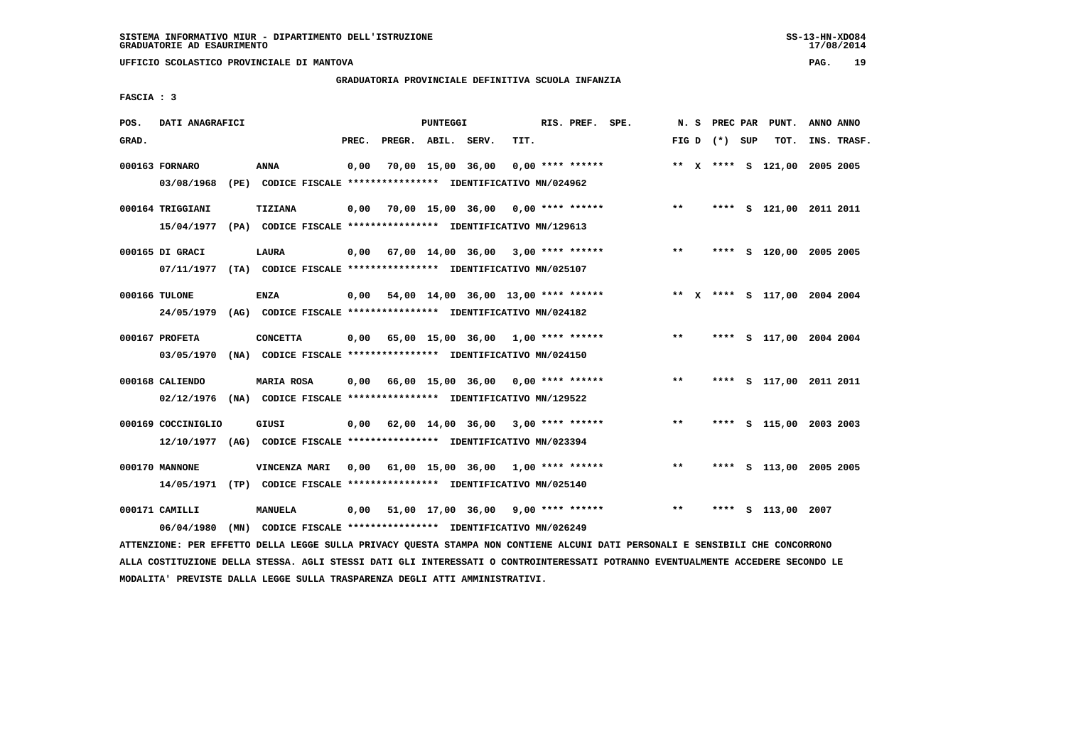**UFFICIO SCOLASTICO PROVINCIALE DI MANTOVA PAG. 19**

### **GRADUATORIA PROVINCIALE DEFINITIVA SCUOLA INFANZIA**

 **FASCIA : 3**

| POS.  | DATI ANAGRAFICI                |                                                                                 |       |                                           | PUNTEGGI |                                      |      | RIS. PREF. SPE.    | N. S  | PREC PAR        | PUNT.                        | ANNO ANNO |             |
|-------|--------------------------------|---------------------------------------------------------------------------------|-------|-------------------------------------------|----------|--------------------------------------|------|--------------------|-------|-----------------|------------------------------|-----------|-------------|
| GRAD. |                                |                                                                                 | PREC. | PREGR. ABIL. SERV.                        |          |                                      | TIT. |                    |       | FIG D $(*)$ SUP | тот.                         |           | INS. TRASF. |
|       | 000163 FORNARO<br>03/08/1968   | ANNA<br>(PE) CODICE FISCALE **************** IDENTIFICATIVO MN/024962           | 0,00  |                                           |          | 70,00 15,00 36,00                    |      | $0.00$ **** ****** |       |                 | ** X **** S 121,00 2005 2005 |           |             |
|       |                                |                                                                                 |       |                                           |          |                                      |      |                    |       |                 |                              |           |             |
|       | 000164 TRIGGIANI<br>15/04/1977 | <b>TIZIANA</b><br>(PA) CODICE FISCALE **************** IDENTIFICATIVO MN/129613 | 0,00  |                                           |          | 70,00 15,00 36,00 0,00 **** ******   |      |                    | $***$ | ****            | S 121,00 2011 2011           |           |             |
|       |                                |                                                                                 |       |                                           |          |                                      |      |                    |       |                 |                              |           |             |
|       | 000165 DI GRACI<br>07/11/1977  | <b>LAURA</b><br>(TA) CODICE FISCALE **************** IDENTIFICATIVO MN/025107   | 0,00  |                                           |          | $67,00$ 14,00 36,00 3,00 **** ****** |      |                    | $* *$ |                 | **** S 120,00 2005 2005      |           |             |
|       |                                |                                                                                 |       |                                           |          |                                      |      |                    |       |                 |                              |           |             |
|       | 000166 TULONE<br>24/05/1979    | ENZA<br>(AG) CODICE FISCALE **************** IDENTIFICATIVO MN/024182           | 0,00  |                                           |          | 54,00 14,00 36,00 13,00 **** ******  |      |                    |       |                 | ** X **** S 117,00 2004 2004 |           |             |
|       | 000167 PROFETA                 | <b>CONCETTA</b>                                                                 |       | $0.00$ 65.00 15.00 36.00 1.00 **** ****** |          |                                      |      |                    | $***$ |                 | **** S 117,00 2004 2004      |           |             |
|       | 03/05/1970                     | (NA) CODICE FISCALE **************** IDENTIFICATIVO MN/024150                   |       |                                           |          |                                      |      |                    |       |                 |                              |           |             |
|       | 000168 CALIENDO                | MARIA ROSA                                                                      | 0,00  | 66,00 15,00 36,00 0,00 **** ******        |          |                                      |      |                    | $***$ |                 | **** S 117,00 2011 2011      |           |             |
|       | 02/12/1976                     | (NA) CODICE FISCALE **************** IDENTIFICATIVO MN/129522                   |       |                                           |          |                                      |      |                    |       |                 |                              |           |             |
|       | 000169 COCCINIGLIO             | GIUSI                                                                           | 0,00  | 62,00 14,00 36,00                         |          |                                      |      | $3,00$ **** ****** | $***$ |                 | **** S 115,00 2003 2003      |           |             |
|       | 12/10/1977                     | (AG) CODICE FISCALE **************** IDENTIFICATIVO MN/023394                   |       |                                           |          |                                      |      |                    |       |                 |                              |           |             |
|       | 000170 MANNONE                 | VINCENZA MARI                                                                   | 0,00  |                                           |          | $61,00$ 15,00 36,00 1,00 **** ****** |      |                    | $* *$ |                 | **** S 113,00 2005 2005      |           |             |
|       | 14/05/1971                     | (TP) CODICE FISCALE **************** IDENTIFICATIVO MN/025140                   |       |                                           |          |                                      |      |                    |       |                 |                              |           |             |
|       | 000171 CAMILLI                 | <b>MANUELA</b>                                                                  | 0,00  |                                           |          | 51,00 17,00 36,00                    |      | $9,00$ **** ****** | $***$ | ****            | s 113,00                     | 2007      |             |
|       | 06/04/1980                     | (MN) CODICE FISCALE **************** IDENTIFICATIVO MN/026249                   |       |                                           |          |                                      |      |                    |       |                 |                              |           |             |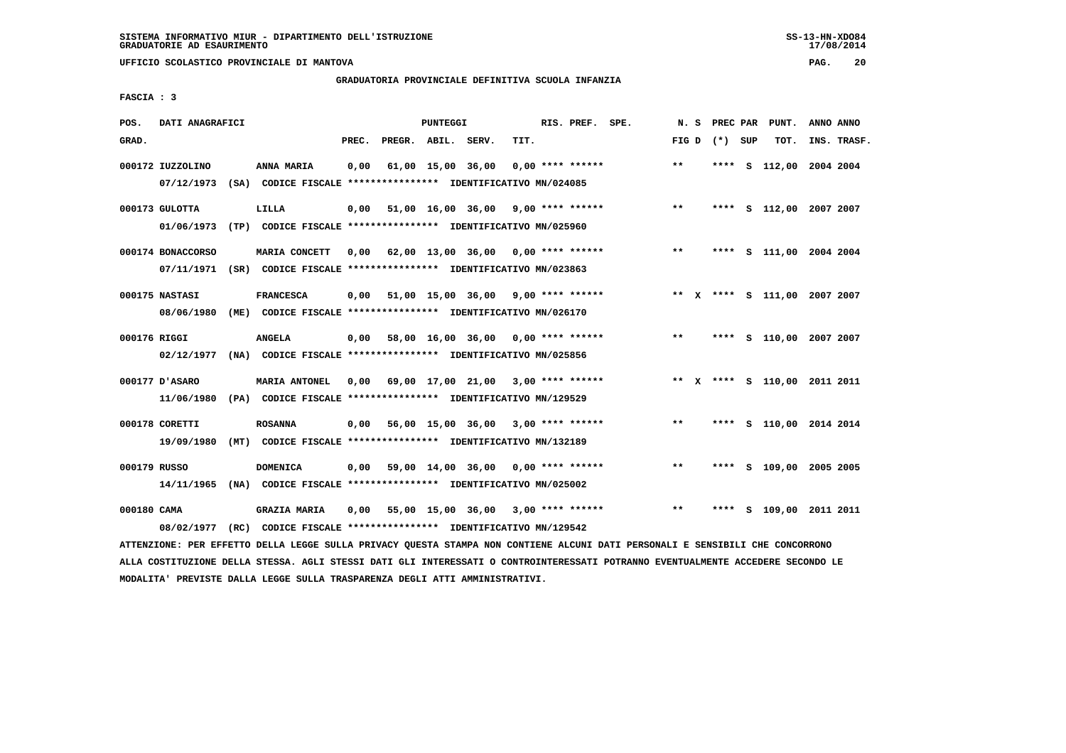**UFFICIO SCOLASTICO PROVINCIALE DI MANTOVA PAG. 20**

# **GRADUATORIA PROVINCIALE DEFINITIVA SCUOLA INFANZIA**

 **FASCIA : 3**

| POS.         | DATI ANAGRAFICI                 |                                                                                      |       |                    | PUNTEGGI          |                                            |      | RIS. PREF. SPE.    | N.S          | PREC PAR | PUNT.                        | ANNO ANNO |             |
|--------------|---------------------------------|--------------------------------------------------------------------------------------|-------|--------------------|-------------------|--------------------------------------------|------|--------------------|--------------|----------|------------------------------|-----------|-------------|
| GRAD.        |                                 |                                                                                      | PREC. | PREGR. ABIL. SERV. |                   |                                            | TIT. |                    | FIG D        | (*) SUP  | TOT.                         |           | INS. TRASF. |
|              | 000172 IUZZOLINO<br>07/12/1973  | ANNA MARIA<br>(SA) CODICE FISCALE **************** IDENTIFICATIVO MN/024085          | 0,00  |                    | 61,00 15,00 36,00 |                                            |      | $0.00$ **** ****** | $***$        |          | **** S 112,00 2004 2004      |           |             |
|              | 000173 GULOTTA<br>01/06/1973    | LILLA<br>(TP) CODICE FISCALE **************** IDENTIFICATIVO MN/025960               | 0,00  |                    |                   | $51,00$ $16,00$ $36,00$ $9,00$ **** ****** |      |                    | $***$        | ****     | S 112,00 2007 2007           |           |             |
|              | 000174 BONACCORSO<br>07/11/1971 | MARIA CONCETT<br>(SR) CODICE FISCALE **************** IDENTIFICATIVO MN/023863       | 0,00  |                    |                   | $62,00$ 13,00 36,00 0,00 **** ******       |      |                    | $***$        |          | **** S 111,00 2004 2004      |           |             |
|              | 000175 NASTASI<br>08/06/1980    | <b>FRANCESCA</b><br>(ME) CODICE FISCALE *************** IDENTIFICATIVO MN/026170     | 0,00  |                    |                   | 51,00 15,00 36,00 9,00 **** ******         |      |                    |              |          | ** X **** S 111,00 2007 2007 |           |             |
| 000176 RIGGI | 02/12/1977                      | <b>ANGELA</b><br>(NA) CODICE FISCALE **************** IDENTIFICATIVO MN/025856       | 0,00  |                    |                   | 58,00 16,00 36,00 0,00 **** ******         |      |                    | $\star\star$ | ****     | S 110,00 2007 2007           |           |             |
|              | 000177 D'ASARO<br>11/06/1980    | MARIA ANTONEL<br>(PA) CODICE FISCALE **************** IDENTIFICATIVO MN/129529       | 0.00  |                    |                   | 69,00 17,00 21,00 3,00 **** ******         |      |                    |              |          | ** X **** S 110,00 2011 2011 |           |             |
|              | 000178 CORETTI<br>19/09/1980    | <b>ROSANNA</b><br>(MT) CODICE FISCALE **************** IDENTIFICATIVO MN/132189      | 0,00  |                    |                   | 56,00 15,00 36,00 3,00 **** ******         |      |                    | $***$        |          | **** S 110,00 2014 2014      |           |             |
| 000179 RUSSO | 14/11/1965                      | <b>DOMENICA</b><br>(NA) CODICE FISCALE **************** IDENTIFICATIVO MN/025002     | 0,00  |                    |                   | 59,00 14,00 36,00 0,00 **** ******         |      |                    | $* *$        | ****     | S 109,00 2005 2005           |           |             |
| 000180 CAMA  | 08/02/1977                      | <b>GRAZIA MARIA</b><br>(RC) CODICE FISCALE **************** IDENTIFICATIVO MN/129542 | 0,00  |                    |                   | 55,00 15,00 36,00                          |      | $3,00$ **** ****** | $* *$        | ****     | S 109,00 2011 2011           |           |             |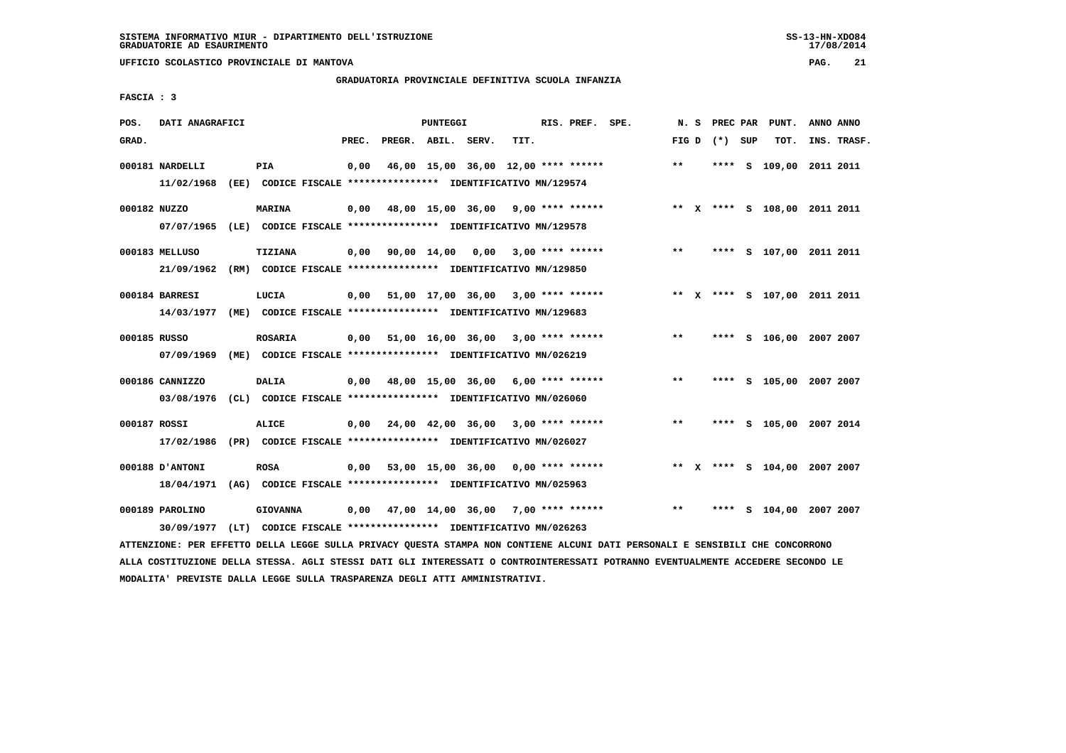**UFFICIO SCOLASTICO PROVINCIALE DI MANTOVA PAG. 21**

# **GRADUATORIA PROVINCIALE DEFINITIVA SCUOLA INFANZIA**

 **FASCIA : 3**

| POS.         | DATI ANAGRAFICI                                                                                                                             |                 |       |                    | PUNTEGGI |                                                                                   |      | RIS. PREF. SPE.    | N.S   | PREC PAR        | PUNT.                        | ANNO ANNO |             |
|--------------|---------------------------------------------------------------------------------------------------------------------------------------------|-----------------|-------|--------------------|----------|-----------------------------------------------------------------------------------|------|--------------------|-------|-----------------|------------------------------|-----------|-------------|
| GRAD.        |                                                                                                                                             |                 | PREC. | PREGR. ABIL. SERV. |          |                                                                                   | TIT. |                    |       | FIG D $(*)$ SUP | TOT.                         |           | INS. TRASF. |
|              | 000181 NARDELLI<br>11/02/1968 (EE) CODICE FISCALE *************** IDENTIFICATIVO MN/129574                                                  | PIA             | 0,00  |                    |          | 46,00 15,00 36,00 12,00 **** ******                                               |      |                    | **    |                 | **** S 109,00 2011 2011      |           |             |
| 000182 NUZZO | 07/07/1965 (LE) CODICE FISCALE *************** IDENTIFICATIVO MN/129578                                                                     | <b>MARINA</b>   | 0,00  |                    |          | 48,00 15,00 36,00 9,00 **** ******                                                |      |                    |       |                 | ** X **** S 108,00 2011 2011 |           |             |
|              | 000183 MELLUSO<br>21/09/1962                                                                                                                | TIZIANA         | 0,00  |                    |          | 90,00 14,00 0,00<br>(RM) CODICE FISCALE **************** IDENTIFICATIVO MN/129850 |      | $3,00$ **** ****** | $***$ |                 | **** S 107,00 2011 2011      |           |             |
|              | 000184 BARRESI<br>14/03/1977 (ME) CODICE FISCALE *************** IDENTIFICATIVO MN/129683                                                   | LUCIA           |       |                    |          | $0,00$ 51,00 17,00 36,00 3,00 **** ******                                         |      |                    |       |                 | ** X **** S 107,00 2011 2011 |           |             |
| 000185 RUSSO | 07/09/1969 (ME) CODICE FISCALE *************** IDENTIFICATIVO MN/026219                                                                     | <b>ROSARIA</b>  |       |                    |          | $0,00$ 51,00 16,00 36,00 3,00 **** ******                                         |      |                    | $***$ |                 | **** S 106,00 2007 2007      |           |             |
|              | 000186 CANNIZZO<br>03/08/1976 (CL) CODICE FISCALE *************** IDENTIFICATIVO MN/026060                                                  | <b>DALIA</b>    |       |                    |          | $0,00$ 48,00 15,00 36,00 6,00 **** ******                                         |      |                    | $***$ |                 | **** S 105,00 2007 2007      |           |             |
| 000187 ROSSI | 17/02/1986 (PR) CODICE FISCALE *************** IDENTIFICATIVO MN/026027                                                                     | <b>ALICE</b>    |       |                    |          | $0,00$ 24,00 42,00 36,00 3,00 **** ******                                         |      |                    | $***$ |                 | **** S 105,00 2007 2014      |           |             |
|              | 000188 D'ANTONI<br>18/04/1971 (AG) CODICE FISCALE *************** IDENTIFICATIVO MN/025963                                                  | <b>ROSA</b>     |       |                    |          | $0,00$ 53,00 15,00 36,00 0,00 **** ******                                         |      |                    |       |                 | ** X **** S 104,00 2007 2007 |           |             |
|              | 000189 PAROLINO                                                                                                                             | <b>GIOVANNA</b> |       |                    |          | $0,00$ 47,00 14,00 36,00 7,00 **** ******                                         |      |                    | $***$ |                 | **** S 104,00 2007 2007      |           |             |
|              | 30/09/1977<br>ATTENZIONE: PER EFFETTO DELLA LEGGE SULLA PRIVACY QUESTA STAMPA NON CONTIENE ALCUNI DATI PERSONALI E SENSIBILI CHE CONCORRONO |                 |       |                    |          | (LT) CODICE FISCALE **************** IDENTIFICATIVO MN/026263                     |      |                    |       |                 |                              |           |             |

 **ALLA COSTITUZIONE DELLA STESSA. AGLI STESSI DATI GLI INTERESSATI O CONTROINTERESSATI POTRANNO EVENTUALMENTE ACCEDERE SECONDO LE MODALITA' PREVISTE DALLA LEGGE SULLA TRASPARENZA DEGLI ATTI AMMINISTRATIVI.**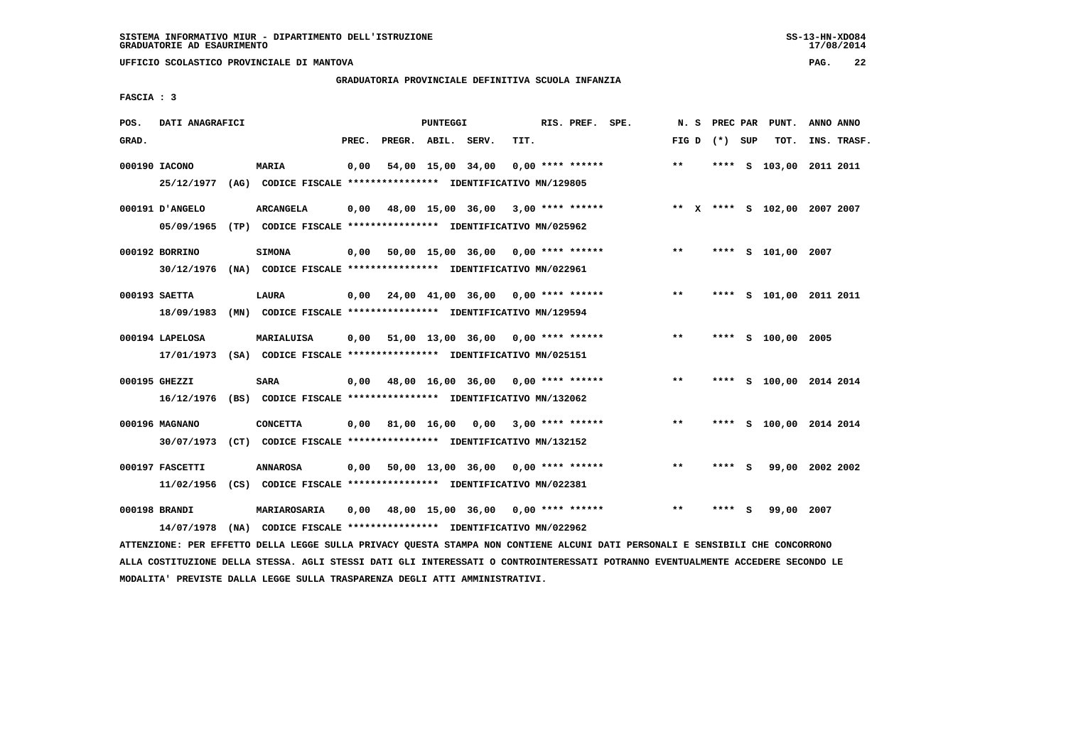**UFFICIO SCOLASTICO PROVINCIALE DI MANTOVA PAG. 22**

# **GRADUATORIA PROVINCIALE DEFINITIVA SCUOLA INFANZIA**

 **FASCIA : 3**

| POS.  | DATI ANAGRAFICI |                                                                                            |       |                    | PUNTEGGI    |                                      |      | RIS. PREF. SPE.         | N.S          | PREC PAR        |     | PUNT.                        | ANNO ANNO |             |
|-------|-----------------|--------------------------------------------------------------------------------------------|-------|--------------------|-------------|--------------------------------------|------|-------------------------|--------------|-----------------|-----|------------------------------|-----------|-------------|
| GRAD. |                 |                                                                                            | PREC. | PREGR. ABIL. SERV. |             |                                      | TIT. |                         |              | FIG D $(*)$ SUP |     | TOT.                         |           | INS. TRASF. |
|       | 000190 IACONO   | <b>MARIA</b>                                                                               | 0,00  |                    |             | 54,00 15,00 34,00                    |      | $0.00$ **** ******      | $\star\star$ |                 |     | **** S 103,00 2011 2011      |           |             |
|       | 25/12/1977      | (AG) CODICE FISCALE **************** IDENTIFICATIVO MN/129805                              |       |                    |             |                                      |      |                         |              |                 |     |                              |           |             |
|       | 000191 D'ANGELO | <b>ARCANGELA</b>                                                                           | 0,00  |                    |             | 48,00 15,00 36,00 3,00 **** ******   |      |                         |              |                 |     | ** X **** S 102,00 2007 2007 |           |             |
|       | 05/09/1965      | (TP) CODICE FISCALE **************** IDENTIFICATIVO MN/025962                              |       |                    |             |                                      |      |                         |              |                 |     |                              |           |             |
|       | 000192 BORRINO  | <b>SIMONA</b>                                                                              | 0,00  |                    |             | $50,00$ 15,00 36,00 0,00 **** ****** |      |                         | $***$        |                 |     | **** S 101,00 2007           |           |             |
|       | 30/12/1976      | (NA) CODICE FISCALE **************** IDENTIFICATIVO MN/022961                              |       |                    |             |                                      |      |                         |              |                 |     |                              |           |             |
|       | 000193 SAETTA   | LAURA                                                                                      | 0.00  |                    |             | 24,00 41,00 36,00 0,00 **** ******   |      |                         | $* *$        |                 |     | **** S 101,00 2011 2011      |           |             |
|       | 18/09/1983      | (MN) CODICE FISCALE **************** IDENTIFICATIVO MN/129594                              |       |                    |             |                                      |      |                         |              |                 |     |                              |           |             |
|       | 000194 LAPELOSA | MARIALUISA                                                                                 | 0,00  |                    |             | 51,00 13,00 36,00                    |      | $0.00$ **** ******      | $***$        | ****            |     | s 100,00 2005                |           |             |
|       |                 | 17/01/1973 (SA) CODICE FISCALE *************** IDENTIFICATIVO MN/025151                    |       |                    |             |                                      |      |                         |              |                 |     |                              |           |             |
|       | 000195 GHEZZI   | <b>SARA</b>                                                                                | 0.00  |                    |             | 48,00 16,00 36,00 0,00 **** ******   |      |                         | $***$        |                 |     | **** S 100,00 2014 2014      |           |             |
|       | 16/12/1976      | (BS) CODICE FISCALE **************** IDENTIFICATIVO MN/132062                              |       |                    |             |                                      |      |                         |              |                 |     |                              |           |             |
|       |                 |                                                                                            |       |                    |             |                                      |      |                         |              |                 |     |                              |           |             |
|       | 000196 MAGNANO  | <b>CONCETTA</b><br>30/07/1973 (CT) CODICE FISCALE *************** IDENTIFICATIVO MN/132152 | 0,00  |                    | 81,00 16,00 |                                      |      | $0,00$ 3,00 **** ****** | $* *$        | ****            |     | S 100,00 2014 2014           |           |             |
|       |                 |                                                                                            |       |                    |             |                                      |      |                         |              |                 |     |                              |           |             |
|       | 000197 FASCETTI | <b>ANNAROSA</b>                                                                            | 0,00  |                    |             | 50,00 13,00 36,00                    |      | $0.00$ **** ******      | **           | ****            | - S | 99,00 2002 2002              |           |             |
|       | 11/02/1956      | (CS) CODICE FISCALE *************** IDENTIFICATIVO MN/022381                               |       |                    |             |                                      |      |                         |              |                 |     |                              |           |             |
|       | 000198 BRANDI   | MARIAROSARIA                                                                               | 0,00  |                    |             | 48,00 15,00 36,00 0,00 **** ******   |      |                         | $***$        | ****            | - S | 99,00 2007                   |           |             |
|       | 14/07/1978      | (NA) CODICE FISCALE **************** IDENTIFICATIVO MN/022962                              |       |                    |             |                                      |      |                         |              |                 |     |                              |           |             |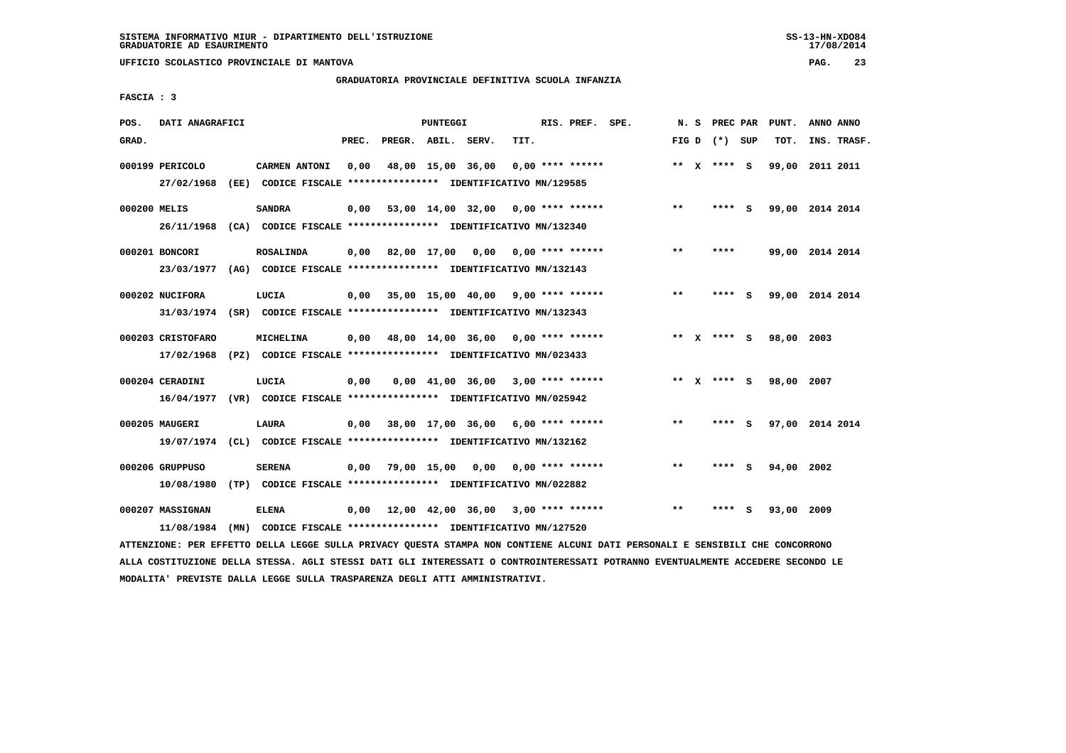**UFFICIO SCOLASTICO PROVINCIALE DI MANTOVA PAG. 23**

### **GRADUATORIA PROVINCIALE DEFINITIVA SCUOLA INFANZIA**

 **FASCIA : 3**

| POS.         | DATI ANAGRAFICI                              |                                                                                                                                                |       |                    | PUNTEGGI |                                           |      | RIS. PREF. SPE.    |                                    |       | N. S PREC PAR   |   | PUNT.      | ANNO ANNO       |
|--------------|----------------------------------------------|------------------------------------------------------------------------------------------------------------------------------------------------|-------|--------------------|----------|-------------------------------------------|------|--------------------|------------------------------------|-------|-----------------|---|------------|-----------------|
| GRAD.        |                                              |                                                                                                                                                | PREC. | PREGR. ABIL. SERV. |          |                                           | TIT. |                    |                                    |       | FIG D $(*)$ SUP |   | TOT.       | INS. TRASF.     |
|              | 000199 PERICOLO<br>27/02/1968                | CARMEN ANTONI<br>(EE) CODICE FISCALE **************** IDENTIFICATIVO MN/129585                                                                 | 0.00  |                    |          | 48,00 15,00 36,00                         |      | $0.00$ **** ****** |                                    |       | ** x **** S     |   |            | 99,00 2011 2011 |
| 000200 MELIS |                                              | <b>SANDRA</b><br>26/11/1968 (CA) CODICE FISCALE *************** IDENTIFICATIVO MN/132340                                                       | 0,00  |                    |          |                                           |      |                    | 53,00 14,00 32,00 0,00 **** ****** | $***$ | **** S          |   |            | 99,00 2014 2014 |
|              | 000201 BONCORI                               | <b>ROSALINDA</b>                                                                                                                               |       |                    |          | $0,00$ 82,00 17,00 0,00 0,00 **** ******  |      |                    |                                    | $***$ | ****            |   |            | 99,00 2014 2014 |
|              | 23/03/1977<br>000202 NUCIFORA                | (AG) CODICE FISCALE **************** IDENTIFICATIVO MN/132143<br>LUCIA                                                                         |       |                    |          | $0,00$ 35,00 15,00 40,00 9,00 **** ****** |      |                    |                                    | $***$ | **** S          |   |            | 99,00 2014 2014 |
|              | 000203 CRISTOFARO                            | 31/03/1974 (SR) CODICE FISCALE *************** IDENTIFICATIVO MN/132343<br>MICHELINA                                                           |       |                    |          | $0,00$ 48,00 14,00 36,00 0,00 **** ****** |      |                    |                                    |       | ** $X$ **** S   |   | 98,00 2003 |                 |
|              | 000204 CERADINI                              | 17/02/1968 (PZ) CODICE FISCALE *************** IDENTIFICATIVO MN/023433<br>LUCIA                                                               | 0.00  |                    |          | $0,00$ 41,00 36,00 3,00 **** ******       |      |                    |                                    |       | ** x **** S     |   | 98,00 2007 |                 |
|              | 000205 MAUGERI                               | 16/04/1977 (VR) CODICE FISCALE *************** IDENTIFICATIVO MN/025942<br>LAURA                                                               | 0,00  |                    |          | 38,00 17,00 36,00 6,00 **** ******        |      |                    |                                    | $* *$ | **** S          |   |            | 97,00 2014 2014 |
|              | 000206 GRUPPUSO                              | 19/07/1974 (CL) CODICE FISCALE *************** IDENTIFICATIVO MN/132162<br><b>SERENA</b>                                                       | 0,00  |                    |          | 79,00 15,00 0,00 0,00 **** ******         |      |                    |                                    | $***$ | **** S          |   | 94,00 2002 |                 |
|              | 10/08/1980<br>000207 MASSIGNAN<br>11/08/1984 | (TP) CODICE FISCALE **************** IDENTIFICATIVO MN/022882<br><b>ELENA</b><br>(MN) CODICE FISCALE **************** IDENTIFICATIVO MN/127520 | 0,00  |                    |          | 12,00 42,00 36,00 3,00 **** ******        |      |                    |                                    | $* *$ |                 | s | 93,00 2009 |                 |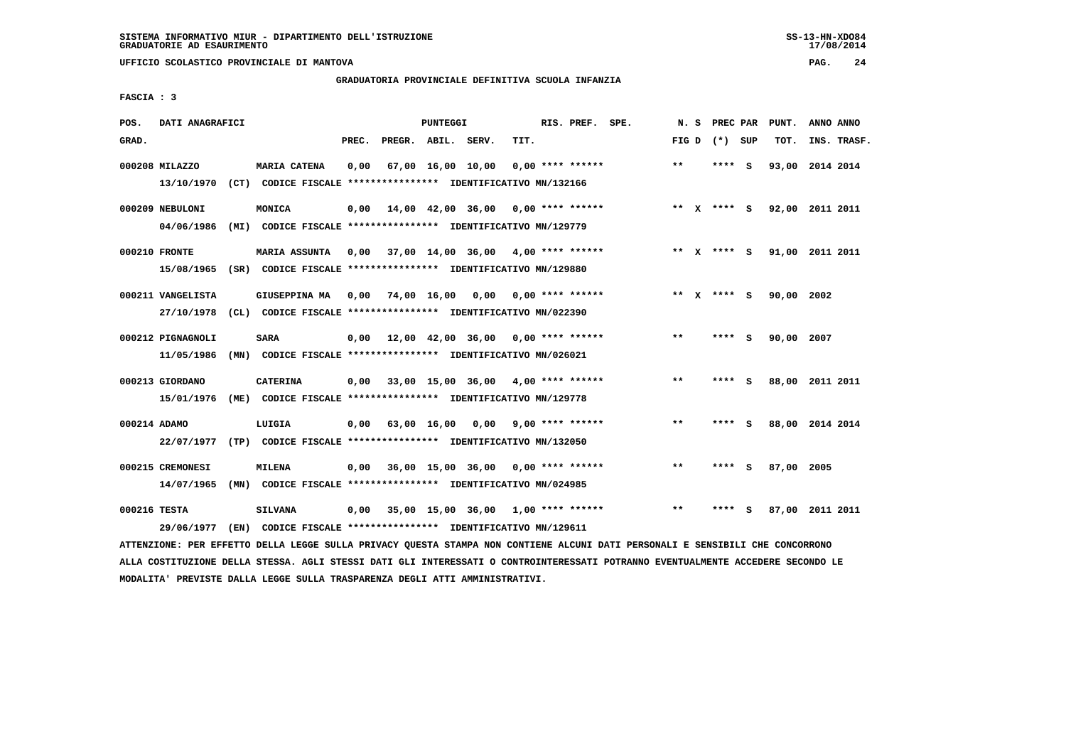**UFFICIO SCOLASTICO PROVINCIALE DI MANTOVA PAG. 24**

# **GRADUATORIA PROVINCIALE DEFINITIVA SCUOLA INFANZIA**

 **FASCIA : 3**

| POS.         | DATI ANAGRAFICI                 |      |                                                                                       |       |                    | PUNTEGGI          |                                            |      | RIS. PREF. SPE.    | N.S   | PREC PAR    |     | PUNT.      | ANNO ANNO       |  |
|--------------|---------------------------------|------|---------------------------------------------------------------------------------------|-------|--------------------|-------------------|--------------------------------------------|------|--------------------|-------|-------------|-----|------------|-----------------|--|
| GRAD.        |                                 |      |                                                                                       | PREC. | PREGR. ABIL. SERV. |                   |                                            | TIT. |                    | FIG D | (*) SUP     |     | TOT.       | INS. TRASF.     |  |
|              | 000208 MILAZZO<br>13/10/1970    |      | <b>MARIA CATENA</b><br>(CT) CODICE FISCALE **************** IDENTIFICATIVO MN/132166  | 0,00  |                    | 67,00 16,00 10,00 |                                            |      | $0.00$ **** ****** | $***$ | **** S      |     | 93,00      | 2014 2014       |  |
|              | 000209 NEBULONI<br>04/06/1986   |      | MONICA<br>(MI) CODICE FISCALE **************** IDENTIFICATIVO MN/129779               | 0,00  |                    |                   | $14,00$ $42,00$ $36,00$ $0,00$ **** ****** |      |                    |       | ** x **** S |     |            | 92,00 2011 2011 |  |
|              | 000210 FRONTE<br>15/08/1965     |      | <b>MARIA ASSUNTA</b><br>(SR) CODICE FISCALE **************** IDENTIFICATIVO MN/129880 | 0.00  |                    |                   | $37,00$ 14,00 36,00 4,00 **** ******       |      |                    |       | ** x **** S |     |            | 91,00 2011 2011 |  |
|              | 000211 VANGELISTA<br>27/10/1978 |      | GIUSEPPINA MA<br>(CL) CODICE FISCALE **************** IDENTIFICATIVO MN/022390        |       | 0,00 74,00 16,00   |                   | 0,00                                       |      | 0,00 **** ******   |       | ** x **** s |     | 90,00 2002 |                 |  |
|              | 000212 PIGNAGNOLI<br>11/05/1986 |      | <b>SARA</b><br>(MN) CODICE FISCALE **************** IDENTIFICATIVO MN/026021          | 0,00  |                    |                   | 12,00 42,00 36,00 0,00 **** ******         |      |                    | $***$ | ****        | - S | 90,00      | 2007            |  |
|              | 000213 GIORDANO<br>15/01/1976   |      | <b>CATERINA</b><br>(ME) CODICE FISCALE **************** IDENTIFICATIVO MN/129778      | 0.00  |                    |                   | 33,00 15,00 36,00 4,00 **** ******         |      |                    | $***$ | **** S      |     |            | 88,00 2011 2011 |  |
|              | 000214 ADAMO<br>22/07/1977      |      | LUIGIA<br>(TP) CODICE FISCALE **************** IDENTIFICATIVO MN/132050               | 0,00  |                    | 63,00 16,00       | 0.00                                       |      | $9,00$ **** ****** | $* *$ | ****        | - S |            | 88,00 2014 2014 |  |
|              | 000215 CREMONESI<br>14/07/1965  |      | <b>MILENA</b><br>(MN) CODICE FISCALE **************** IDENTIFICATIVO MN/024985        | 0,00  |                    |                   | $36,00$ 15,00 36,00 0,00 **** ******       |      |                    | $* *$ | ****        | - S | 87,00 2005 |                 |  |
| 000216 TESTA | 29/06/1977                      | (EN) | <b>SILVANA</b><br>CODICE FISCALE **************** IDENTIFICATIVO MN/129611            | 0,00  |                    |                   | $35,00$ 15,00 36,00 1,00 **** ******       |      |                    | $* *$ | ****        | S.  |            | 87,00 2011 2011 |  |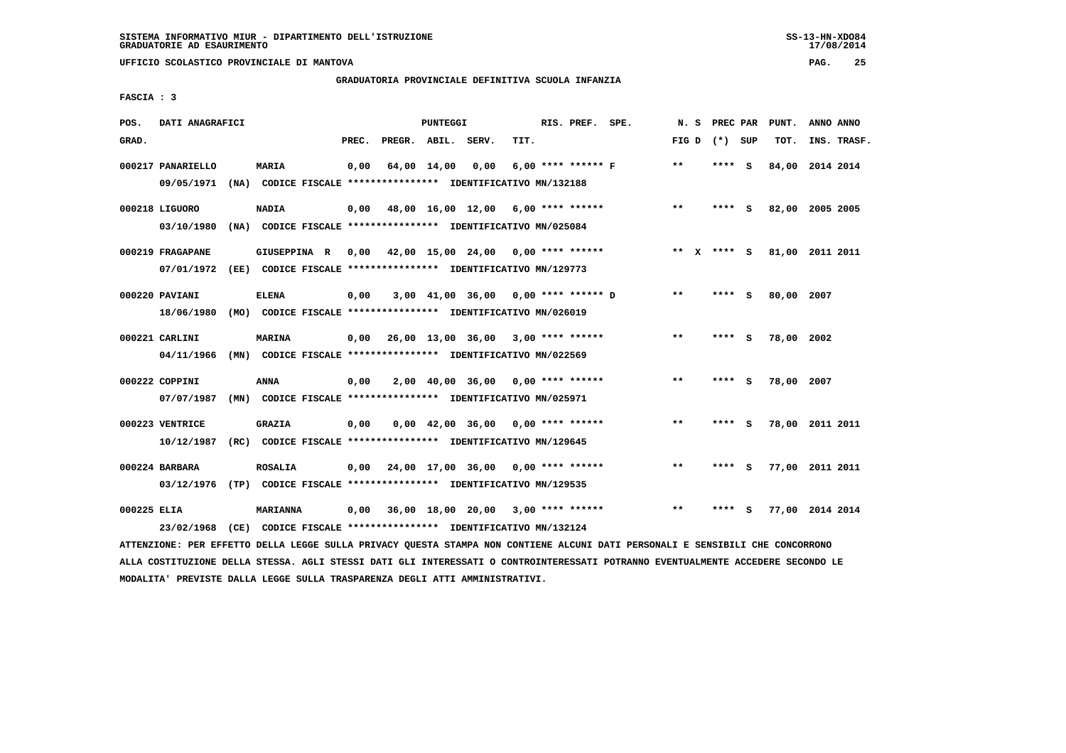# **GRADUATORIA PROVINCIALE DEFINITIVA SCUOLA INFANZIA**

 **FASCIA : 3**

| POS.        | DATI ANAGRAFICI                                                         |                 |       |                    | <b>PUNTEGGI</b> |                                                               |      | RIS. PREF. SPE. |                                           | N.S           | <b>PREC PAR</b> |     | PUNT.           | ANNO ANNO |             |
|-------------|-------------------------------------------------------------------------|-----------------|-------|--------------------|-----------------|---------------------------------------------------------------|------|-----------------|-------------------------------------------|---------------|-----------------|-----|-----------------|-----------|-------------|
| GRAD.       |                                                                         |                 | PREC. | PREGR. ABIL. SERV. |                 |                                                               | TIT. |                 |                                           |               | FIG D $(*)$ SUP |     | TOT.            |           | INS. TRASF. |
|             | 000217 PANARIELLO                                                       | <b>MARIA</b>    | 0,00  |                    | 64,00 14,00     | 0,00                                                          |      |                 | 6,00 **** ****** F                        | $***$         | **** S          |     | 84,00 2014 2014 |           |             |
|             | 09/05/1971                                                              |                 |       |                    |                 | (NA) CODICE FISCALE **************** IDENTIFICATIVO MN/132188 |      |                 |                                           |               |                 |     |                 |           |             |
|             | 000218 LIGUORO                                                          | <b>NADIA</b>    | 0,00  |                    |                 | 48,00 16,00 12,00 6,00 **** ******                            |      |                 |                                           | $\star \star$ | **** S          |     | 82,00 2005 2005 |           |             |
|             | 03/10/1980                                                              |                 |       |                    |                 | (NA) CODICE FISCALE **************** IDENTIFICATIVO MN/025084 |      |                 |                                           |               |                 |     |                 |           |             |
|             | 000219 FRAGAPANE                                                        | GIUSEPPINA R    |       |                    |                 |                                                               |      |                 | $0,00$ 42,00 15,00 24,00 0,00 **** ****** | $***$ X       | **** S          |     | 81,00 2011 2011 |           |             |
|             | 07/01/1972                                                              |                 |       |                    |                 | (EE) CODICE FISCALE **************** IDENTIFICATIVO MN/129773 |      |                 |                                           |               |                 |     |                 |           |             |
|             | 000220 PAVIANI                                                          | <b>ELENA</b>    | 0,00  |                    |                 | 3,00 41,00 36,00 0,00 **** ****** D                           |      |                 |                                           | $* *$         | **** S          |     | 80,00 2007      |           |             |
|             | 18/06/1980                                                              |                 |       |                    |                 | (MO) CODICE FISCALE **************** IDENTIFICATIVO MN/026019 |      |                 |                                           |               |                 |     |                 |           |             |
|             | 000221 CARLINI                                                          | <b>MARINA</b>   | 0,00  |                    |                 | 26,00 13,00 36,00 3,00 **** ******                            |      |                 |                                           | $**$          | **** S          |     | 78,00 2002      |           |             |
|             | 04/11/1966                                                              |                 |       |                    |                 | (MN) CODICE FISCALE **************** IDENTIFICATIVO MN/022569 |      |                 |                                           |               |                 |     |                 |           |             |
|             | 000222 COPPINI                                                          | <b>ANNA</b>     | 0,00  |                    |                 | $2,00$ 40,00 36,00 0,00 **** ******                           |      |                 |                                           | $* *$         | ****            | - S | 78,00 2007      |           |             |
|             | 07/07/1987                                                              |                 |       |                    |                 | (MN) CODICE FISCALE **************** IDENTIFICATIVO MN/025971 |      |                 |                                           |               |                 |     |                 |           |             |
|             | 000223 VENTRICE                                                         | <b>GRAZIA</b>   | 0,00  |                    |                 | $0,00$ 42,00 36,00 0,00 **** ******                           |      |                 |                                           | $***$         | ****            | - 5 | 78,00 2011 2011 |           |             |
|             | 10/12/1987                                                              |                 |       |                    |                 | (RC) CODICE FISCALE **************** IDENTIFICATIVO MN/129645 |      |                 |                                           |               |                 |     |                 |           |             |
|             | 000224 BARBARA                                                          | <b>ROSALIA</b>  |       |                    |                 | $0,00$ 24,00 17,00 36,00 0,00 **** ******                     |      |                 |                                           | $***$         | **** S          |     | 77,00 2011 2011 |           |             |
|             | 03/12/1976 (TP) CODICE FISCALE *************** IDENTIFICATIVO MN/129535 |                 |       |                    |                 |                                                               |      |                 |                                           |               |                 |     |                 |           |             |
| 000225 ELIA |                                                                         | <b>MARIANNA</b> | 0,00  |                    |                 | 36,00 18,00 20,00 3,00 **** ******                            |      |                 |                                           | $\star\star$  | **** S          |     | 77,00 2014 2014 |           |             |
|             | 23/02/1968 (CE) CODICE FISCALE *************** IDENTIFICATIVO MN/132124 |                 |       |                    |                 |                                                               |      |                 |                                           |               |                 |     |                 |           |             |
|             |                                                                         |                 |       |                    |                 |                                                               |      |                 |                                           |               |                 |     |                 |           |             |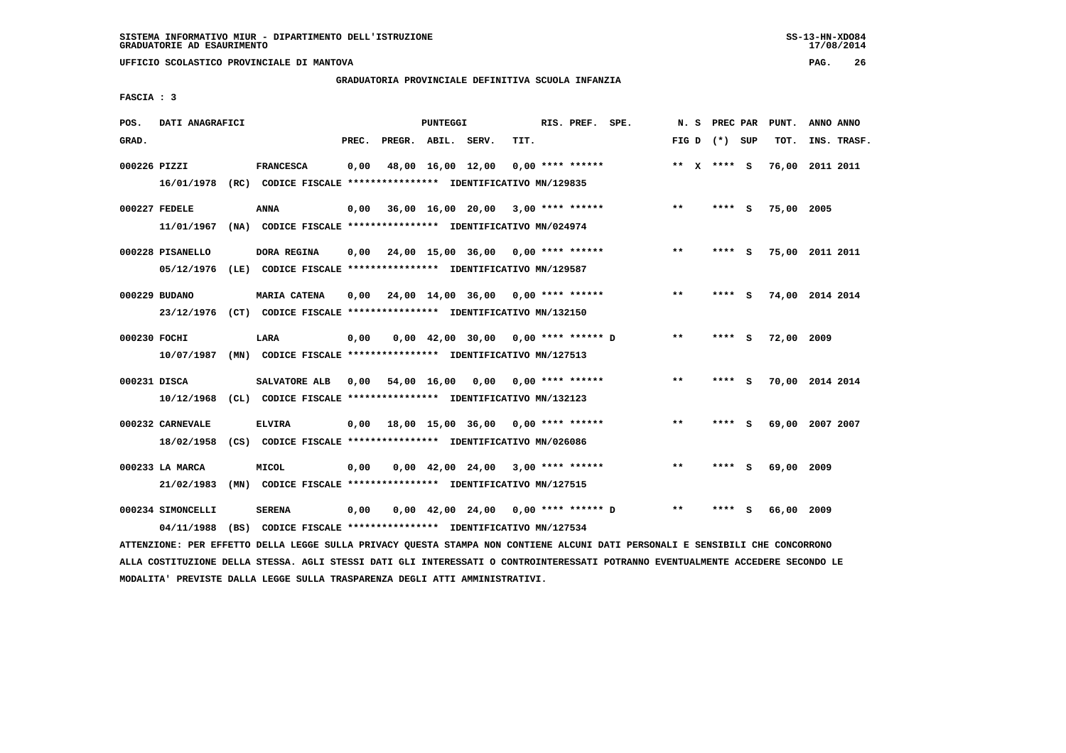**UFFICIO SCOLASTICO PROVINCIALE DI MANTOVA PAG. 26**

# **GRADUATORIA PROVINCIALE DEFINITIVA SCUOLA INFANZIA**

 **FASCIA : 3**

| POS.         | DATI ANAGRAFICI   |                                                                                             |       |                    | PUNTEGGI |                                       |      | RIS. PREF. SPE.    | N. S  |                 |     | PREC PAR PUNT. | ANNO ANNO       |
|--------------|-------------------|---------------------------------------------------------------------------------------------|-------|--------------------|----------|---------------------------------------|------|--------------------|-------|-----------------|-----|----------------|-----------------|
| GRAD.        |                   |                                                                                             | PREC. | PREGR. ABIL. SERV. |          |                                       | TIT. |                    |       | FIG D $(*)$ SUP |     | TOT.           | INS. TRASF.     |
| 000226 PIZZI |                   | <b>FRANCESCA</b><br>16/01/1978 (RC) CODICE FISCALE *************** IDENTIFICATIVO MN/129835 | 0,00  |                    |          | 48,00 16,00 12,00                     |      | $0.00$ **** ****** |       | ** $X$ **** S   |     | 76,00          | 2011 2011       |
|              |                   |                                                                                             |       |                    |          |                                       |      |                    |       |                 |     |                |                 |
|              | 000227 FEDELE     | <b>ANNA</b>                                                                                 | 0.00  |                    |          | 36,00 16,00 20,00 3,00 **** ******    |      |                    | $***$ | **** S          |     | 75,00 2005     |                 |
|              | 11/01/1967        | (NA) CODICE FISCALE **************** IDENTIFICATIVO MN/024974                               |       |                    |          |                                       |      |                    |       |                 |     |                |                 |
|              | 000228 PISANELLO  | DORA REGINA                                                                                 | 0,00  |                    |          | 24,00 15,00 36,00 0,00 **** ******    |      |                    | $***$ | **** S          |     |                | 75,00 2011 2011 |
|              | 05/12/1976        | (LE) CODICE FISCALE **************** IDENTIFICATIVO MN/129587                               |       |                    |          |                                       |      |                    |       |                 |     |                |                 |
|              | 000229 BUDANO     | <b>MARIA CATENA</b>                                                                         | 0.00  |                    |          | $24,00$ 14,00 36,00 0,00 **** ******  |      |                    | $***$ | ****            | - 5 |                | 74,00 2014 2014 |
|              | 23/12/1976        | (CT) CODICE FISCALE *************** IDENTIFICATIVO MN/132150                                |       |                    |          |                                       |      |                    |       |                 |     |                |                 |
|              |                   |                                                                                             |       |                    |          |                                       |      |                    |       |                 |     |                |                 |
| 000230 FOCHI |                   | LARA                                                                                        | 0,00  |                    |          | $0,00$ 42,00 30,00 0,00 **** ****** D |      |                    | $* *$ | ****            | - S | 72,00 2009     |                 |
|              | 10/07/1987        | (MN) CODICE FISCALE **************** IDENTIFICATIVO MN/127513                               |       |                    |          |                                       |      |                    |       |                 |     |                |                 |
| 000231 DISCA |                   | SALVATORE ALB                                                                               | 0,00  |                    |          | 54,00 16,00 0,00                      |      | 0,00 **** ******   | $***$ | **** S          |     |                | 70,00 2014 2014 |
|              | 10/12/1968        | (CL) CODICE FISCALE **************** IDENTIFICATIVO MN/132123                               |       |                    |          |                                       |      |                    |       |                 |     |                |                 |
|              | 000232 CARNEVALE  | <b>ELVIRA</b>                                                                               | 0,00  |                    |          | 18,00 15,00 36,00 0,00 **** ******    |      |                    | $***$ | **** S          |     |                | 69,00 2007 2007 |
|              | 18/02/1958        | (CS) CODICE FISCALE **************** IDENTIFICATIVO MN/026086                               |       |                    |          |                                       |      |                    |       |                 |     |                |                 |
|              | 000233 LA MARCA   | <b>MICOL</b>                                                                                | 0,00  |                    |          | $0,00$ 42,00 24,00 3,00 **** ******   |      |                    | $* *$ | ****            | - 5 | 69,00 2009     |                 |
|              | 21/02/1983        | (MN) CODICE FISCALE **************** IDENTIFICATIVO MN/127515                               |       |                    |          |                                       |      |                    |       |                 |     |                |                 |
|              |                   |                                                                                             |       |                    |          |                                       |      |                    |       |                 |     |                |                 |
|              | 000234 SIMONCELLI | <b>SERENA</b>                                                                               | 0,00  |                    |          | 0,00 42,00 24,00 0,00 **** ****** D   |      |                    | $***$ | **** S          |     | 66,00 2009     |                 |
|              | 04/11/1988        | (BS) CODICE FISCALE **************** IDENTIFICATIVO MN/127534                               |       |                    |          |                                       |      |                    |       |                 |     |                |                 |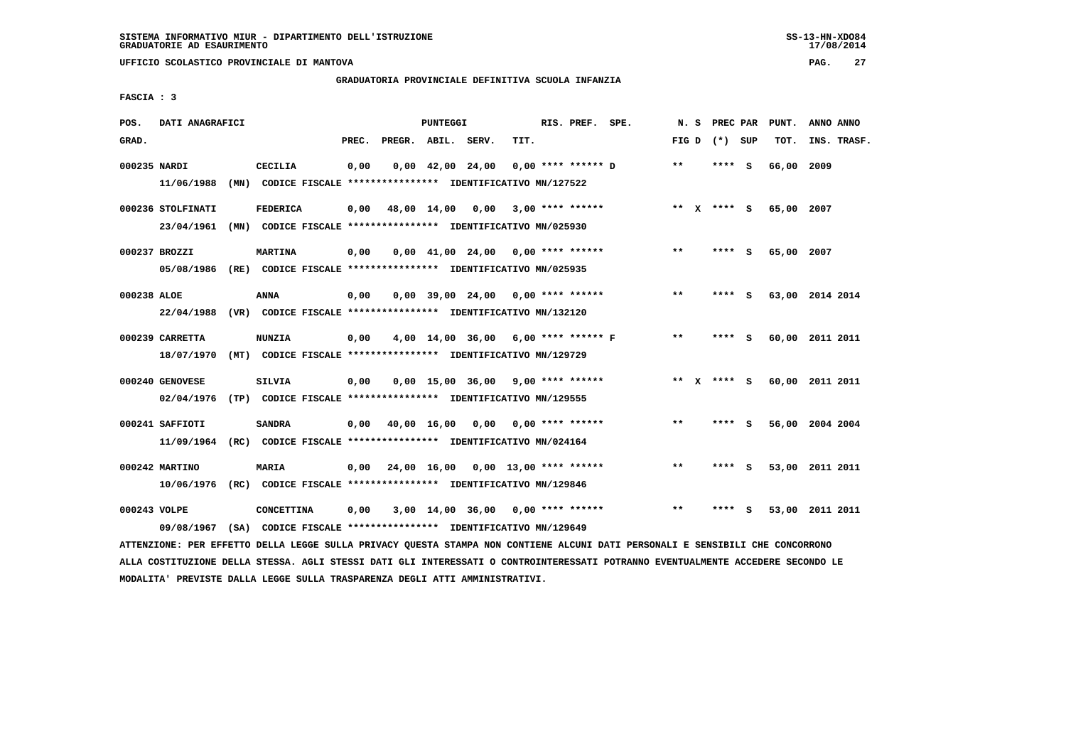**UFFICIO SCOLASTICO PROVINCIALE DI MANTOVA PAG. 27**

# **GRADUATORIA PROVINCIALE DEFINITIVA SCUOLA INFANZIA**

 **FASCIA : 3**

| POS.         | DATI ANAGRAFICI                                                                                                               |                 |       | PUNTEGGI |                                                               |      | RIS. PREF. SPE.    |                    |       |                 | N. S PREC PAR PUNT. | ANNO ANNO |             |
|--------------|-------------------------------------------------------------------------------------------------------------------------------|-----------------|-------|----------|---------------------------------------------------------------|------|--------------------|--------------------|-------|-----------------|---------------------|-----------|-------------|
| GRAD.        |                                                                                                                               |                 | PREC. |          | PREGR. ABIL. SERV.                                            | TIT. |                    |                    |       | FIG D $(*)$ SUP | тот.                |           | INS. TRASF. |
| 000235 NARDI |                                                                                                                               | CECILIA         | 0,00  |          | $0,00$ 42,00 24,00                                            |      |                    | 0,00 **** ****** D | $* *$ | **** S          | 66,00 2009          |           |             |
|              | 11/06/1988                                                                                                                    |                 |       |          | (MN) CODICE FISCALE **************** IDENTIFICATIVO MN/127522 |      |                    |                    |       |                 |                     |           |             |
|              | 000236 STOLFINATI                                                                                                             | <b>FEDERICA</b> |       |          | $0,00$ 48,00 14,00 0,00 3,00 **** ******                      |      |                    |                    |       | ** X **** S     | 65,00 2007          |           |             |
|              | 23/04/1961 (MN) CODICE FISCALE *************** IDENTIFICATIVO MN/025930                                                       |                 |       |          |                                                               |      |                    |                    |       |                 |                     |           |             |
|              | 000237 BROZZI                                                                                                                 | <b>MARTINA</b>  | 0,00  |          | $0.00 \quad 41.00 \quad 24.00 \quad 0.00 \quad *** \quad ***$ |      |                    |                    | $***$ | $***$ S         | 65,00 2007          |           |             |
|              | 05/08/1986 (RE) CODICE FISCALE *************** IDENTIFICATIVO MN/025935                                                       |                 |       |          |                                                               |      |                    |                    |       |                 |                     |           |             |
| 000238 ALOE  |                                                                                                                               | ANNA            | 0,00  |          | $0,00$ 39,00 24,00 0,00 **** ******                           |      |                    |                    | $***$ | **** S          | 63,00 2014 2014     |           |             |
|              | 22/04/1988 (VR) CODICE FISCALE *************** IDENTIFICATIVO MN/132120                                                       |                 |       |          |                                                               |      |                    |                    |       |                 |                     |           |             |
|              | 000239 CARRETTA                                                                                                               | <b>NUNZIA</b>   | 0,00  |          | 4,00 14,00 36,00 6,00 **** ****** F                           |      |                    |                    | $***$ | **** S          | 60,00 2011 2011     |           |             |
|              | 18/07/1970 (MT) CODICE FISCALE **************** IDENTIFICATIVO MN/129729                                                      |                 |       |          |                                                               |      |                    |                    |       |                 |                     |           |             |
|              | 000240 GENOVESE                                                                                                               | <b>SILVIA</b>   | 0,00  |          | $0,00$ 15,00 36,00 9,00 **** ******                           |      |                    |                    |       | ** x **** S     | 60,00 2011 2011     |           |             |
|              | 02/04/1976 (TP) CODICE FISCALE **************** IDENTIFICATIVO MN/129555                                                      |                 |       |          |                                                               |      |                    |                    |       |                 |                     |           |             |
|              | 000241 SAFFIOTI                                                                                                               | <b>SANDRA</b>   |       |          | 0,00 40,00 16,00 0,00                                         |      | $0.00$ **** ****** |                    | $* *$ | **** S          | 56,00 2004 2004     |           |             |
|              | 11/09/1964 (RC) CODICE FISCALE *************** IDENTIFICATIVO MN/024164                                                       |                 |       |          |                                                               |      |                    |                    |       |                 |                     |           |             |
|              | 000242 MARTINO                                                                                                                | <b>MARIA</b>    |       |          | $0,00$ 24,00 16,00 0,00 13,00 **** ******                     |      |                    |                    | $***$ | **** S          | 53,00 2011 2011     |           |             |
|              | 10/06/1976 (RC) CODICE FISCALE *************** IDENTIFICATIVO MN/129846                                                       |                 |       |          |                                                               |      |                    |                    |       |                 |                     |           |             |
| 000243 VOLPE |                                                                                                                               | CONCETTINA      | 0,00  |          | 3,00 14,00 36,00 0,00 **** ******                             |      |                    |                    | $* *$ | **** S          | 53,00 2011 2011     |           |             |
|              | 09/08/1967                                                                                                                    |                 |       |          | (SA) CODICE FISCALE *************** IDENTIFICATIVO MN/129649  |      |                    |                    |       |                 |                     |           |             |
|              | ATTENZIONE: PER EFFETTO DELLA LEGGE SULLA PRIVACY QUESTA STAMPA NON CONTIENE ALCUNI DATI PERSONALI E SENSIBILI CHE CONCORRONO |                 |       |          |                                                               |      |                    |                    |       |                 |                     |           |             |

 **ALLA COSTITUZIONE DELLA STESSA. AGLI STESSI DATI GLI INTERESSATI O CONTROINTERESSATI POTRANNO EVENTUALMENTE ACCEDERE SECONDO LE MODALITA' PREVISTE DALLA LEGGE SULLA TRASPARENZA DEGLI ATTI AMMINISTRATIVI.**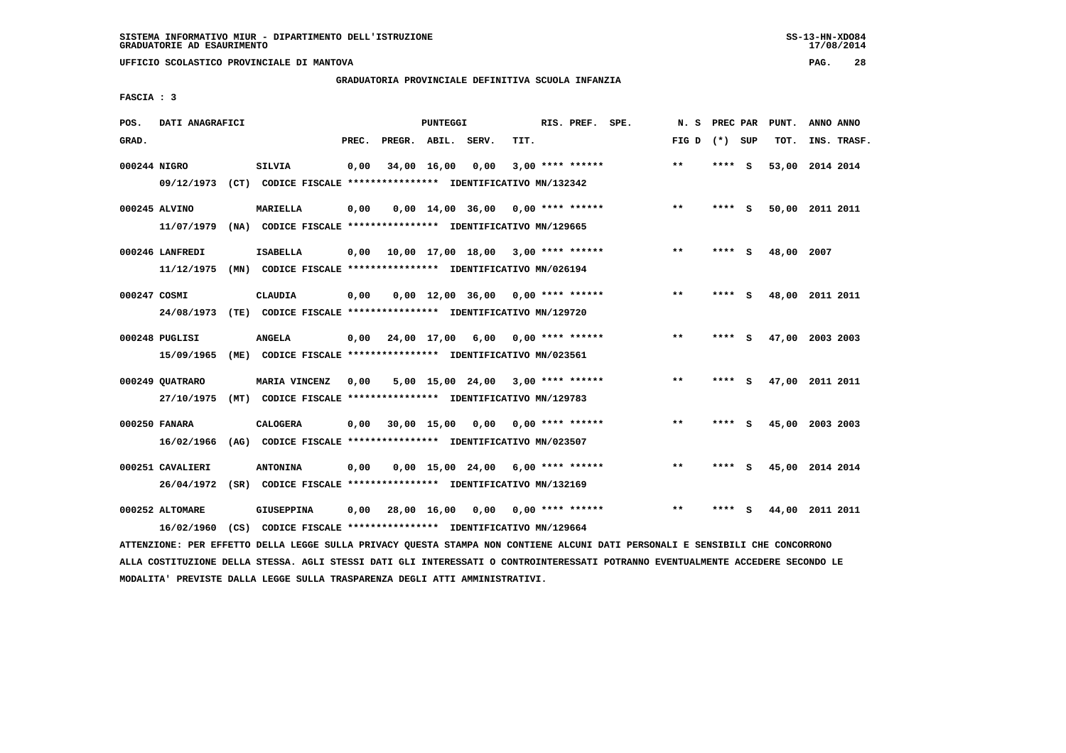**UFFICIO SCOLASTICO PROVINCIALE DI MANTOVA PAG. 28**

# **GRADUATORIA PROVINCIALE DEFINITIVA SCUOLA INFANZIA**

 **FASCIA : 3**

| POS.         | DATI ANAGRAFICI  |      |                                                               |       |                    | PUNTEGGI    |                                            |      | RIS. PREF. SPE.         | N.S   | PREC PAR |     | PUNT.           | ANNO ANNO   |  |
|--------------|------------------|------|---------------------------------------------------------------|-------|--------------------|-------------|--------------------------------------------|------|-------------------------|-------|----------|-----|-----------------|-------------|--|
| GRAD.        |                  |      |                                                               | PREC. | PREGR. ABIL. SERV. |             |                                            | TIT. |                         | FIG D | (*) SUP  |     | TOT.            | INS. TRASF. |  |
| 000244 NIGRO |                  |      | <b>SILVIA</b>                                                 | 0,00  | 34,00 16,00        |             | 0,00                                       |      | $3,00$ **** ******      | $***$ | **** S   |     | 53,00           | 2014 2014   |  |
|              | 09/12/1973       |      | (CT) CODICE FISCALE **************** IDENTIFICATIVO MN/132342 |       |                    |             |                                            |      |                         |       |          |     |                 |             |  |
|              | 000245 ALVINO    |      | MARIELLA                                                      | 0,00  |                    |             | $0.00 \quad 14.00 \quad 36.00$             |      | 0,00 **** ******        | $***$ | **** S   |     | 50,00 2011 2011 |             |  |
|              | 11/07/1979       |      | (NA) CODICE FISCALE **************** IDENTIFICATIVO MN/129665 |       |                    |             |                                            |      |                         |       |          |     |                 |             |  |
|              | 000246 LANFREDI  |      | <b>ISABELLA</b>                                               | 0.00  |                    |             | $10,00$ $17,00$ $18,00$ $3,00$ **** ****** |      |                         | $* *$ | ****     | - S | 48,00 2007      |             |  |
|              | 11/12/1975       |      | (MN) CODICE FISCALE **************** IDENTIFICATIVO MN/026194 |       |                    |             |                                            |      |                         |       |          |     |                 |             |  |
| 000247 COSMI |                  |      | CLAUDIA                                                       | 0,00  |                    |             | $0.00$ 12.00 36.00 0.00 **** ******        |      |                         | $* *$ | **** S   |     | 48,00 2011 2011 |             |  |
|              | 24/08/1973       |      | (TE) CODICE FISCALE **************** IDENTIFICATIVO MN/129720 |       |                    |             |                                            |      |                         |       |          |     |                 |             |  |
|              | 000248 PUGLISI   |      | <b>ANGELA</b>                                                 | 0,00  |                    | 24,00 17,00 | 6,00                                       |      | $0.00$ **** ******      | $***$ | ****     | - S | 47,00 2003 2003 |             |  |
|              | 15/09/1965       | (ME) | CODICE FISCALE **************** IDENTIFICATIVO MN/023561      |       |                    |             |                                            |      |                         |       |          |     |                 |             |  |
|              | 000249 OUATRARO  |      | MARIA VINCENZ                                                 |       |                    |             | $5,00$ 15,00 24,00 3,00 **** ******        |      |                         | $***$ | ****     | - S | 47,00 2011 2011 |             |  |
|              | 27/10/1975       | (MT) | CODICE FISCALE **************** IDENTIFICATIVO MN/129783      | 0,00  |                    |             |                                            |      |                         |       |          |     |                 |             |  |
|              |                  |      |                                                               |       |                    |             |                                            |      |                         |       |          |     |                 |             |  |
|              | 000250 FANARA    |      | <b>CALOGERA</b>                                               | 0,00  |                    | 30,00 15,00 |                                            |      | $0,00$ 0,00 **** ****** | $* *$ | ****     | - S | 45,00 2003 2003 |             |  |
|              | 16/02/1966       | (AG) | CODICE FISCALE **************** IDENTIFICATIVO MN/023507      |       |                    |             |                                            |      |                         |       |          |     |                 |             |  |
|              | 000251 CAVALIERI |      | <b>ANTONINA</b>                                               | 0.00  |                    |             | $0.00$ 15.00 24.00 6.00 **** ******        |      |                         | $* *$ | ****     | - S | 45,00 2014 2014 |             |  |
|              | 26/04/1972       |      | (SR) CODICE FISCALE **************** IDENTIFICATIVO MN/132169 |       |                    |             |                                            |      |                         |       |          |     |                 |             |  |
|              | 000252 ALTOMARE  |      | <b>GIUSEPPINA</b>                                             | 0.00  |                    | 28,00 16,00 | 0.00                                       |      | $0.00$ **** ******      | $***$ | ****     | S.  | 44,00           | 2011 2011   |  |
|              | 16/02/1960       |      | (CS) CODICE FISCALE **************** IDENTIFICATIVO MN/129664 |       |                    |             |                                            |      |                         |       |          |     |                 |             |  |
|              |                  |      |                                                               |       |                    |             |                                            |      |                         |       |          |     |                 |             |  |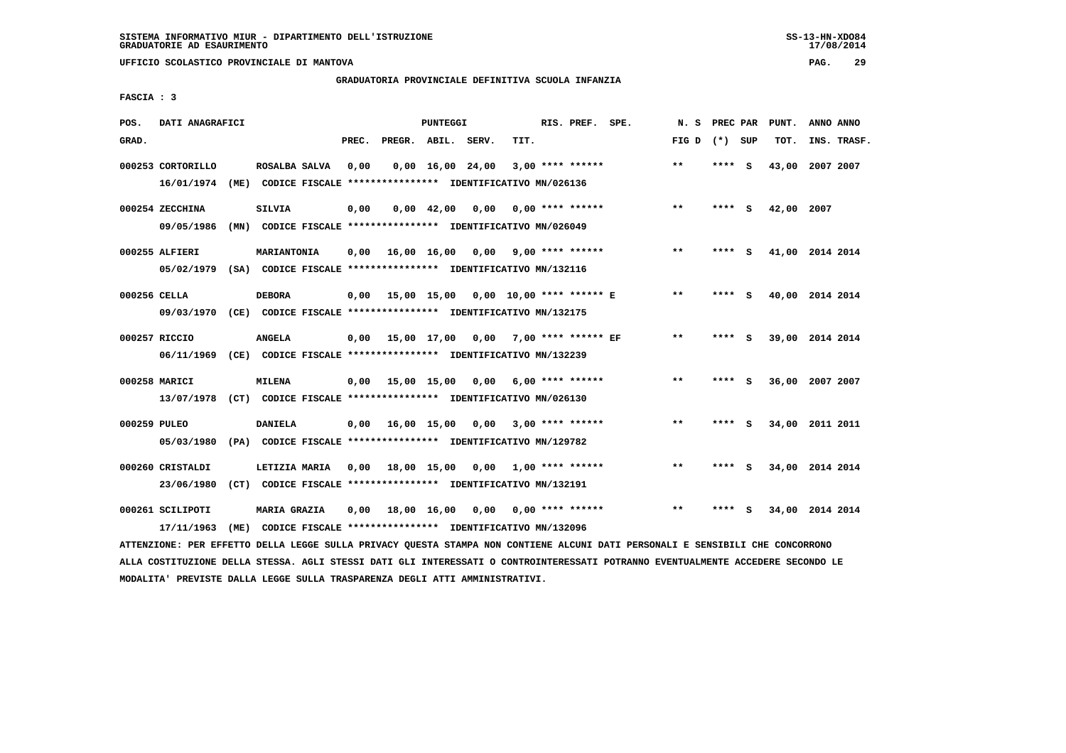**UFFICIO SCOLASTICO PROVINCIALE DI MANTOVA PAG. 29**

# **GRADUATORIA PROVINCIALE DEFINITIVA SCUOLA INFANZIA**

 **FASCIA : 3**

| POS.         | DATI ANAGRAFICI   |      |                                                               |                                                          |       |                    | PUNTEGGI           |                                      |      | RIS. PREF. SPE.         | N.S   | PREC PAR |     | PUNT.           | ANNO ANNO |             |
|--------------|-------------------|------|---------------------------------------------------------------|----------------------------------------------------------|-------|--------------------|--------------------|--------------------------------------|------|-------------------------|-------|----------|-----|-----------------|-----------|-------------|
| GRAD.        |                   |      |                                                               |                                                          | PREC. | PREGR. ABIL. SERV. |                    |                                      | TIT. |                         | FIG D | (*) SUP  |     | TOT.            |           | INS. TRASF. |
|              | 000253 CORTORILLO |      | ROSALBA SALVA                                                 |                                                          | 0,00  |                    |                    | $0,00 \quad 16,00 \quad 24,00$       |      | $3,00$ **** ******      | $***$ | **** S   |     | 43,00           | 2007 2007 |             |
|              | 16/01/1974        |      | (ME) CODICE FISCALE **************** IDENTIFICATIVO MN/026136 |                                                          |       |                    |                    |                                      |      |                         |       |          |     |                 |           |             |
|              | 000254 ZECCHINA   |      | <b>SILVIA</b>                                                 |                                                          | 0,00  |                    | $0.00 \quad 42.00$ | 0.00                                 |      | $0.00$ **** ******      | $* *$ | **** S   |     | 42,00 2007      |           |             |
|              | 09/05/1986        |      | (MN) CODICE FISCALE **************** IDENTIFICATIVO MN/026049 |                                                          |       |                    |                    |                                      |      |                         |       |          |     |                 |           |             |
|              | 000255 ALFIERI    |      | MARIANTONIA                                                   |                                                          | 0,00  |                    | 16,00 16,00        |                                      |      | $0.00$ 9.00 **** ****** | $***$ | ****     | - S | 41,00 2014 2014 |           |             |
|              | 05/02/1979        |      | (SA) CODICE FISCALE **************** IDENTIFICATIVO MN/132116 |                                                          |       |                    |                    |                                      |      |                         |       |          |     |                 |           |             |
| 000256 CELLA |                   |      | <b>DEBORA</b>                                                 |                                                          | 0.00  | 15,00 15,00        |                    | 0,00 10,00 **** ****** E             |      |                         | $* *$ | **** S   |     | 40,00 2014 2014 |           |             |
|              | 09/03/1970        |      | (CE) CODICE FISCALE **************** IDENTIFICATIVO MN/132175 |                                                          |       |                    |                    |                                      |      |                         |       |          |     |                 |           |             |
|              | 000257 RICCIO     |      | <b>ANGELA</b>                                                 |                                                          | 0.00  |                    |                    | 15,00 17,00 0,00 7,00 **** ****** EF |      |                         | $**$  | ****     | - S | 39,00 2014 2014 |           |             |
|              | 06/11/1969        |      | (CE) CODICE FISCALE **************** IDENTIFICATIVO MN/132239 |                                                          |       |                    |                    |                                      |      |                         |       |          |     |                 |           |             |
|              | 000258 MARICI     |      | <b>MILENA</b>                                                 |                                                          | 0,00  | 15,00 15,00        |                    | 0,00                                 |      | 6,00 **** ******        | $* *$ | ****     | - S | 36,00 2007 2007 |           |             |
|              | 13/07/1978        |      | (CT) CODICE FISCALE **************** IDENTIFICATIVO MN/026130 |                                                          |       |                    |                    |                                      |      |                         |       |          |     |                 |           |             |
| 000259 PULEO |                   |      | <b>DANIELA</b>                                                |                                                          | 0.00  | 16,00 15,00        |                    | 0,00                                 |      | $3,00$ **** ******      | **    | ****     | - S | 34,00 2011 2011 |           |             |
|              | 05/03/1980        |      | (PA) CODICE FISCALE **************** IDENTIFICATIVO MN/129782 |                                                          |       |                    |                    |                                      |      |                         |       |          |     |                 |           |             |
|              |                   |      |                                                               |                                                          |       |                    |                    |                                      |      |                         |       |          |     |                 |           |             |
|              | 000260 CRISTALDI  |      | LETIZIA MARIA                                                 |                                                          | 0,00  | 18,00 15,00        |                    | 0,00                                 |      | 1,00 **** ******        | $**$  | ****     | - 5 | 34,00 2014 2014 |           |             |
|              | 23/06/1980        |      | (CT) CODICE FISCALE **************** IDENTIFICATIVO MN/132191 |                                                          |       |                    |                    |                                      |      |                         |       |          |     |                 |           |             |
|              | 000261 SCILIPOTI  |      | <b>MARIA GRAZIA</b>                                           |                                                          | 0,00  |                    | 18,00 16,00        | 0,00                                 |      | $0.00$ **** ******      | $* *$ | ****     | s   | 34,00 2014 2014 |           |             |
|              | 17/11/1963        | (ME) |                                                               | CODICE FISCALE **************** IDENTIFICATIVO MN/132096 |       |                    |                    |                                      |      |                         |       |          |     |                 |           |             |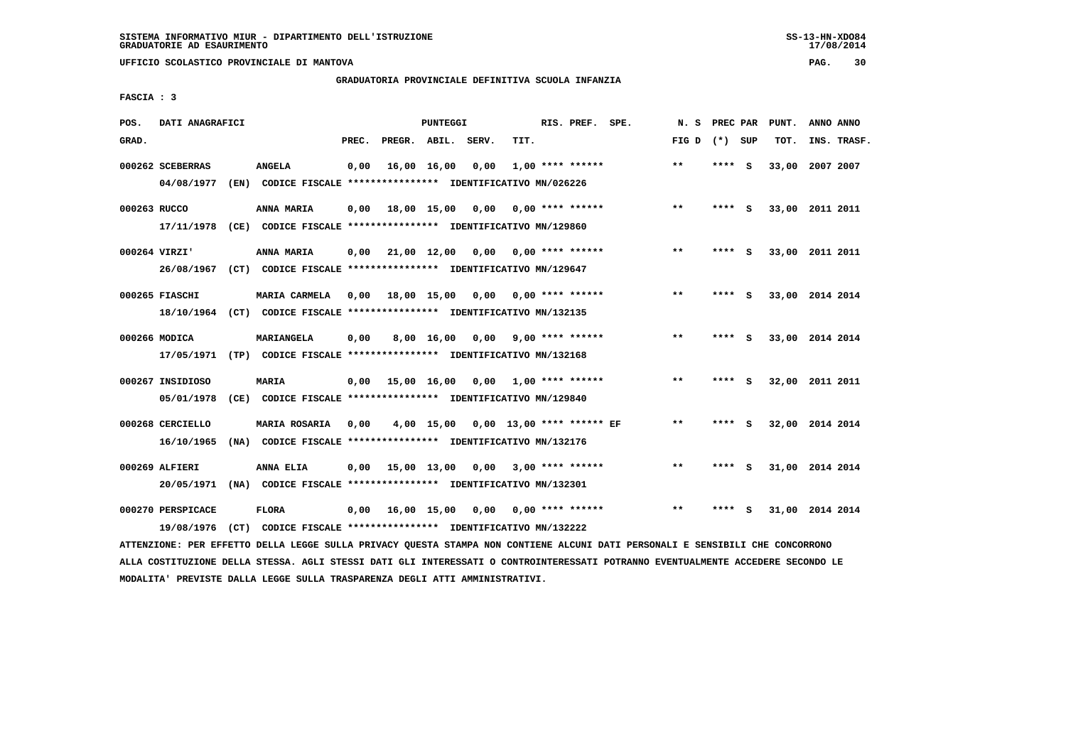**UFFICIO SCOLASTICO PROVINCIALE DI MANTOVA PAG. 30**

# **GRADUATORIA PROVINCIALE DEFINITIVA SCUOLA INFANZIA**

 **FASCIA : 3**

| POS.         | DATI ANAGRAFICI   |      |                                                                                                                               |       |                                   | PUNTEGGI   |                                      |      | RIS. PREF. SPE.           |                         | N.S             |        |     | PREC PAR PUNT.  | ANNO ANNO |             |
|--------------|-------------------|------|-------------------------------------------------------------------------------------------------------------------------------|-------|-----------------------------------|------------|--------------------------------------|------|---------------------------|-------------------------|-----------------|--------|-----|-----------------|-----------|-------------|
| GRAD.        |                   |      |                                                                                                                               | PREC. | PREGR. ABIL. SERV.                |            |                                      | TIT. |                           |                         | FIG D $(*)$ SUP |        |     | TOT.            |           | INS. TRASF. |
|              | 000262 SCEBERRAS  |      | <b>ANGELA</b>                                                                                                                 | 0,00  | 16,00 16,00                       |            | 0,00                                 |      | $1,00$ **** ******        |                         | $***$           | **** S |     | 33,00 2007 2007 |           |             |
|              | 04/08/1977        | (EN) | CODICE FISCALE **************** IDENTIFICATIVO MN/026226                                                                      |       |                                   |            |                                      |      |                           |                         |                 |        |     |                 |           |             |
| 000263 RUCCO |                   |      | ANNA MARIA                                                                                                                    | 0,00  | 18,00 15,00                       |            |                                      |      | $0,00$ $0,00$ **** ****** |                         | $* *$           | **** S |     | 33,00 2011 2011 |           |             |
|              | 17/11/1978        |      | (CE) CODICE FISCALE **************** IDENTIFICATIVO MN/129860                                                                 |       |                                   |            |                                      |      |                           |                         |                 |        |     |                 |           |             |
|              | 000264 VIRZI'     |      | <b>ANNA MARIA</b>                                                                                                             | 0,00  | 21,00 12,00                       |            | 0,00                                 |      | 0,00 **** ******          |                         | $***$           | **** S |     | 33,00 2011 2011 |           |             |
|              | 26/08/1967        |      | (CT) CODICE FISCALE **************** IDENTIFICATIVO MN/129647                                                                 |       |                                   |            |                                      |      |                           |                         |                 |        |     |                 |           |             |
|              | 000265 FIASCHI    |      | MARIA CARMELA                                                                                                                 | 0,00  | 18,00 15,00 0,00                  |            |                                      |      | $0.00$ **** ******        |                         | $\star\star$    | **** S |     | 33,00 2014 2014 |           |             |
|              | 18/10/1964        |      | (CT) CODICE FISCALE **************** IDENTIFICATIVO MN/132135                                                                 |       |                                   |            |                                      |      |                           |                         |                 |        |     |                 |           |             |
|              | 000266 MODICA     |      | MARIANGELA                                                                                                                    | 0,00  |                                   | 8,00 16,00 | 0,00                                 |      | 9,00 **** ******          |                         | $**$            | **** S |     | 33,00 2014 2014 |           |             |
|              | 17/05/1971        |      | (TP) CODICE FISCALE **************** IDENTIFICATIVO MN/132168                                                                 |       |                                   |            |                                      |      |                           |                         |                 |        |     |                 |           |             |
|              | 000267 INSIDIOSO  |      | <b>MARIA</b>                                                                                                                  | 0,00  | 15,00 16,00                       |            |                                      |      | $0,00$ 1,00 **** ******   |                         | $* *$           | **** S |     | 32,00 2011 2011 |           |             |
|              | 05/01/1978        |      | (CE) CODICE FISCALE **************** IDENTIFICATIVO MN/129840                                                                 |       |                                   |            |                                      |      |                           |                         |                 |        |     |                 |           |             |
|              | 000268 CERCIELLO  |      | <b>MARIA ROSARIA</b>                                                                                                          | 0,00  |                                   |            | 4,00 15,00 0,00 13,00 **** ****** EF |      |                           |                         | $* *$           | ****   | - S | 32,00 2014 2014 |           |             |
|              | 16/10/1965        |      | (NA) CODICE FISCALE **************** IDENTIFICATIVO MN/132176                                                                 |       |                                   |            |                                      |      |                           |                         |                 |        |     |                 |           |             |
|              | 000269 ALFIERI    |      | ANNA ELIA                                                                                                                     | 0,00  | 15,00 13,00 0,00 3,00 **** ****** |            |                                      |      |                           |                         | $***$           | **** S |     | 31,00 2014 2014 |           |             |
|              | 20/05/1971        |      | (NA) CODICE FISCALE **************** IDENTIFICATIVO MN/132301                                                                 |       |                                   |            |                                      |      |                           |                         |                 |        |     |                 |           |             |
|              | 000270 PERSPICACE |      | <b>FLORA</b>                                                                                                                  | 0,00  | 16,00 15,00                       |            |                                      |      |                           | $0,00$ 0,00 **** ****** | $***$           | ****   | - S | 31,00 2014 2014 |           |             |
|              | 19/08/1976        |      | (CT) CODICE FISCALE **************** IDENTIFICATIVO MN/132222                                                                 |       |                                   |            |                                      |      |                           |                         |                 |        |     |                 |           |             |
|              |                   |      | ATTENZIONE: PER EFFETTO DELLA LEGGE SULLA PRIVACY QUESTA STAMPA NON CONTIENE ALCUNI DATI PERSONALI E SENSIBILI CHE CONCORRONO |       |                                   |            |                                      |      |                           |                         |                 |        |     |                 |           |             |

 **ALLA COSTITUZIONE DELLA STESSA. AGLI STESSI DATI GLI INTERESSATI O CONTROINTERESSATI POTRANNO EVENTUALMENTE ACCEDERE SECONDO LE MODALITA' PREVISTE DALLA LEGGE SULLA TRASPARENZA DEGLI ATTI AMMINISTRATIVI.**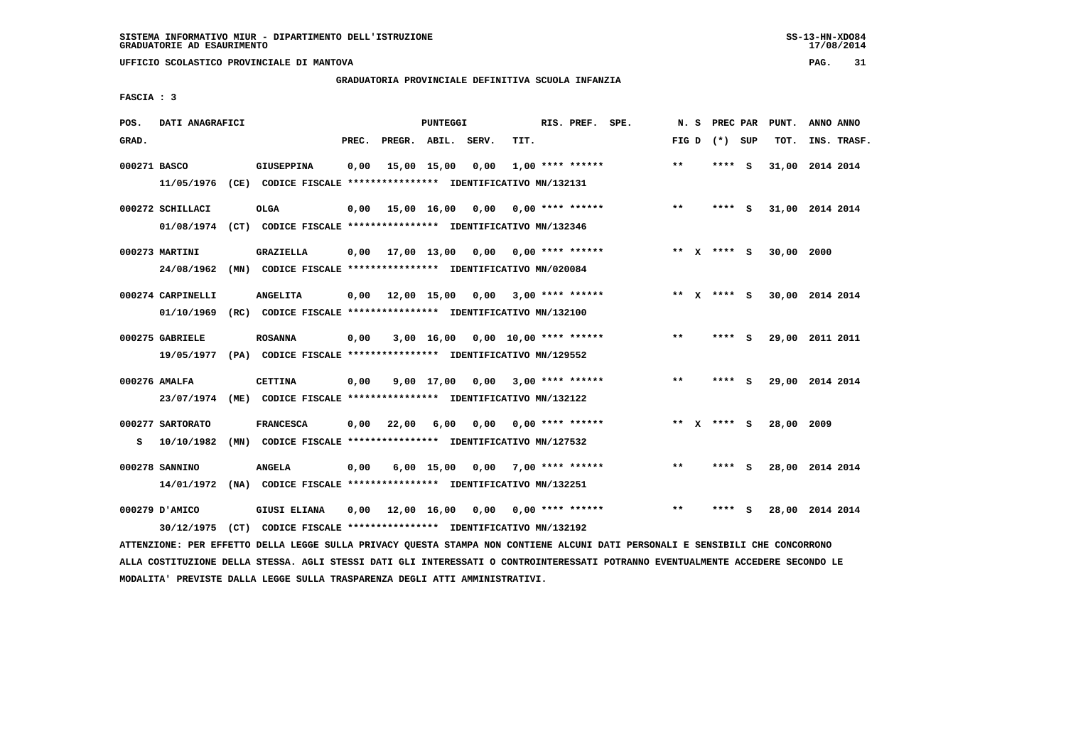**UFFICIO SCOLASTICO PROVINCIALE DI MANTOVA PAG. 31**

# **GRADUATORIA PROVINCIALE DEFINITIVA SCUOLA INFANZIA**

 **FASCIA : 3**

| POS.         | DATI ANAGRAFICI                 |                                                                                      |       |                    | PUNTEGGI     |                                     |      | RIS. PREF. SPE.         | N.S   |             | PREC PAR PUNT. | ANNO ANNO       |
|--------------|---------------------------------|--------------------------------------------------------------------------------------|-------|--------------------|--------------|-------------------------------------|------|-------------------------|-------|-------------|----------------|-----------------|
| GRAD.        |                                 |                                                                                      | PREC. | PREGR. ABIL. SERV. |              |                                     | TIT. |                         | FIG D | (*) SUP     | TOT.           | INS. TRASF.     |
| 000271 BASCO | 11/05/1976                      | <b>GIUSEPPINA</b><br>(CE) CODICE FISCALE **************** IDENTIFICATIVO MN/132131   | 0,00  |                    | 15,00 15,00  | 0,00                                |      | $1,00$ **** ******      | $***$ | **** S      |                | 31,00 2014 2014 |
|              | 000272 SCHILLACI<br>01/08/1974  | <b>OLGA</b><br>(CT) CODICE FISCALE **************** IDENTIFICATIVO MN/132346         | 0,00  |                    |              | 15,00 16,00 0,00                    |      | $0.00$ **** ******      | $***$ | **** S      |                | 31,00 2014 2014 |
|              | 000273 MARTINI<br>24/08/1962    | <b>GRAZIELLA</b><br>(MN) CODICE FISCALE **************** IDENTIFICATIVO MN/020084    | 0,00  |                    |              | 17,00 13,00 0,00 0,00 **** ******   |      |                         |       | ** X **** S | 30,00 2000     |                 |
|              | 000274 CARPINELLI<br>01/10/1969 | <b>ANGELITA</b><br>(RC) CODICE FISCALE **************** IDENTIFICATIVO MN/132100     | 0,00  | 12,00 15,00        |              |                                     |      | $0,00$ 3,00 **** ****** | ** X  | **** S      |                | 30,00 2014 2014 |
|              | 000275 GABRIELE<br>19/05/1977   | <b>ROSANNA</b><br>(PA) CODICE FISCALE **************** IDENTIFICATIVO MN/129552      | 0,00  |                    |              | $3,00$ 16,00 0,00 10,00 **** ****** |      |                         | $* *$ | **** S      |                | 29,00 2011 2011 |
|              | 000276 AMALFA<br>23/07/1974     | <b>CETTINA</b><br>(ME) CODICE FISCALE **************** IDENTIFICATIVO MN/132122      | 0,00  |                    |              | 9,00 17,00 0,00                     |      | $3,00$ **** ******      | $* *$ | **** S      |                | 29,00 2014 2014 |
| s            | 000277 SARTORATO<br>10/10/1982  | <b>FRANCESCA</b><br>(MN) CODICE FISCALE **************** IDENTIFICATIVO MN/127532    | 0,00  | 22,00              | 6,00         | 0,00                                |      | 0,00 **** ******        |       | ** x **** S | 28,00 2009     |                 |
|              | 000278 SANNINO<br>14/01/1972    | <b>ANGELA</b><br>(NA) CODICE FISCALE **************** IDENTIFICATIVO MN/132251       | 0,00  |                    | $6,00$ 15,00 |                                     |      | $0,00$ 7,00 **** ****** | **    | **** S      |                | 28,00 2014 2014 |
|              | 000279 D'AMICO<br>30/12/1975    | <b>GIUSI ELIANA</b><br>(CT) CODICE FISCALE **************** IDENTIFICATIVO MN/132192 | 0,00  | 12,00 16,00        |              | 0,00                                |      | 0,00 **** ******        | $***$ | **** S      |                | 28,00 2014 2014 |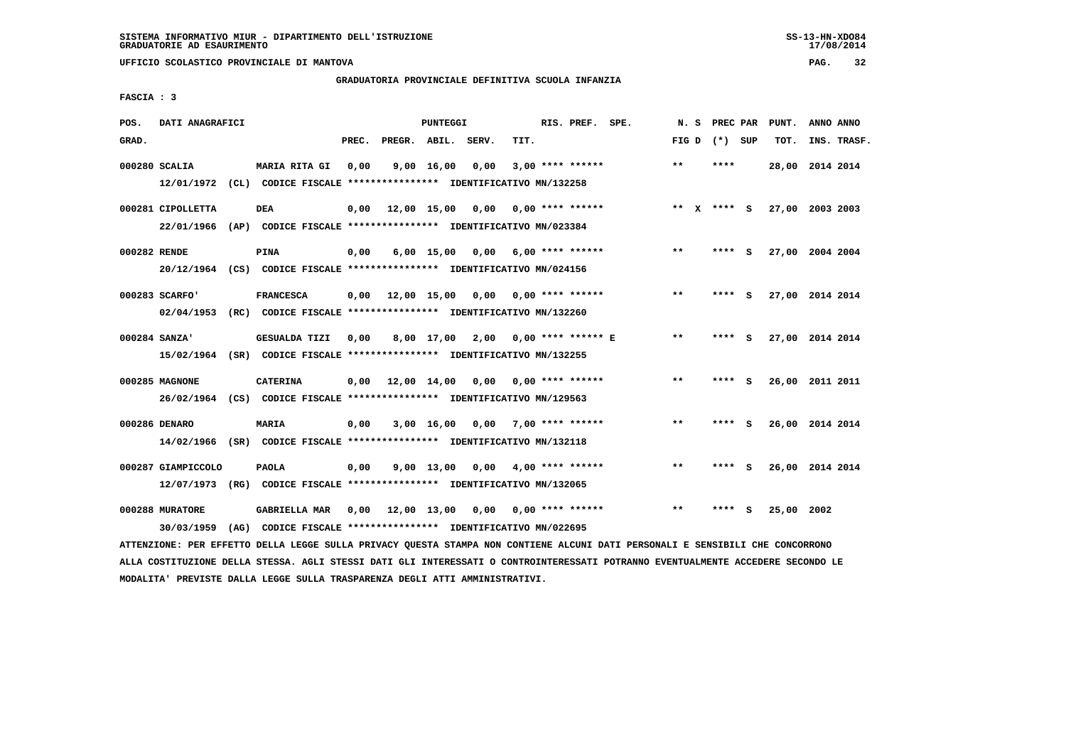# **GRADUATORIA PROVINCIALE DEFINITIVA SCUOLA INFANZIA**

 **FASCIA : 3**

| POS.         | DATI ANAGRAFICI                  |      |                                                                                                  |       |                    | PUNTEGGI           |       |      | RIS. PREF. SPE.         | N.S          | PREC PAR        |          | PUNT.           | ANNO ANNO |             |
|--------------|----------------------------------|------|--------------------------------------------------------------------------------------------------|-------|--------------------|--------------------|-------|------|-------------------------|--------------|-----------------|----------|-----------------|-----------|-------------|
| GRAD.        |                                  |      |                                                                                                  | PREC. | PREGR. ABIL.       |                    | SERV. | TIT. |                         |              | FIG D $(*)$ SUP |          | TOT.            |           | INS. TRASF. |
|              | 000280 SCALIA                    |      | <b>MARIA RITA GI</b><br>12/01/1972 (CL) CODICE FISCALE **************** IDENTIFICATIVO MN/132258 | 0.00  |                    | $9,00 \quad 16,00$ | 0.00  |      | $3,00$ **** ******      | $\star\star$ | ****            |          | 28,00 2014 2014 |           |             |
|              | 000281 CIPOLLETTA<br>22/01/1966  |      | <b>DEA</b><br>(AP) CODICE FISCALE **************** IDENTIFICATIVO MN/023384                      | 0,00  | 12,00 15,00        |                    | 0,00  |      | $0.00$ **** ******      |              | ** $X$ **** S   |          | 27,00 2003 2003 |           |             |
| 000282 RENDE |                                  |      | <b>PINA</b><br>20/12/1964 (CS) CODICE FISCALE *************** IDENTIFICATIVO MN/024156           | 0.00  |                    | $6,00$ 15,00       |       |      | $0,00$ 6,00 **** ****** | $***$        | ****            | - S      | 27,00 2004 2004 |           |             |
|              | 000283 SCARFO'                   |      | <b>FRANCESCA</b><br>02/04/1953 (RC) CODICE FISCALE *************** IDENTIFICATIVO MN/132260      | 0,00  | 12,00 15,00        |                    | 0,00  |      | $0.00$ **** ******      | $***$        | **** S          |          | 27,00 2014 2014 |           |             |
|              | 000284 SANZA'                    |      | <b>GESUALDA TIZI</b><br>15/02/1964 (SR) CODICE FISCALE *************** IDENTIFICATIVO MN/132255  | 0,00  |                    | 8,00 17,00         | 2,00  |      | $0.00$ **** ****** E    | $***$        | ****            | s        | 27,00 2014 2014 |           |             |
|              | 000285 MAGNONE                   |      | <b>CATERINA</b><br>26/02/1964 (CS) CODICE FISCALE *************** IDENTIFICATIVO MN/129563       |       | $0,00$ 12,00 14,00 |                    | 0,00  |      | $0.00$ **** ******      | $***$        | **** S          |          | 26,00 2011 2011 |           |             |
|              | 000286 DENARO                    |      | MARIA<br>14/02/1966 (SR) CODICE FISCALE *************** IDENTIFICATIVO MN/132118                 | 0,00  |                    | $3,00$ 16,00       | 0,00  |      | $7,00$ **** ******      | $* *$        | ****            | <b>S</b> | 26,00 2014 2014 |           |             |
|              | 000287 GIAMPICCOLO<br>12/07/1973 |      | <b>PAOLA</b><br>(RG) CODICE FISCALE **************** IDENTIFICATIVO MN/132065                    | 0,00  |                    | 9,00 13,00         | 0,00  |      | $4,00$ **** ******      | $**$         | ****            | - S      | 26,00 2014 2014 |           |             |
|              | 000288 MURATORE<br>30/03/1959    | (AG) | <b>GABRIELLA MAR</b><br>CODICE FISCALE **************** IDENTIFICATIVO MN/022695                 | 0,00  | 12,00 13,00        |                    | 0,00  |      | $0.00$ **** ******      | $***$        | ****            | s        | 25,00 2002      |           |             |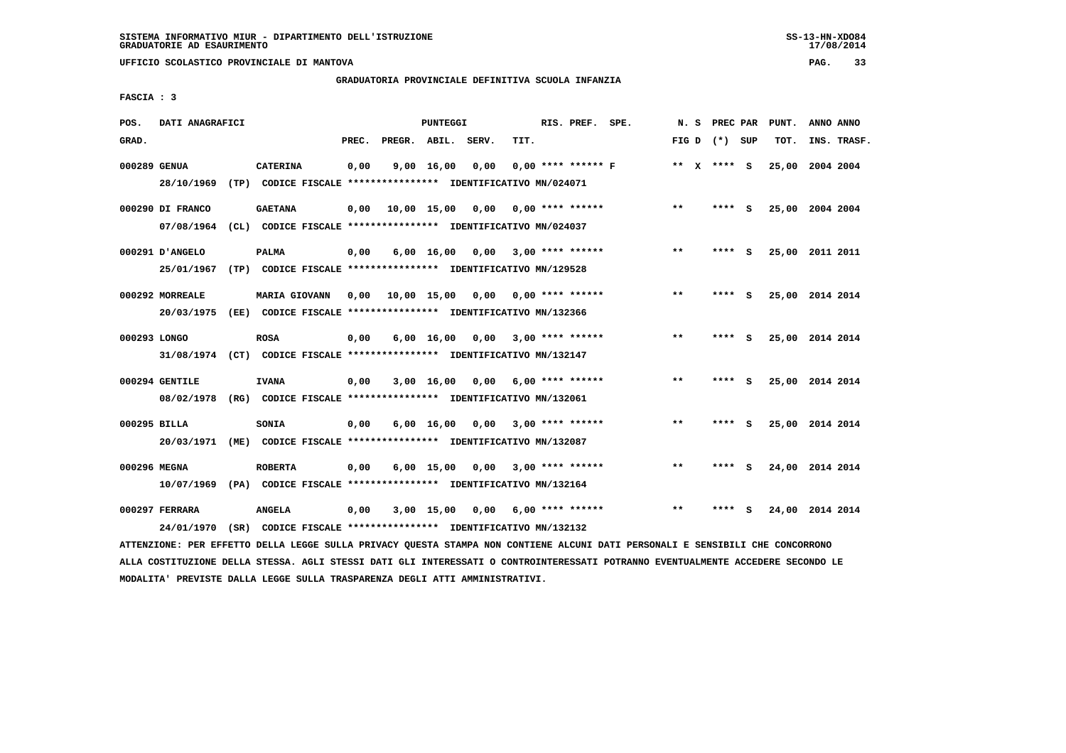**UFFICIO SCOLASTICO PROVINCIALE DI MANTOVA PAG. 33**

# **GRADUATORIA PROVINCIALE DEFINITIVA SCUOLA INFANZIA**

 **FASCIA : 3**

| POS.         | DATI ANAGRAFICI  |                                                                         |       |              | PUNTEGGI           |       |      | RIS. PREF. SPE.         | N. S         | PREC PAR        |     | PUNT.           | ANNO ANNO |             |
|--------------|------------------|-------------------------------------------------------------------------|-------|--------------|--------------------|-------|------|-------------------------|--------------|-----------------|-----|-----------------|-----------|-------------|
| GRAD.        |                  |                                                                         | PREC. | PREGR. ABIL. |                    | SERV. | TIT. |                         |              | FIG D $(*)$ SUP |     | TOT.            |           | INS. TRASF. |
| 000289 GENUA |                  | <b>CATERINA</b>                                                         | 0,00  |              | $9,00$ 16,00       | 0,00  |      | $0.00$ **** ****** F    |              | ** X **** S     |     | 25,00           | 2004 2004 |             |
|              | 28/10/1969       | (TP) CODICE FISCALE **************** IDENTIFICATIVO MN/024071           |       |              |                    |       |      |                         |              |                 |     |                 |           |             |
|              | 000290 DI FRANCO | <b>GAETANA</b>                                                          | 0,00  | 10,00 15,00  |                    | 0,00  |      | $0.00$ **** ******      | $**$         | $***$ S         |     | 25,00 2004 2004 |           |             |
|              | 07/08/1964       | (CL) CODICE FISCALE **************** IDENTIFICATIVO MN/024037           |       |              |                    |       |      |                         |              |                 |     |                 |           |             |
|              | 000291 D'ANGELO  | <b>PALMA</b>                                                            | 0,00  |              | $6,00$ 16,00       |       |      | $0,00$ 3,00 **** ****** | $***$        | **** S          |     | 25,00 2011 2011 |           |             |
|              | 25/01/1967       | (TP) CODICE FISCALE **************** IDENTIFICATIVO MN/129528           |       |              |                    |       |      |                         |              |                 |     |                 |           |             |
|              | 000292 MORREALE  | <b>MARIA GIOVANN</b>                                                    | 0.00  | 10,00 15,00  |                    |       |      | $0,00$ 0,00 **** ****** | $**$         | ****            | - S | 25,00 2014 2014 |           |             |
|              | 20/03/1975       |                                                                         |       |              |                    |       |      |                         |              |                 |     |                 |           |             |
| 000293 LONGO |                  | <b>ROSA</b>                                                             | 0,00  |              | $6,00 \quad 16,00$ |       |      | $0,00$ 3,00 **** ****** | $***$        | **** S          |     | 25,00 2014 2014 |           |             |
|              |                  | 31/08/1974 (CT) CODICE FISCALE *************** IDENTIFICATIVO MN/132147 |       |              |                    |       |      |                         |              |                 |     |                 |           |             |
|              | 000294 GENTILE   | <b>IVANA</b>                                                            | 0,00  |              | 3,00 16,00         | 0,00  |      | $6.00$ **** ******      | $\star\star$ | ****            | - 5 | 25,00 2014 2014 |           |             |
|              | 08/02/1978       | (RG) CODICE FISCALE **************** IDENTIFICATIVO MN/132061           |       |              |                    |       |      |                         |              |                 |     |                 |           |             |
| 000295 BILLA |                  | <b>SONIA</b>                                                            | 0,00  |              | $6,00 \quad 16,00$ | 0,00  |      | $3,00$ **** ******      | $***$        | **** S          |     | 25,00 2014 2014 |           |             |
|              | 20/03/1971       | (ME) CODICE FISCALE **************** IDENTIFICATIVO MN/132087           |       |              |                    |       |      |                         |              |                 |     |                 |           |             |
| 000296 MEGNA |                  | <b>ROBERTA</b>                                                          | 0,00  |              | $6,00$ 15,00       | 0,00  |      | $3.00*********$         | **           | **** S          |     | 24,00 2014 2014 |           |             |
|              | 10/07/1969       | (PA) CODICE FISCALE **************** IDENTIFICATIVO MN/132164           |       |              |                    |       |      |                         |              |                 |     |                 |           |             |
|              | 000297 FERRARA   | <b>ANGELA</b>                                                           | 0,00  |              | $3,00$ 15,00       | 0,00  |      | 6,00 **** ******        | $**$         |                 | s   | 24,00 2014 2014 |           |             |
|              | 24/01/1970       | (SR) CODICE FISCALE **************** IDENTIFICATIVO MN/132132           |       |              |                    |       |      |                         |              |                 |     |                 |           |             |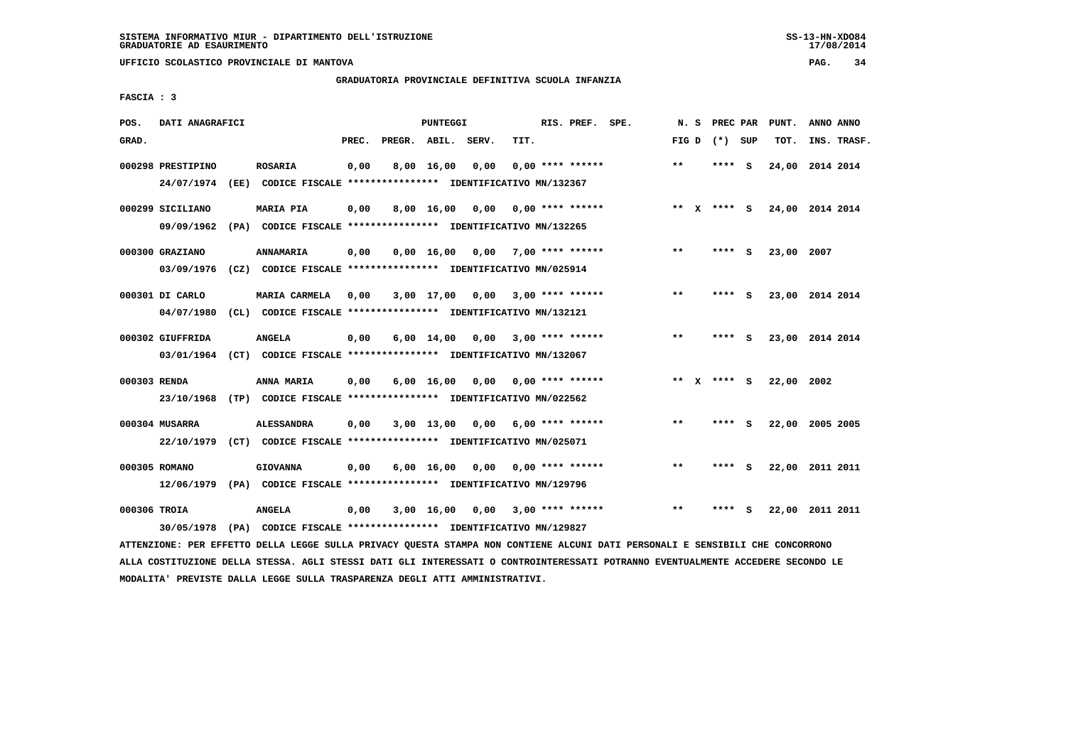**UFFICIO SCOLASTICO PROVINCIALE DI MANTOVA PAG. 34**

# **GRADUATORIA PROVINCIALE DEFINITIVA SCUOLA INFANZIA**

 **FASCIA : 3**

| POS.         | DATI ANAGRAFICI   |                                                               |       |                    | <b>PUNTEGGI</b>    |      |      | RIS. PREF. SPE.    | N.S     | PREC PAR    |     | PUNT.      | ANNO ANNO       |
|--------------|-------------------|---------------------------------------------------------------|-------|--------------------|--------------------|------|------|--------------------|---------|-------------|-----|------------|-----------------|
| GRAD.        |                   |                                                               | PREC. | PREGR. ABIL. SERV. |                    |      | TIT. |                    | FIG D   | (*) SUP     |     | TOT.       | INS. TRASF.     |
|              | 000298 PRESTIPINO | <b>ROSARIA</b>                                                | 0,00  |                    | 8,00 16,00         | 0,00 |      | $0.00$ **** ****** | $* *$   | ****        | - S | 24,00      | 2014 2014       |
|              | 24/07/1974        | (EE) CODICE FISCALE **************** IDENTIFICATIVO MN/132367 |       |                    |                    |      |      |                    |         |             |     |            |                 |
|              | 000299 SICILIANO  | <b>MARIA PIA</b>                                              | 0,00  |                    | $8,00 \quad 16,00$ | 0.00 |      | $0.00$ **** ****** | $***$ X | **** S      |     |            | 24,00 2014 2014 |
|              | 09/09/1962        | (PA) CODICE FISCALE **************** IDENTIFICATIVO MN/132265 |       |                    |                    |      |      |                    |         |             |     |            |                 |
|              | 000300 GRAZIANO   | <b>ANNAMARIA</b>                                              | 0,00  |                    | $0,00 \quad 16,00$ | 0,00 |      | $7.00$ **** ****** | $* *$   | ****        | - S | 23,00      | 2007            |
|              | 03/09/1976        | (CZ) CODICE FISCALE **************** IDENTIFICATIVO MN/025914 |       |                    |                    |      |      |                    |         |             |     |            |                 |
|              | 000301 DI CARLO   | <b>MARIA CARMELA</b>                                          | 0.00  |                    | $3,00$ 17,00       | 0,00 |      | $3,00$ **** ****** | $* *$   | ****        | - 5 |            | 23,00 2014 2014 |
|              | 04/07/1980        | (CL) CODICE FISCALE **************** IDENTIFICATIVO MN/132121 |       |                    |                    |      |      |                    |         |             |     |            |                 |
|              | 000302 GIUFFRIDA  | <b>ANGELA</b>                                                 | 0,00  |                    | $6,00 \quad 14,00$ | 0,00 |      | $3,00$ **** ****** | $* *$   | ****        | - S |            | 23,00 2014 2014 |
|              | 03/01/1964        | (CT) CODICE FISCALE **************** IDENTIFICATIVO MN/132067 |       |                    |                    |      |      |                    |         |             |     |            |                 |
| 000303 RENDA |                   | ANNA MARIA                                                    | 0,00  |                    | $6,00 \quad 16,00$ | 0,00 |      | 0,00 **** ******   |         | ** x **** s |     | 22,00 2002 |                 |
|              | 23/10/1968        | (TP) CODICE FISCALE **************** IDENTIFICATIVO MN/022562 |       |                    |                    |      |      |                    |         |             |     |            |                 |
|              | 000304 MUSARRA    | <b>ALESSANDRA</b>                                             | 0,00  |                    | $3,00$ 13,00       | 0.00 |      | 6,00 **** ******   | $* *$   | **** S      |     |            | 22,00 2005 2005 |
|              | 22/10/1979        | (CT) CODICE FISCALE **************** IDENTIFICATIVO MN/025071 |       |                    |                    |      |      |                    |         |             |     |            |                 |
|              | 000305 ROMANO     | <b>GIOVANNA</b>                                               | 0,00  |                    | $6,00 \quad 16,00$ | 0,00 |      | $0.00$ **** ****** | $* *$   | **** S      |     |            | 22,00 2011 2011 |
|              | 12/06/1979        | (PA) CODICE FISCALE **************** IDENTIFICATIVO MN/129796 |       |                    |                    |      |      |                    |         |             |     |            |                 |
| 000306 TROIA |                   | <b>ANGELA</b>                                                 | 0,00  |                    | 3,00 16,00         | 0,00 |      | $3,00$ **** ****** | $* *$   | ****        | - S |            | 22,00 2011 2011 |
|              | 30/05/1978        | (PA) CODICE FISCALE **************** IDENTIFICATIVO MN/129827 |       |                    |                    |      |      |                    |         |             |     |            |                 |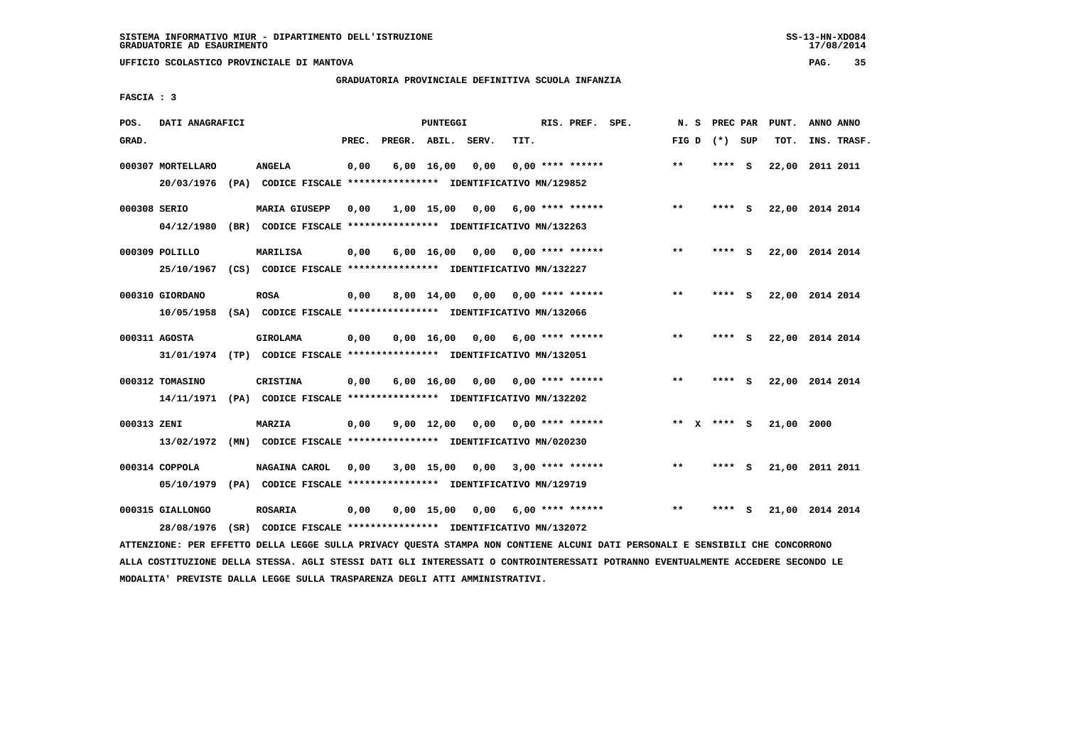**UFFICIO SCOLASTICO PROVINCIALE DI MANTOVA PAG. 35**

# **GRADUATORIA PROVINCIALE DEFINITIVA SCUOLA INFANZIA**

 **FASCIA : 3**

| POS.         | DATI ANAGRAFICI                 |      |                                                                                            |       |                    | PUNTEGGI           |      |      | RIS. PREF. SPE.           | N.S   | PREC PAR |          | PUNT.           | ANNO ANNO |             |
|--------------|---------------------------------|------|--------------------------------------------------------------------------------------------|-------|--------------------|--------------------|------|------|---------------------------|-------|----------|----------|-----------------|-----------|-------------|
| GRAD.        |                                 |      |                                                                                            | PREC. | PREGR. ABIL. SERV. |                    |      | TIT. |                           | FIG D | (*) SUP  |          | TOT.            |           | INS. TRASF. |
|              | 000307 MORTELLARO<br>20/03/1976 |      | <b>ANGELA</b><br>(PA) CODICE FISCALE **************** IDENTIFICATIVO MN/129852             | 0,00  |                    | $6,00$ 16,00       | 0,00 |      | $0.00$ **** ******        | $***$ | ****     | <b>S</b> | 22,00           | 2011 2011 |             |
| 000308 SERIO | 04/12/1980                      |      | <b>MARIA GIUSEPP</b><br>(BR) CODICE FISCALE **************** IDENTIFICATIVO MN/132263      | 0,00  |                    | 1,00 15,00         | 0.00 |      | $6.00$ **** ******        | $***$ | **** S   |          | 22,00 2014 2014 |           |             |
|              | 000309 POLILLO<br>25/10/1967    |      | <b>MARILISA</b><br>(CS) CODICE FISCALE **************** IDENTIFICATIVO MN/132227           | 0,00  |                    | $6,00 \quad 16,00$ |      |      | $0.00$ $0.00$ **** ****** | $* *$ | ****     | - S      | 22,00 2014 2014 |           |             |
|              | 000310 GIORDANO<br>10/05/1958   |      | <b>ROSA</b><br>(SA) CODICE FISCALE **************** IDENTIFICATIVO MN/132066               | 0.00  |                    | $8,00 \quad 14,00$ | 0.00 |      | $0.00$ **** ******        | $***$ | ****     | - S      | 22,00 2014 2014 |           |             |
|              | 000311 AGOSTA                   |      | <b>GIROLAMA</b><br>31/01/1974 (TP) CODICE FISCALE *************** IDENTIFICATIVO MN/132051 | 0,00  |                    | 0.00 16.00         | 0.00 |      | $6.00$ **** ******        | $***$ | ****     | s.       | 22,00 2014 2014 |           |             |
|              | 000312 TOMASINO<br>14/11/1971   |      | CRISTINA<br>(PA) CODICE FISCALE **************** IDENTIFICATIVO MN/132202                  | 0,00  |                    | $6,00$ 16,00       | 0,00 |      | 0,00 **** ******          | $***$ | **** S   |          | 22,00 2014 2014 |           |             |
| 000313 ZENI  | 13/02/1972                      |      | MARZIA<br>(MN) CODICE FISCALE **************** IDENTIFICATIVO MN/020230                    | 0,00  |                    | $9,00$ 12,00       | 0,00 |      | $0.00$ **** ******        | ** X  | **** S   |          | 21,00 2000      |           |             |
|              | 000314 COPPOLA<br>05/10/1979    |      | NAGAINA CAROL<br>(PA) CODICE FISCALE **************** IDENTIFICATIVO MN/129719             | 0,00  |                    | $3,00$ 15,00       | 0,00 |      | $3,00$ **** ******        | $***$ | ****     | - 5      | 21,00 2011 2011 |           |             |
|              | 000315 GIALLONGO<br>28/08/1976  | (SR) | <b>ROSARIA</b><br>CODICE FISCALE **************** IDENTIFICATIVO MN/132072                 | 0,00  |                    | 0.00 15.00         | 0,00 |      | $6.00$ **** ******        | $* *$ | ****     | s        | 21,00 2014 2014 |           |             |
|              |                                 |      |                                                                                            |       |                    |                    |      |      |                           |       |          |          |                 |           |             |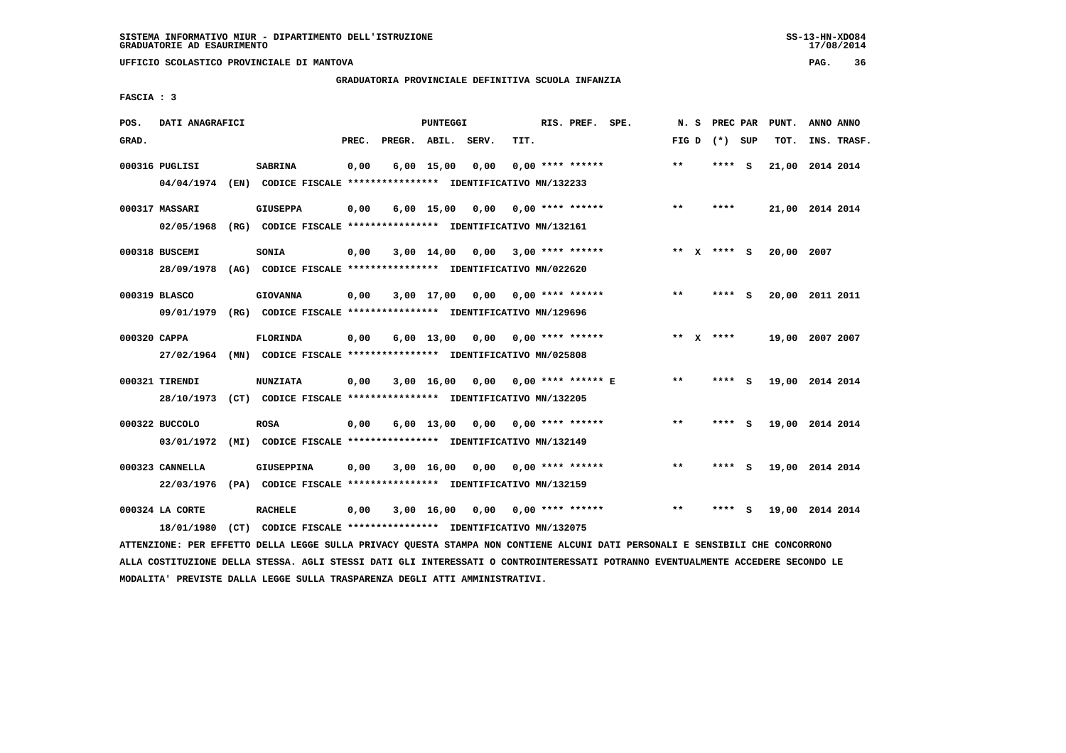**UFFICIO SCOLASTICO PROVINCIALE DI MANTOVA PAG. 36**

# **GRADUATORIA PROVINCIALE DEFINITIVA SCUOLA INFANZIA**

 **FASCIA : 3**

| POS.  | DATI ANAGRAFICI               |                                                                                    |       |                    | <b>PUNTEGGI</b>    |      |      | RIS. PREF. SPE.    | N.S   |              | PREC PAR    |     | PUNT.           | ANNO ANNO   |  |
|-------|-------------------------------|------------------------------------------------------------------------------------|-------|--------------------|--------------------|------|------|--------------------|-------|--------------|-------------|-----|-----------------|-------------|--|
| GRAD. |                               |                                                                                    | PREC. | PREGR. ABIL. SERV. |                    |      | TIT. |                    | FIG D |              | (*) SUP     |     | TOT.            | INS. TRASF. |  |
|       | 000316 PUGLISI<br>04/04/1974  | <b>SABRINA</b><br>(EN) CODICE FISCALE **************** IDENTIFICATIVO MN/132233    | 0,00  |                    | $6,00$ 15,00       | 0,00 |      | $0.00$ **** ****** | $* *$ |              | ****        | - S | 21,00           | 2014 2014   |  |
|       | 000317 MASSARI<br>02/05/1968  | <b>GIUSEPPA</b><br>(RG) CODICE FISCALE **************** IDENTIFICATIVO MN/132161   | 0,00  |                    | $6,00$ 15,00       | 0.00 |      | $0.00$ **** ****** | $***$ |              | ****        |     | 21,00 2014 2014 |             |  |
|       | 000318 BUSCEMI<br>28/09/1978  | SONIA<br>(AG) CODICE FISCALE **************** IDENTIFICATIVO MN/022620             | 0,00  |                    | 3,00 14,00         | 0,00 |      | $3.00$ **** ****** | $***$ | $\mathbf{x}$ | **** S      |     | 20,00 2007      |             |  |
|       | 000319 BLASCO<br>09/01/1979   | <b>GIOVANNA</b><br>(RG) CODICE FISCALE **************** IDENTIFICATIVO MN/129696   | 0,00  |                    | 3,00 17,00         | 0,00 |      | 0,00 **** ******   | **    |              | **** S      |     | 20,00           | 2011 2011   |  |
|       | 000320 CAPPA<br>27/02/1964    | <b>FLORINDA</b><br>(MN) CODICE FISCALE **************** IDENTIFICATIVO MN/025808   | 0,00  |                    | $6,00 \quad 13,00$ | 0,00 |      | $0.00$ **** ****** |       |              | ** $X$ **** |     | 19,00 2007 2007 |             |  |
|       | 000321 TIRENDI<br>28/10/1973  | <b>NUNZIATA</b><br>(CT) CODICE FISCALE **************** IDENTIFICATIVO MN/132205   | 0,00  |                    | 3,00 16,00         | 0.00 |      | 0,00 **** ****** E | $***$ |              | ****        | - S | 19,00 2014 2014 |             |  |
|       | 000322 BUCCOLO<br>03/01/1972  | <b>ROSA</b><br>(MI) CODICE FISCALE **************** IDENTIFICATIVO MN/132149       | 0,00  |                    | $6,00$ 13,00       | 0,00 |      | $0.00$ **** ****** | $* *$ |              | **** S      |     | 19,00 2014 2014 |             |  |
|       | 000323 CANNELLA<br>22/03/1976 | <b>GIUSEPPINA</b><br>(PA) CODICE FISCALE **************** IDENTIFICATIVO MN/132159 | 0,00  |                    | 3,00 16,00         | 0,00 |      | $0.00$ **** ****** | $* *$ |              | ****        | s   | 19,00 2014 2014 |             |  |
|       | 000324 LA CORTE<br>18/01/1980 | <b>RACHELE</b><br>(CT) CODICE FISCALE **************** IDENTIFICATIVO MN/132075    | 0,00  |                    | $3,00$ 16,00       | 0.00 |      | $0.00$ **** ****** | $* *$ |              | ****        | s   | 19,00 2014 2014 |             |  |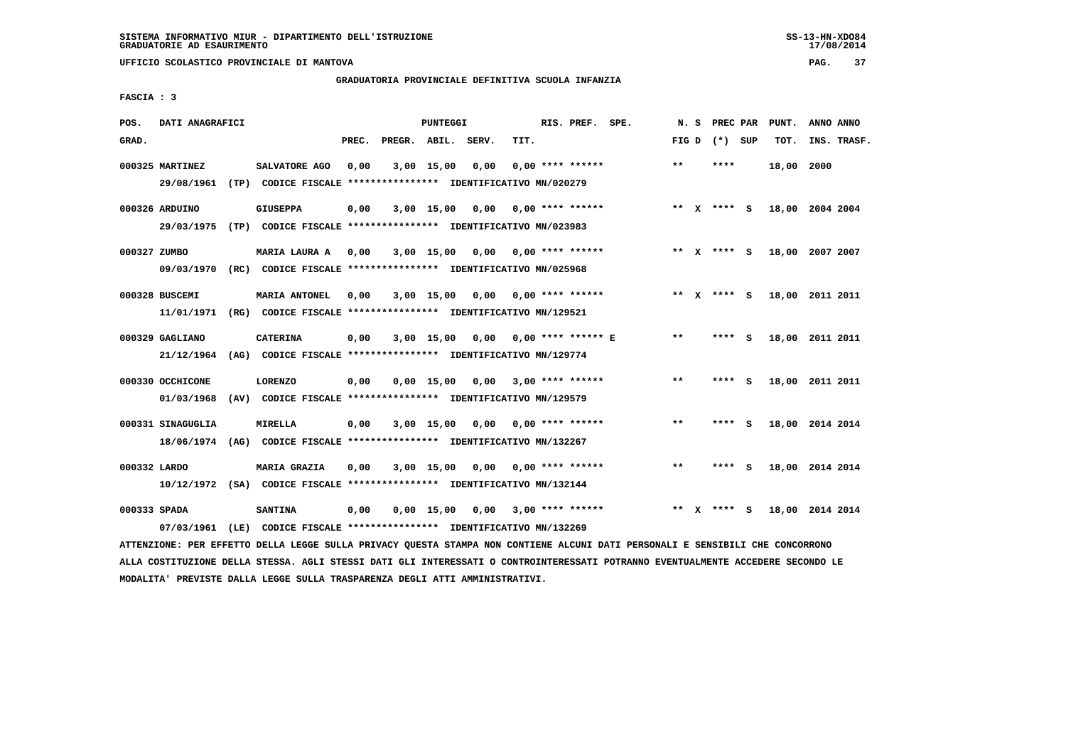**UFFICIO SCOLASTICO PROVINCIALE DI MANTOVA PAG. 37**

# **GRADUATORIA PROVINCIALE DEFINITIVA SCUOLA INFANZIA**

 **FASCIA : 3**

| POS.         | DATI ANAGRAFICI                 |      |                                                                                                |       |                    | <b>PUNTEGGI</b> |      |      | RIS. PREF.           | SPE. | N.S   |              | PREC PAR      |          | PUNT. | ANNO ANNO       |  |
|--------------|---------------------------------|------|------------------------------------------------------------------------------------------------|-------|--------------------|-----------------|------|------|----------------------|------|-------|--------------|---------------|----------|-------|-----------------|--|
| GRAD.        |                                 |      |                                                                                                | PREC. | PREGR. ABIL. SERV. |                 |      | TIT. |                      |      | FIG D |              | (*) SUP       |          | TOT.  | INS. TRASF.     |  |
|              | 000325 MARTINEZ<br>29/08/1961   |      | SALVATORE AGO<br>(TP) CODICE FISCALE **************** IDENTIFICATIVO MN/020279                 | 0,00  |                    | $3,00$ 15,00    | 0,00 |      | $0.00$ **** ******   |      | $* *$ |              | ****          |          | 18,00 | 2000            |  |
|              | 000326 ARDUINO<br>29/03/1975    | (TP) | <b>GIUSEPPA</b><br>CODICE FISCALE **************** IDENTIFICATIVO MN/023983                    | 0,00  |                    | 3,00 15,00      | 0,00 |      | $0.00$ **** ******   |      |       |              | ** $X$ **** S |          |       | 18,00 2004 2004 |  |
| 000327 ZUMBO | 09/03/1970                      |      | MARIA LAURA A<br>(RC) CODICE FISCALE **************** IDENTIFICATIVO MN/025968                 | 0,00  |                    | 3,00 15,00      | 0,00 |      | 0,00 **** ******     |      |       |              | ** x **** S   |          |       | 18,00 2007 2007 |  |
|              | 000328 BUSCEMI<br>11/01/1971    |      | <b>MARIA ANTONEL</b><br>(RG) CODICE FISCALE **************** IDENTIFICATIVO MN/129521          | 0.00  |                    | $3,00$ 15,00    | 0.00 |      | $0.00$ **** ******   |      | **    | $\mathbf{x}$ | **** S        |          | 18,00 | 2011 2011       |  |
|              | 000329 GAGLIANO<br>21/12/1964   |      | <b>CATERINA</b><br>(AG) CODICE FISCALE **************** IDENTIFICATIVO MN/129774               | 0,00  |                    | $3,00$ 15,00    | 0,00 |      | $0.00$ **** ****** E |      | $* *$ |              | ****          | - S      | 18,00 | 2011 2011       |  |
|              | 000330 OCCHICONE<br>01/03/1968  | (AV) | <b>LORENZO</b><br>CODICE FISCALE **************** IDENTIFICATIVO MN/129579                     | 0,00  |                    | $0.00$ 15.00    | 0,00 |      | $3,00$ **** ******   |      | $* *$ |              | ****          | - S      |       | 18,00 2011 2011 |  |
|              | 000331 SINAGUGLIA<br>18/06/1974 | (AG) | MIRELLA<br>CODICE FISCALE **************** IDENTIFICATIVO MN/132267                            | 0,00  |                    | 3,00 15,00      | 0,00 |      | $0.00$ **** ******   |      | $* *$ |              | ****          | <b>S</b> |       | 18,00 2014 2014 |  |
| 000332 LARDO |                                 |      | <b>MARIA GRAZIA</b><br>10/12/1972 (SA) CODICE FISCALE *************** IDENTIFICATIVO MN/132144 | 0,00  |                    | 3,00 15,00      | 0,00 |      | $0.00$ **** ******   |      | $***$ |              | **** S        |          |       | 18,00 2014 2014 |  |
| 000333 SPADA | 07/03/1961                      | (LE) | <b>SANTINA</b><br>CODICE FISCALE **************** IDENTIFICATIVO MN/132269                     | 0,00  |                    | $0,00$ 15,00    | 0,00 |      | $3,00$ **** ******   |      | **    | $\mathbf{x}$ | **** S        |          |       | 18,00 2014 2014 |  |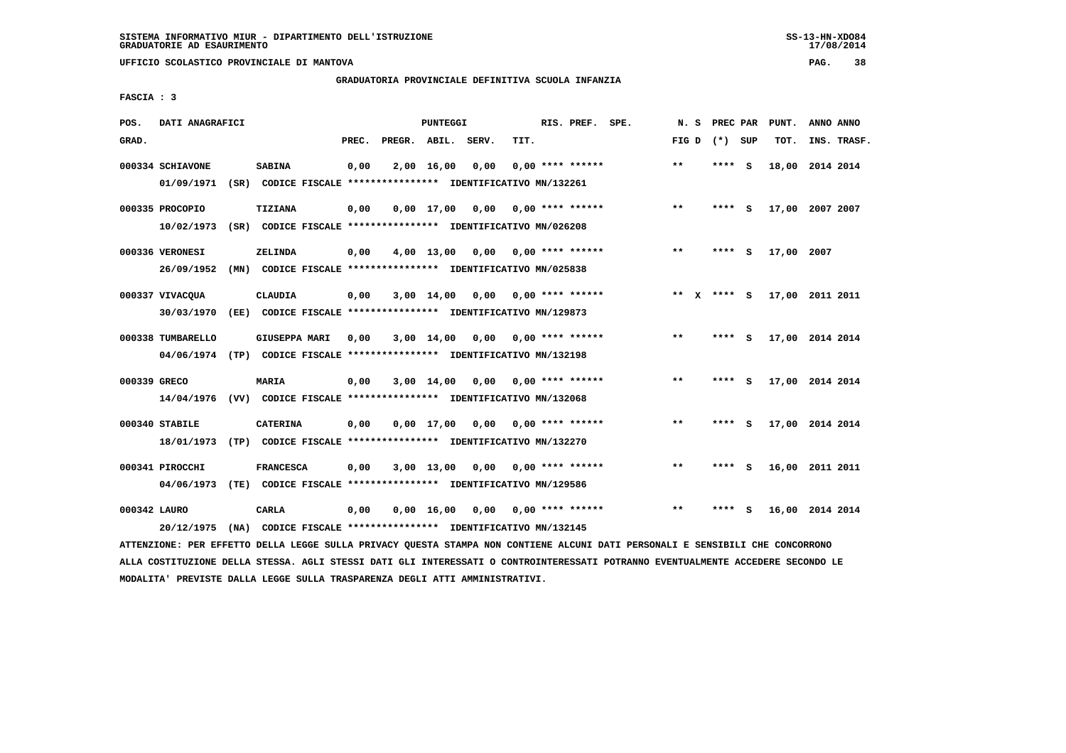**UFFICIO SCOLASTICO PROVINCIALE DI MANTOVA PAG. 38**

# **GRADUATORIA PROVINCIALE DEFINITIVA SCUOLA INFANZIA**

 **FASCIA : 3**

| POS.         | DATI ANAGRAFICI   |                                                                                                  |       |                    | PUNTEGGI           |      |      | RIS. PREF. SPE.    | N.S          | PREC PAR |          | PUNT.      | ANNO ANNO       |  |
|--------------|-------------------|--------------------------------------------------------------------------------------------------|-------|--------------------|--------------------|------|------|--------------------|--------------|----------|----------|------------|-----------------|--|
| GRAD.        |                   |                                                                                                  | PREC. | PREGR. ABIL. SERV. |                    |      | TIT. |                    | FIG D        | (*) SUP  |          | TOT.       | INS. TRASF.     |  |
|              | 000334 SCHIAVONE  | <b>SABINA</b>                                                                                    | 0,00  |                    | 2,00 16,00         | 0,00 |      | $0.00$ **** ****** | $***$        | ****     | <b>S</b> | 18,00      | 2014 2014       |  |
|              | 01/09/1971        | (SR) CODICE FISCALE **************** IDENTIFICATIVO MN/132261                                    |       |                    |                    |      |      |                    |              |          |          |            |                 |  |
|              | 000335 PROCOPIO   | <b>TIZIANA</b>                                                                                   | 0,00  |                    | $0.00$ 17.00       | 0.00 |      | $0.00$ **** ****** | $***$        | ****     | - S      |            | 17,00 2007 2007 |  |
|              | 10/02/1973        | (SR) CODICE FISCALE **************** IDENTIFICATIVO MN/026208                                    |       |                    |                    |      |      |                    |              |          |          |            |                 |  |
|              | 000336 VERONESI   | ZELINDA                                                                                          | 0,00  |                    | 4,00 13,00         | 0,00 |      | $0.00$ **** ****** | $***$        | ****     | - S      | 17,00 2007 |                 |  |
|              | 26/09/1952        | (MN) CODICE FISCALE **************** IDENTIFICATIVO MN/025838                                    |       |                    |                    |      |      |                    |              |          |          |            |                 |  |
|              | 000337 VIVACQUA   | CLAUDIA                                                                                          | 0,00  |                    | $3,00$ 14,00       | 0,00 |      | $0.00$ **** ****** | $* *$<br>X   | **** S   |          |            | 17,00 2011 2011 |  |
|              | 30/03/1970        | (EE) CODICE FISCALE **************** IDENTIFICATIVO MN/129873                                    |       |                    |                    |      |      |                    |              |          |          |            |                 |  |
|              |                   |                                                                                                  |       |                    |                    |      |      |                    | $**$         |          |          |            |                 |  |
|              | 000338 TUMBARELLO | <b>GIUSEPPA MARI</b><br>04/06/1974 (TP) CODICE FISCALE **************** IDENTIFICATIVO MN/132198 | 0,00  |                    | 3,00 14,00         | 0,00 |      | $0.00$ **** ****** |              | ****     | - S      |            | 17,00 2014 2014 |  |
|              |                   |                                                                                                  |       |                    |                    |      |      |                    |              |          |          |            |                 |  |
| 000339 GRECO |                   | <b>MARIA</b>                                                                                     | 0,00  |                    | $3,00$ 14,00       | 0,00 |      | $0.00$ **** ****** | $\star\star$ | ****     | - S      |            | 17,00 2014 2014 |  |
|              | 14/04/1976        | (VV) CODICE FISCALE *************** IDENTIFICATIVO MN/132068                                     |       |                    |                    |      |      |                    |              |          |          |            |                 |  |
|              | 000340 STABILE    | <b>CATERINA</b>                                                                                  | 0,00  |                    | $0.00$ 17.00       | 0.00 |      | $0.00$ **** ****** | $***$        | **** S   |          |            | 17,00 2014 2014 |  |
|              | 18/01/1973        | (TP) CODICE FISCALE **************** IDENTIFICATIVO MN/132270                                    |       |                    |                    |      |      |                    |              |          |          |            |                 |  |
|              | 000341 PIROCCHI   | <b>FRANCESCA</b>                                                                                 | 0,00  |                    | $3,00$ 13,00       | 0,00 |      | $0.00$ **** ****** | $**$         | ****     | - 5      |            | 16,00 2011 2011 |  |
|              | 04/06/1973        | (TE) CODICE FISCALE **************** IDENTIFICATIVO MN/129586                                    |       |                    |                    |      |      |                    |              |          |          |            |                 |  |
|              |                   |                                                                                                  |       |                    |                    |      |      |                    |              |          |          |            |                 |  |
| 000342 LAURO |                   | CARLA                                                                                            | 0,00  |                    | $0,00 \quad 16,00$ | 0,00 |      | $0.00$ **** ****** | $**$         | ****     | - S      |            | 16,00 2014 2014 |  |
|              | 20/12/1975        | (NA) CODICE FISCALE **************** IDENTIFICATIVO MN/132145                                    |       |                    |                    |      |      |                    |              |          |          |            |                 |  |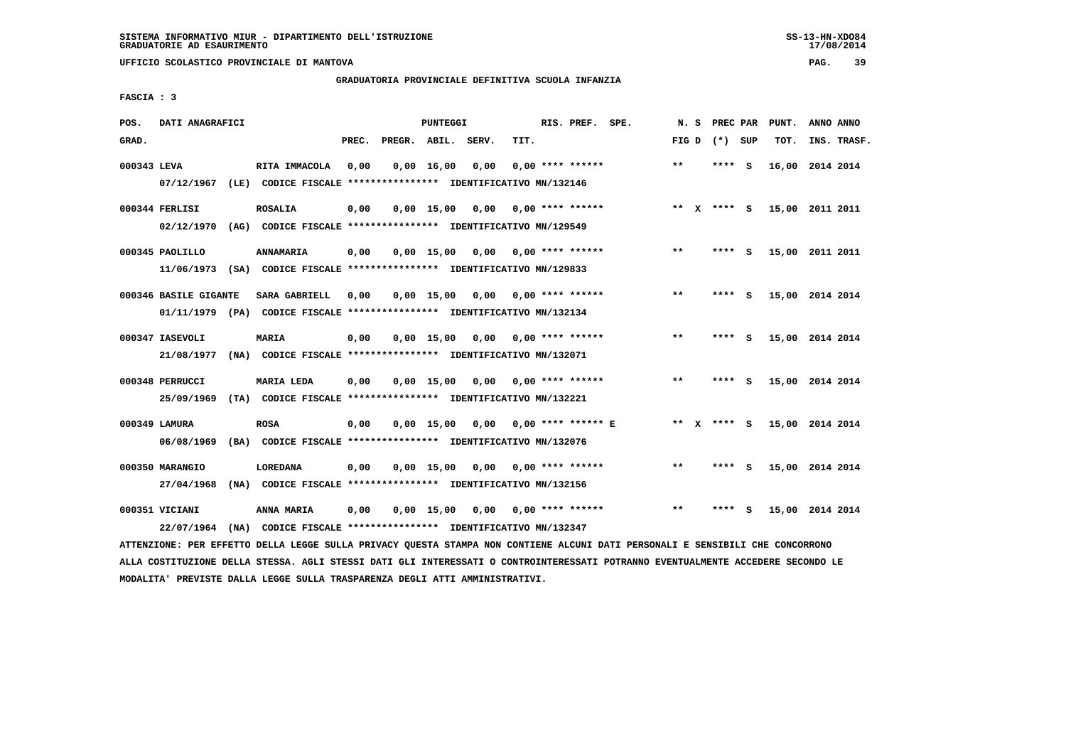**UFFICIO SCOLASTICO PROVINCIALE DI MANTOVA PAG. 39**

#### **GRADUATORIA PROVINCIALE DEFINITIVA SCUOLA INFANZIA**

 **FASCIA : 3**

| POS.        | DATI ANAGRAFICI       | PUNTEGGI                                                                                                                      |       |                    |                    |      |      |  | RIS. PREF. SPE.      | N.S   | PREC PAR        |     | PUNT.           | ANNO ANNO |             |
|-------------|-----------------------|-------------------------------------------------------------------------------------------------------------------------------|-------|--------------------|--------------------|------|------|--|----------------------|-------|-----------------|-----|-----------------|-----------|-------------|
| GRAD.       |                       |                                                                                                                               | PREC. | PREGR. ABIL. SERV. |                    |      | TIT. |  |                      |       | FIG D $(*)$ SUP |     | TOT.            |           | INS. TRASF. |
| 000343 LEVA |                       | RITA IMMACOLA                                                                                                                 | 0,00  |                    | $0,00$ 16,00       | 0,00 |      |  | $0.00$ **** ******   | $***$ | $***$ S         |     | 16,00           | 2014 2014 |             |
|             | 07/12/1967            | (LE) CODICE FISCALE **************** IDENTIFICATIVO MN/132146                                                                 |       |                    |                    |      |      |  |                      |       |                 |     |                 |           |             |
|             | 000344 FERLISI        | <b>ROSALIA</b>                                                                                                                | 0,00  |                    | $0,00$ 15,00       | 0,00 |      |  | $0.00$ **** ******   | $***$ | X **** S        |     | 15,00 2011 2011 |           |             |
|             | 02/12/1970            | (AG) CODICE FISCALE **************** IDENTIFICATIVO MN/129549                                                                 |       |                    |                    |      |      |  |                      |       |                 |     |                 |           |             |
|             | 000345 PAOLILLO       | ANNAMARIA                                                                                                                     | 0,00  |                    | 0.00 15.00         | 0,00 |      |  | $0.00$ **** ******   | $* *$ | **** S          |     | 15,00 2011 2011 |           |             |
|             |                       | 11/06/1973 (SA) CODICE FISCALE *************** IDENTIFICATIVO MN/129833                                                       |       |                    |                    |      |      |  |                      |       |                 |     |                 |           |             |
|             | 000346 BASILE GIGANTE | <b>SARA GABRIELL</b>                                                                                                          | 0,00  |                    | $0,00$ 15,00       | 0,00 |      |  | $0.00$ **** ******   | **    | **** S          |     | 15,00 2014 2014 |           |             |
|             |                       | 01/11/1979 (PA) CODICE FISCALE *************** IDENTIFICATIVO MN/132134                                                       |       |                    |                    |      |      |  |                      |       |                 |     |                 |           |             |
|             | 000347 IASEVOLI       | <b>MARIA</b>                                                                                                                  | 0,00  |                    | $0,00$ 15,00       | 0,00 |      |  | 0,00 **** ******     | $***$ | **** S          |     | 15,00 2014 2014 |           |             |
|             | 21/08/1977            | (NA) CODICE FISCALE **************** IDENTIFICATIVO MN/132071                                                                 |       |                    |                    |      |      |  |                      |       |                 |     |                 |           |             |
|             | 000348 PERRUCCI       | <b>MARIA LEDA</b>                                                                                                             | 0,00  |                    | $0,00 \quad 15,00$ | 0,00 |      |  | $0.00$ **** ******   | $**$  | ****            | - S | 15,00 2014 2014 |           |             |
|             | 25/09/1969            | (TA) CODICE FISCALE **************** IDENTIFICATIVO MN/132221                                                                 |       |                    |                    |      |      |  |                      |       |                 |     |                 |           |             |
|             | 000349 LAMURA         | <b>ROSA</b>                                                                                                                   | 0,00  |                    | 0.00 15.00         | 0,00 |      |  | $0.00$ **** ****** E |       | ** x **** S     |     | 15,00 2014 2014 |           |             |
|             | 06/08/1969            | (BA) CODICE FISCALE **************** IDENTIFICATIVO MN/132076                                                                 |       |                    |                    |      |      |  |                      |       |                 |     |                 |           |             |
|             | 000350 MARANGIO       | <b>LOREDANA</b>                                                                                                               | 0,00  |                    | 0.00 15.00         | 0,00 |      |  | 0,00 **** ******     | $***$ | **** S          |     | 15,00 2014 2014 |           |             |
|             | 27/04/1968            | (NA) CODICE FISCALE **************** IDENTIFICATIVO MN/132156                                                                 |       |                    |                    |      |      |  |                      |       |                 |     |                 |           |             |
|             | 000351 VICIANI        | ANNA MARIA                                                                                                                    | 0,00  |                    | $0,00$ 15,00       | 0,00 |      |  | $0.00$ **** ******   | $* *$ | ****            | - S | 15,00 2014 2014 |           |             |
|             | 22/07/1964            | (NA) CODICE FISCALE *************** IDENTIFICATIVO MN/132347                                                                  |       |                    |                    |      |      |  |                      |       |                 |     |                 |           |             |
|             |                       | ATTENZIONE: PER EFFETTO DELLA LEGGE SULLA PRIVACY QUESTA STAMPA NON CONTIENE ALCUNI DATI PERSONALI E SENSIBILI CHE CONCORRONO |       |                    |                    |      |      |  |                      |       |                 |     |                 |           |             |

 **ALLA COSTITUZIONE DELLA STESSA. AGLI STESSI DATI GLI INTERESSATI O CONTROINTERESSATI POTRANNO EVENTUALMENTE ACCEDERE SECONDO LE MODALITA' PREVISTE DALLA LEGGE SULLA TRASPARENZA DEGLI ATTI AMMINISTRATIVI.**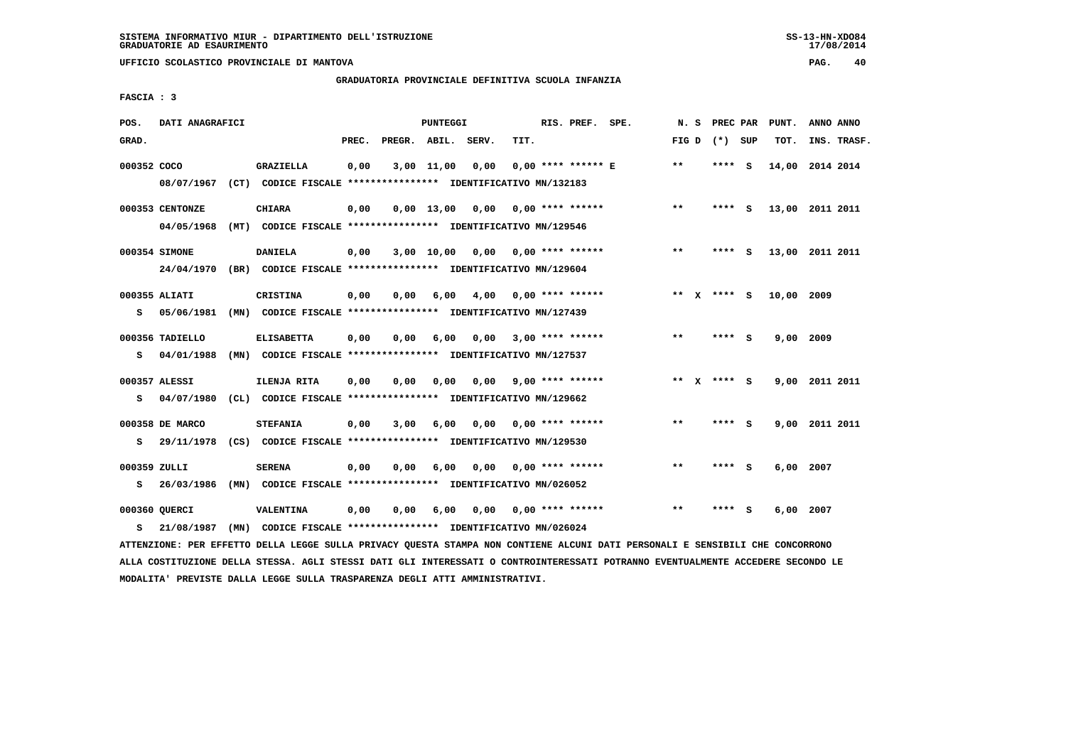**UFFICIO SCOLASTICO PROVINCIALE DI MANTOVA PAG. 40**

# **GRADUATORIA PROVINCIALE DEFINITIVA SCUOLA INFANZIA**

 **FASCIA : 3**

| POS.         | DATI ANAGRAFICI |                                                               | PUNTEGGI |                    |              |      |      |  | RIS. PREF. SPE.           | N.S   | PREC PAR        |     | PUNT.      | ANNO ANNO       |
|--------------|-----------------|---------------------------------------------------------------|----------|--------------------|--------------|------|------|--|---------------------------|-------|-----------------|-----|------------|-----------------|
| GRAD.        |                 |                                                               | PREC.    | PREGR. ABIL. SERV. |              |      | TIT. |  |                           |       | FIG D $(*)$ SUP |     | TOT.       | INS. TRASF.     |
| 000352 COCO  |                 | GRAZIELLA                                                     | 0,00     |                    | 3,00 11,00   | 0,00 |      |  | 0,00 **** ****** E        | $* *$ | **** S          |     |            | 14,00 2014 2014 |
|              | 08/07/1967      | (CT) CODICE FISCALE **************** IDENTIFICATIVO MN/132183 |          |                    |              |      |      |  |                           |       |                 |     |            |                 |
|              | 000353 CENTONZE | <b>CHIARA</b>                                                 | 0,00     |                    | $0.00$ 13.00 | 0,00 |      |  | 0,00 **** ******          | $***$ | **** S          |     |            | 13,00 2011 2011 |
|              | 04/05/1968      | (MT) CODICE FISCALE **************** IDENTIFICATIVO MN/129546 |          |                    |              |      |      |  |                           |       |                 |     |            |                 |
|              | 000354 SIMONE   | DANIELA                                                       | 0,00     |                    | 3,00 10,00   |      |      |  | $0,00$ $0,00$ **** ****** | **    | **** S          |     |            | 13,00 2011 2011 |
|              | 24/04/1970      | (BR) CODICE FISCALE **************** IDENTIFICATIVO MN/129604 |          |                    |              |      |      |  |                           |       |                 |     |            |                 |
|              | 000355 ALIATI   | <b>CRISTINA</b>                                               | 0,00     | 0,00               | 6,00         | 4,00 |      |  | 0,00 **** ******          |       | ** $X$ **** S   |     | 10,00 2009 |                 |
| s            | 05/06/1981      | (MN) CODICE FISCALE **************** IDENTIFICATIVO MN/127439 |          |                    |              |      |      |  |                           |       |                 |     |            |                 |
|              | 000356 TADIELLO | <b>ELISABETTA</b>                                             | 0,00     | 0,00               | 6,00         | 0,00 |      |  | $3,00$ **** ******        | **    | **** S          |     | 9,00       | 2009            |
| s            | 04/01/1988      | (MN) CODICE FISCALE **************** IDENTIFICATIVO MN/127537 |          |                    |              |      |      |  |                           |       |                 |     |            |                 |
|              | 000357 ALESSI   | ILENJA RITA                                                   | 0,00     | 0,00               | 0.00         | 0,00 |      |  | 9,00 **** ******          |       | ** x **** S     |     |            | 9,00 2011 2011  |
| s            | 04/07/1980      | (CL) CODICE FISCALE **************** IDENTIFICATIVO MN/129662 |          |                    |              |      |      |  |                           |       |                 |     |            |                 |
|              | 000358 DE MARCO | <b>STEFANIA</b>                                               | 0,00     | 3,00               | 6,00         | 0.00 |      |  | 0,00 **** ******          | $* *$ | **** S          |     |            | 9,00 2011 2011  |
| s            | 29/11/1978      | (CS) CODICE FISCALE **************** IDENTIFICATIVO MN/129530 |          |                    |              |      |      |  |                           |       |                 |     |            |                 |
| 000359 ZULLI |                 | <b>SERENA</b>                                                 | 0,00     | 0,00               | 6,00         | 0,00 |      |  | $0.00$ **** ******        | $**$  | ****            | - S | 6,00       | 2007            |
| s            | 26/03/1986      | (MN) CODICE FISCALE **************** IDENTIFICATIVO MN/026052 |          |                    |              |      |      |  |                           |       |                 |     |            |                 |
|              | 000360 QUERCI   | <b>VALENTINA</b>                                              | 0,00     | 0,00               | 6,00         | 0,00 |      |  | $0.00$ **** ******        | $* *$ | ****            | - S | 6,00       | 2007            |
| s            | 21/08/1987      | (MN) CODICE FISCALE **************** IDENTIFICATIVO MN/026024 |          |                    |              |      |      |  |                           |       |                 |     |            |                 |